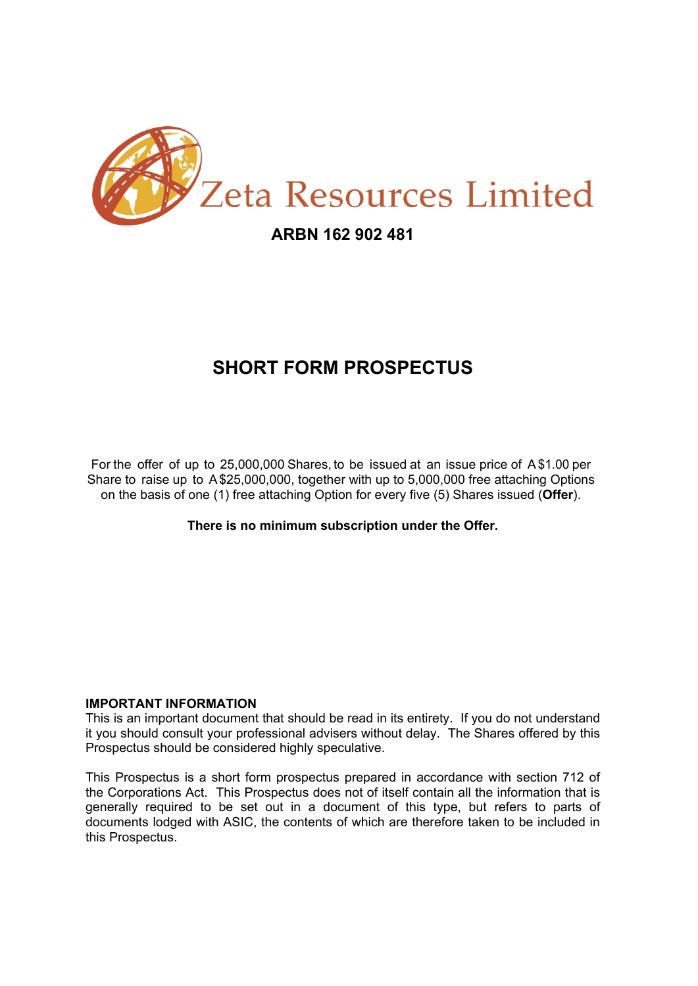

### **ARBN 162 902 481**

# **SHORT FORM PROSPECTUS**

For the offer of up to 25,000,000 Shares, to be issued at an issue price of A\$1.00 per Share to raise up to A \$25,000,000, together with up to 5,000,000 free attaching Options on the basis of one (1) free attaching Option for every five (5) Shares issued (**Offer**).

**There is no minimum subscription under the Offer.** 

### **IMPORTANT INFORMATION**

This is an important document that should be read in its entirety. If you do not understand it you should consult your professional advisers without delay. The Shares offered by this Prospectus should be considered highly speculative.

This Prospectus is a short form prospectus prepared in accordance with section 712 of the Corporations Act. This Prospectus does not of itself contain all the information that is generally required to be set out in a document of this type, but refers to parts of documents lodged with ASIC, the contents of which are therefore taken to be included in this Prospectus.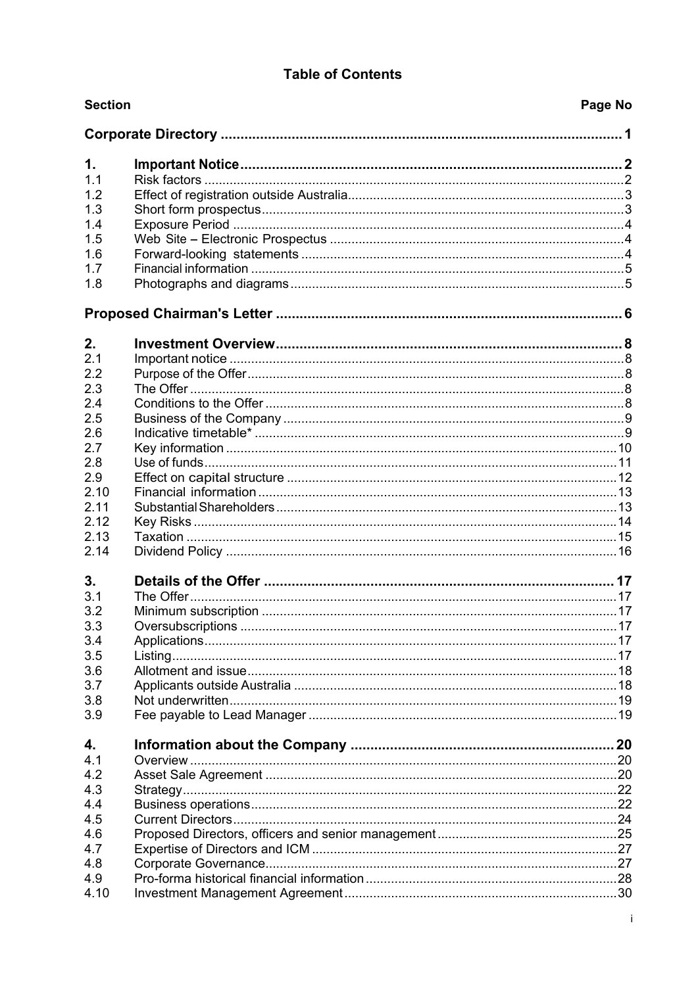### **Table of Contents**

| <b>Section</b> | Page No |
|----------------|---------|
|                |         |
| 1.             |         |
| 1.1            |         |
| 1.2            |         |
| 1.3            |         |
| 1.4            |         |
| 1.5            |         |
| 1.6            |         |
| 1.7            |         |
| 1.8            |         |
|                |         |
| 2.             |         |
| 2.1            |         |
| 2.2            |         |
| 2.3            |         |
| 2.4            |         |
| 2.5            |         |
| 2.6            |         |
| 2.7            |         |
| 2.8            |         |
| 2.9            |         |
| 2.10           |         |
| 2.11           |         |
| 2.12           |         |
| 2.13           |         |
| 2.14           |         |
| 3.             |         |
| 3.1            |         |
| 3.2            |         |
| 3.3            |         |
| 3.4            |         |
| 3.5            |         |
| 3.6            |         |
| 3.7            |         |
| 3.8            |         |
| 3.9            |         |
| 4.             |         |
| 4.1            |         |
| 4.2            |         |
| 4.3            |         |
| 4.4            |         |
| 4.5            |         |
| 4.6            |         |
| 4.7            |         |
| 4.8            |         |
| 4.9            |         |
| 4.10           |         |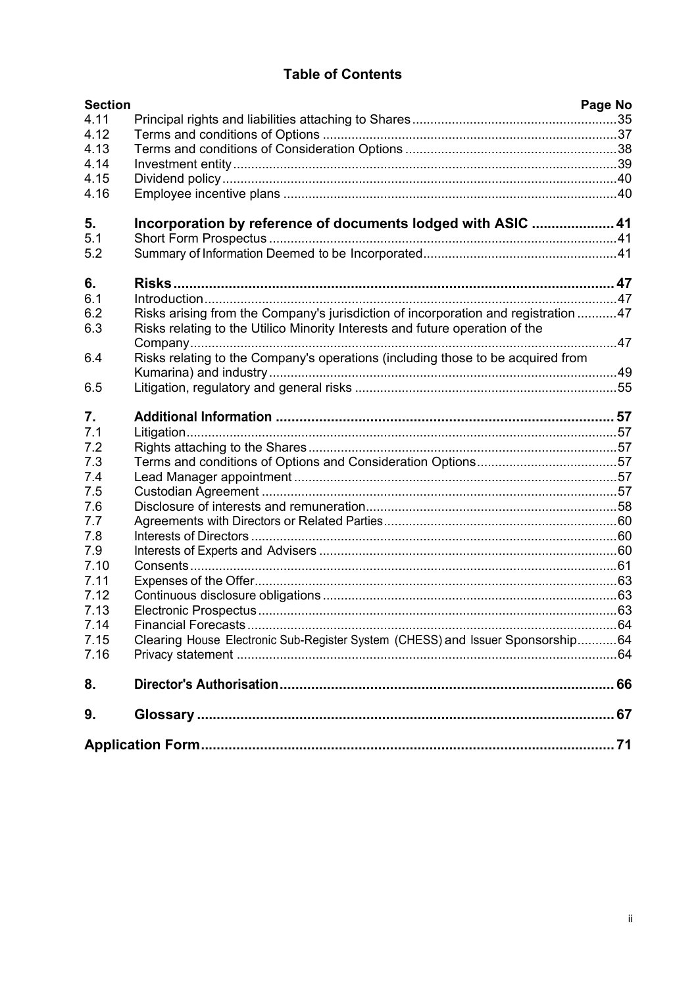### **Table of Contents**

| <b>Section</b> |                                                                                                                                                                    | Page No |
|----------------|--------------------------------------------------------------------------------------------------------------------------------------------------------------------|---------|
| 4.11           |                                                                                                                                                                    |         |
| 4.12           |                                                                                                                                                                    |         |
| 4.13           |                                                                                                                                                                    |         |
| 4.14           |                                                                                                                                                                    |         |
| 4.15           |                                                                                                                                                                    |         |
| 4.16           |                                                                                                                                                                    |         |
| 5.             | Incorporation by reference of documents lodged with ASIC  41                                                                                                       |         |
| 5.1            |                                                                                                                                                                    |         |
| 5.2            |                                                                                                                                                                    |         |
| 6.             |                                                                                                                                                                    |         |
| 6.1            |                                                                                                                                                                    |         |
| 6.2<br>6.3     | Risks arising from the Company's jurisdiction of incorporation and registration 47<br>Risks relating to the Utilico Minority Interests and future operation of the |         |
|                |                                                                                                                                                                    |         |
| 6.4            | Risks relating to the Company's operations (including those to be acquired from                                                                                    |         |
|                |                                                                                                                                                                    |         |
| 6.5            |                                                                                                                                                                    |         |
| 7.             |                                                                                                                                                                    |         |
| 7.1            |                                                                                                                                                                    |         |
| 7.2            |                                                                                                                                                                    |         |
| 7.3            |                                                                                                                                                                    |         |
| 7.4<br>7.5     |                                                                                                                                                                    |         |
| 7.6            |                                                                                                                                                                    |         |
| 7.7            |                                                                                                                                                                    |         |
| 7.8            |                                                                                                                                                                    |         |
| 7.9            |                                                                                                                                                                    |         |
| 7.10           |                                                                                                                                                                    |         |
| 7.11           |                                                                                                                                                                    |         |
| 7.12           |                                                                                                                                                                    |         |
| 7.13           |                                                                                                                                                                    |         |
| 7.14           |                                                                                                                                                                    |         |
| 7.15           | Clearing House Electronic Sub-Register System (CHESS) and Issuer Sponsorship64                                                                                     |         |
| 7.16           |                                                                                                                                                                    |         |
| 8.             |                                                                                                                                                                    |         |
| 9.             |                                                                                                                                                                    |         |
|                |                                                                                                                                                                    |         |
|                |                                                                                                                                                                    |         |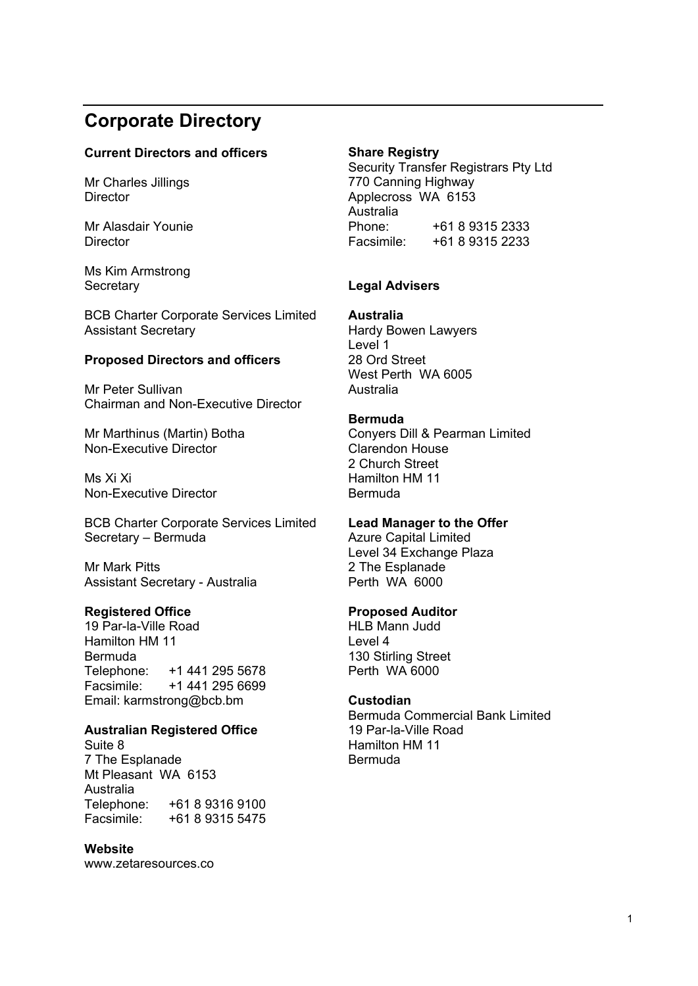# **Corporate Directory**

### **Current Directors and officers**

Mr Charles Jillings **Director** 

Mr Alasdair Younie **Director** 

Ms Kim Armstrong **Secretary** 

BCB Charter Corporate Services Limited Assistant Secretary

### **Proposed Directors and officers**

Mr Peter Sullivan Chairman and Non-Executive Director

Mr Marthinus (Martin) Botha Non-Executive Director

Ms Xi Xi Non-Executive Director

BCB Charter Corporate Services Limited Secretary – Bermuda

Mr Mark Pitts Assistant Secretary - Australia

### **Registered Office**

19 Par-la-Ville Road Hamilton HM 11 Bermuda Telephone: +1 441 295 5678<br>Facsimile: +1 441 295 6699 +1 441 295 6699 Email: karmstrong@bcb.bm

### **Australian Registered Office**

Suite 8 7 The Esplanade Mt Pleasant WA 6153 Australia<br>Telephone: +61 8 9316 9100 Facsimile: +61 8 9315 5475

#### **Website**

www.zetaresources.co

### **Share Registry**

Security Transfer Registrars Pty Ltd 770 Canning Highway Applecross WA 6153 Australia<br>Phone: +61 8 9315 2333 Facsimile: +61 8 9315 2233

### **Legal Advisers**

**Australia** 

Hardy Bowen Lawyers Level 1 28 Ord Street West Perth WA 6005 Australia

#### **Bermuda**

Conyers Dill & Pearman Limited Clarendon House 2 Church Street Hamilton HM 11 Bermuda

### **Lead Manager to the Offer**

Azure Capital Limited Level 34 Exchange Plaza 2 The Esplanade Perth WA 6000

#### **Proposed Auditor**

HLB Mann Judd Level 4 130 Stirling Street Perth WA 6000

#### **Custodian**

Bermuda Commercial Bank Limited 19 Par-la-Ville Road Hamilton HM 11 Bermuda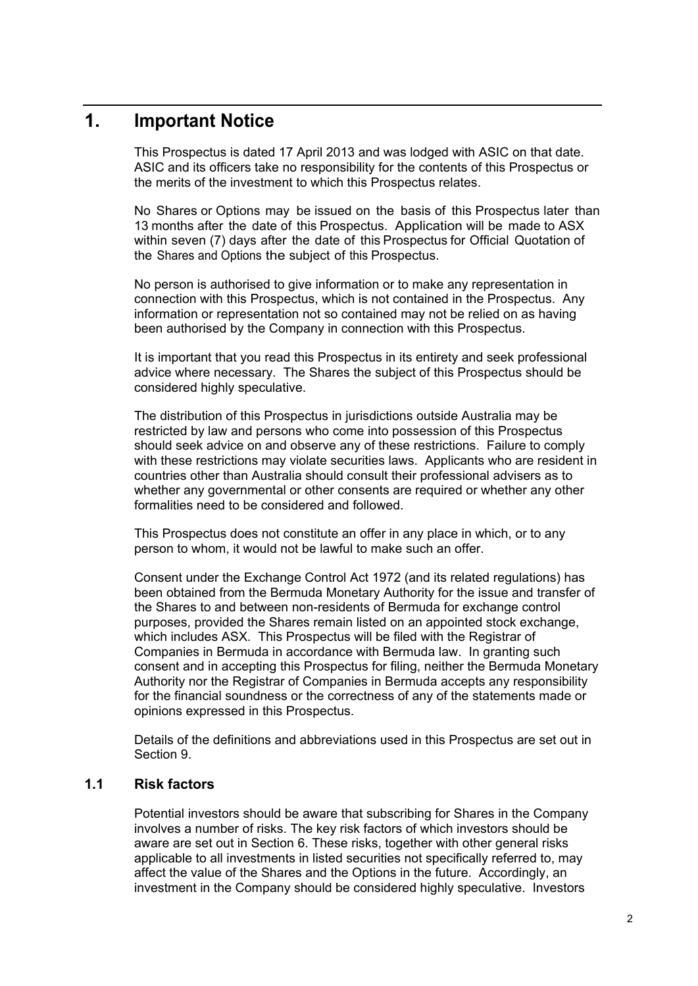### **1. Important Notice**

This Prospectus is dated 17 April 2013 and was lodged with ASIC on that date. ASIC and its officers take no responsibility for the contents of this Prospectus or the merits of the investment to which this Prospectus relates.

No Shares or Options may be issued on the basis of this Prospectus later than 13 months after the date of this Prospectus. Application will be made to ASX within seven (7) days after the date of this Prospectus for Official Quotation of the Shares and Options the subject of this Prospectus.

No person is authorised to give information or to make any representation in connection with this Prospectus, which is not contained in the Prospectus. Any information or representation not so contained may not be relied on as having been authorised by the Company in connection with this Prospectus.

It is important that you read this Prospectus in its entirety and seek professional advice where necessary. The Shares the subject of this Prospectus should be considered highly speculative.

The distribution of this Prospectus in jurisdictions outside Australia may be restricted by law and persons who come into possession of this Prospectus should seek advice on and observe any of these restrictions. Failure to comply with these restrictions may violate securities laws. Applicants who are resident in countries other than Australia should consult their professional advisers as to whether any governmental or other consents are required or whether any other formalities need to be considered and followed.

This Prospectus does not constitute an offer in any place in which, or to any person to whom, it would not be lawful to make such an offer.

Consent under the Exchange Control Act 1972 (and its related regulations) has been obtained from the Bermuda Monetary Authority for the issue and transfer of the Shares to and between non-residents of Bermuda for exchange control purposes, provided the Shares remain listed on an appointed stock exchange, which includes ASX. This Prospectus will be filed with the Registrar of Companies in Bermuda in accordance with Bermuda law. In granting such consent and in accepting this Prospectus for filing, neither the Bermuda Monetary Authority nor the Registrar of Companies in Bermuda accepts any responsibility for the financial soundness or the correctness of any of the statements made or opinions expressed in this Prospectus.

Details of the definitions and abbreviations used in this Prospectus are set out in Section 9.

### **1.1 Risk factors**

Potential investors should be aware that subscribing for Shares in the Company involves a number of risks. The key risk factors of which investors should be aware are set out in Section 6. These risks, together with other general risks applicable to all investments in listed securities not specifically referred to, may affect the value of the Shares and the Options in the future. Accordingly, an investment in the Company should be considered highly speculative. Investors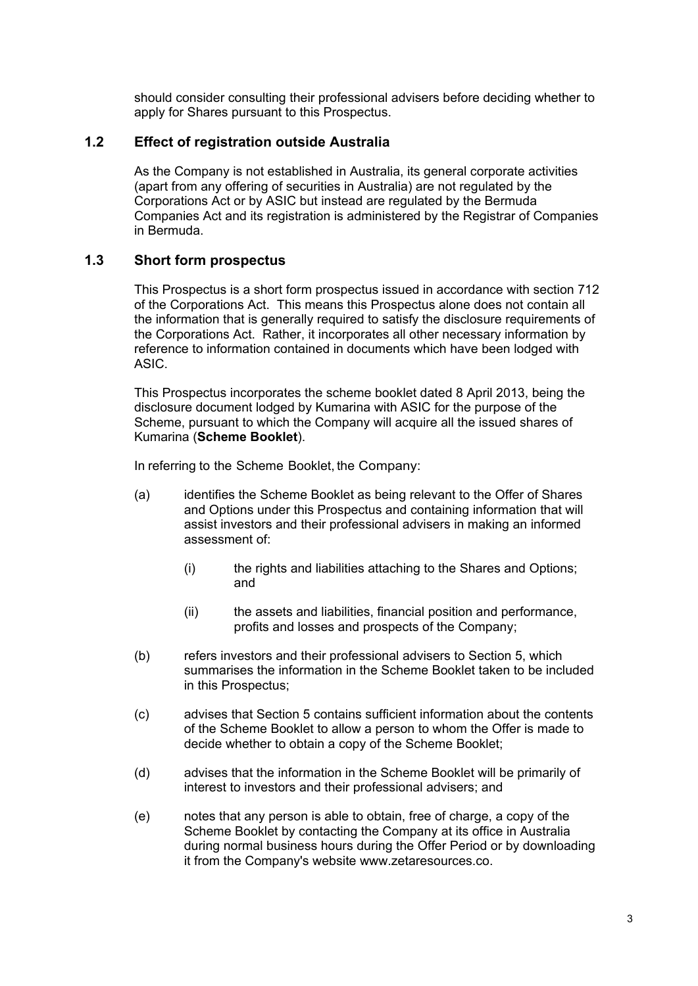should consider consulting their professional advisers before deciding whether to apply for Shares pursuant to this Prospectus.

### **1.2 Effect of registration outside Australia**

As the Company is not established in Australia, its general corporate activities (apart from any offering of securities in Australia) are not regulated by the Corporations Act or by ASIC but instead are regulated by the Bermuda Companies Act and its registration is administered by the Registrar of Companies in Bermuda.

### **1.3 Short form prospectus**

This Prospectus is a short form prospectus issued in accordance with section 712 of the Corporations Act. This means this Prospectus alone does not contain all the information that is generally required to satisfy the disclosure requirements of the Corporations Act. Rather, it incorporates all other necessary information by reference to information contained in documents which have been lodged with ASIC.

This Prospectus incorporates the scheme booklet dated 8 April 2013, being the disclosure document lodged by Kumarina with ASIC for the purpose of the Scheme, pursuant to which the Company will acquire all the issued shares of Kumarina (**Scheme Booklet**).

In referring to the Scheme Booklet, the Company:

- (a) identifies the Scheme Booklet as being relevant to the Offer of Shares and Options under this Prospectus and containing information that will assist investors and their professional advisers in making an informed assessment of:
	- (i) the rights and liabilities attaching to the Shares and Options; and
	- (ii) the assets and liabilities, financial position and performance, profits and losses and prospects of the Company;
- (b) refers investors and their professional advisers to Section 5, which summarises the information in the Scheme Booklet taken to be included in this Prospectus;
- (c) advises that Section 5 contains sufficient information about the contents of the Scheme Booklet to allow a person to whom the Offer is made to decide whether to obtain a copy of the Scheme Booklet;
- (d) advises that the information in the Scheme Booklet will be primarily of interest to investors and their professional advisers; and
- (e) notes that any person is able to obtain, free of charge, a copy of the Scheme Booklet by contacting the Company at its office in Australia during normal business hours during the Offer Period or by downloading it from the Company's website www.zetaresources.co.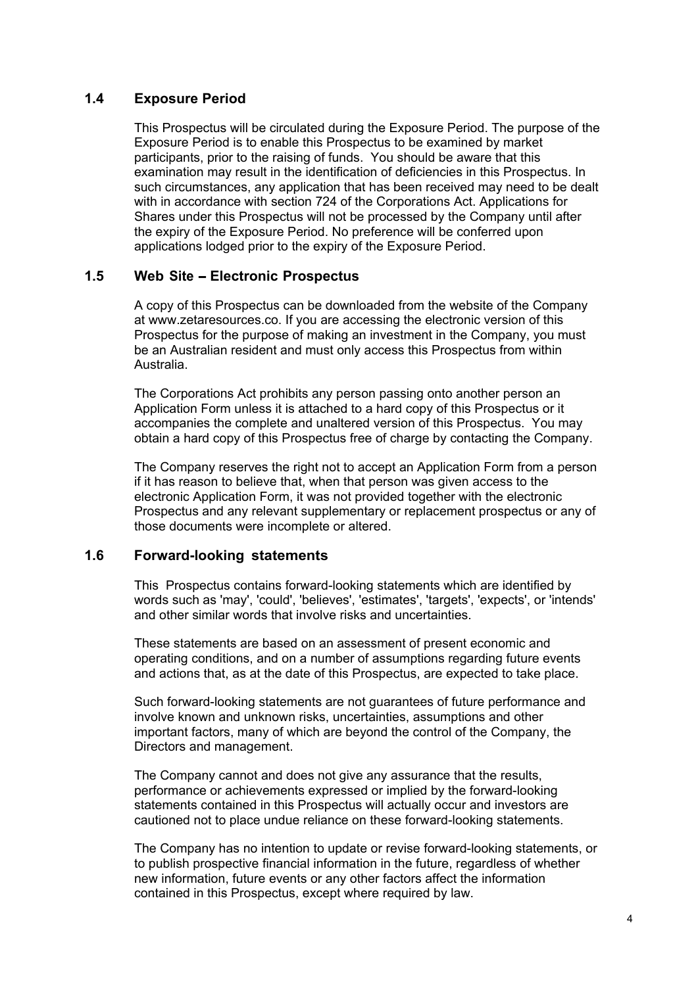### **1.4 Exposure Period**

This Prospectus will be circulated during the Exposure Period. The purpose of the Exposure Period is to enable this Prospectus to be examined by market participants, prior to the raising of funds. You should be aware that this examination may result in the identification of deficiencies in this Prospectus. In such circumstances, any application that has been received may need to be dealt with in accordance with section 724 of the Corporations Act. Applications for Shares under this Prospectus will not be processed by the Company until after the expiry of the Exposure Period. No preference will be conferred upon applications lodged prior to the expiry of the Exposure Period.

### **1.5 Web Site - Electronic Prospectus**

A copy of this Prospectus can be downloaded from the website of the Company at www.zetaresources.co. If you are accessing the electronic version of this Prospectus for the purpose of making an investment in the Company, you must be an Australian resident and must only access this Prospectus from within Australia.

The Corporations Act prohibits any person passing onto another person an Application Form unless it is attached to a hard copy of this Prospectus or it accompanies the complete and unaltered version of this Prospectus. You may obtain a hard copy of this Prospectus free of charge by contacting the Company.

The Company reserves the right not to accept an Application Form from a person if it has reason to believe that, when that person was given access to the electronic Application Form, it was not provided together with the electronic Prospectus and any relevant supplementary or replacement prospectus or any of those documents were incomplete or altered.

### **1.6 Forward-looking statements**

This Prospectus contains forward-looking statements which are identified by words such as 'may', 'could', 'believes', 'estimates', 'targets', 'expects', or 'intends' and other similar words that involve risks and uncertainties.

These statements are based on an assessment of present economic and operating conditions, and on a number of assumptions regarding future events and actions that, as at the date of this Prospectus, are expected to take place.

Such forward-looking statements are not guarantees of future performance and involve known and unknown risks, uncertainties, assumptions and other important factors, many of which are beyond the control of the Company, the Directors and management.

The Company cannot and does not give any assurance that the results, performance or achievements expressed or implied by the forward-looking statements contained in this Prospectus will actually occur and investors are cautioned not to place undue reliance on these forward-looking statements.

The Company has no intention to update or revise forward-looking statements, or to publish prospective financial information in the future, regardless of whether new information, future events or any other factors affect the information contained in this Prospectus, except where required by law.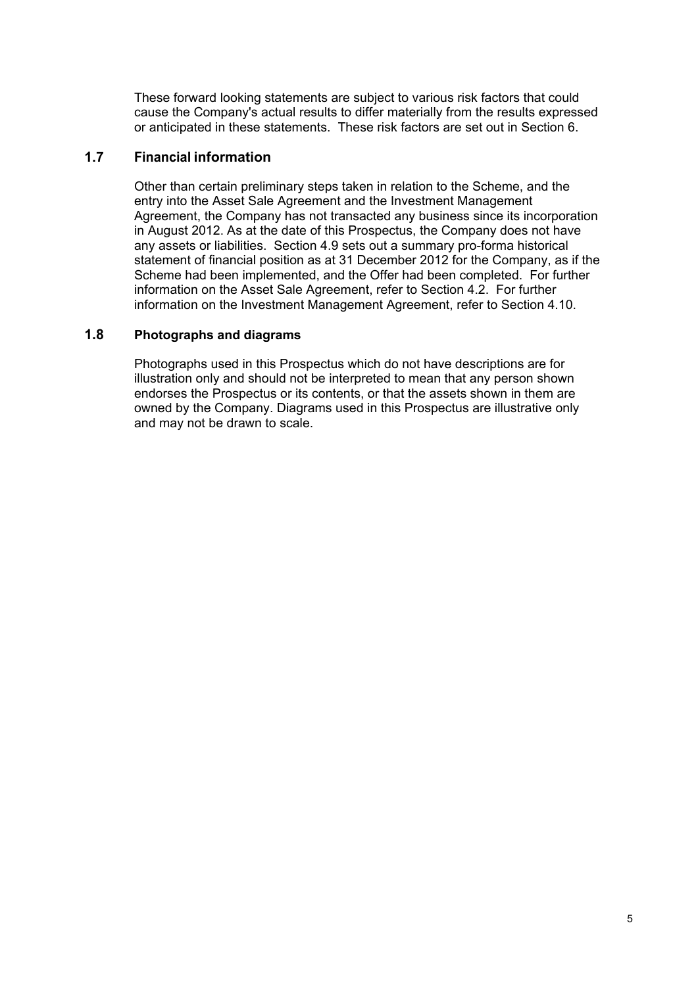These forward looking statements are subject to various risk factors that could cause the Company's actual results to differ materially from the results expressed or anticipated in these statements. These risk factors are set out in Section 6.

### **1.7 Financial information**

Other than certain preliminary steps taken in relation to the Scheme, and the entry into the Asset Sale Agreement and the Investment Management Agreement, the Company has not transacted any business since its incorporation in August 2012. As at the date of this Prospectus, the Company does not have any assets or liabilities. Section 4.9 sets out a summary pro-forma historical statement of financial position as at 31 December 2012 for the Company, as if the Scheme had been implemented, and the Offer had been completed. For further information on the Asset Sale Agreement, refer to Section 4.2. For further information on the Investment Management Agreement, refer to Section 4.10.

### **1.8 Photographs and diagrams**

Photographs used in this Prospectus which do not have descriptions are for illustration only and should not be interpreted to mean that any person shown endorses the Prospectus or its contents, or that the assets shown in them are owned by the Company. Diagrams used in this Prospectus are illustrative only and may not be drawn to scale.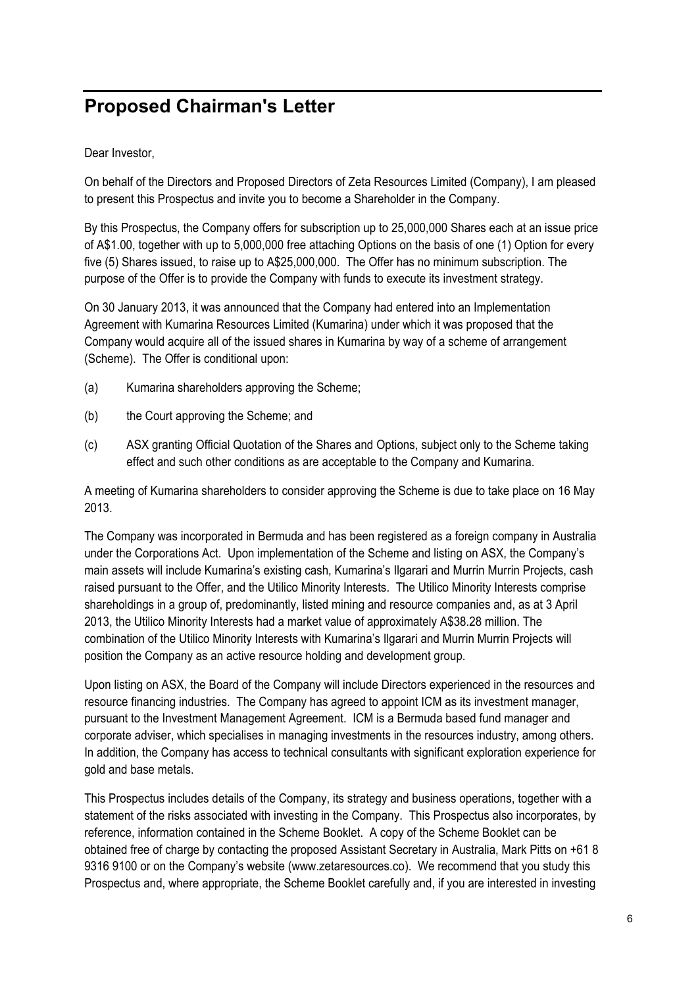# **Proposed Chairman's Letter**

Dear Investor,

On behalf of the Directors and Proposed Directors of Zeta Resources Limited (Company), I am pleased to present this Prospectus and invite you to become a Shareholder in the Company.

By this Prospectus, the Company offers for subscription up to 25,000,000 Shares each at an issue price of A\$1.00, together with up to 5,000,000 free attaching Options on the basis of one (1) Option for every five (5) Shares issued, to raise up to A\$25,000,000. The Offer has no minimum subscription. The purpose of the Offer is to provide the Company with funds to execute its investment strategy.

On 30 January 2013, it was announced that the Company had entered into an Implementation Agreement with Kumarina Resources Limited (Kumarina) under which it was proposed that the Company would acquire all of the issued shares in Kumarina by way of a scheme of arrangement (Scheme). The Offer is conditional upon:

- (a) Kumarina shareholders approving the Scheme;
- (b) the Court approving the Scheme; and
- (c) ASX granting Official Quotation of the Shares and Options, subject only to the Scheme taking effect and such other conditions as are acceptable to the Company and Kumarina.

A meeting of Kumarina shareholders to consider approving the Scheme is due to take place on 16 May 2013.

The Company was incorporated in Bermuda and has been registered as a foreign company in Australia under the Corporations Act. Upon implementation of the Scheme and listing on ASX, the Company's main assets will include Kumarina's existing cash, Kumarina's Ilgarari and Murrin Murrin Projects, cash raised pursuant to the Offer, and the Utilico Minority Interests. The Utilico Minority Interests comprise shareholdings in a group of, predominantly, listed mining and resource companies and, as at 3 April 2013, the Utilico Minority Interests had a market value of approximately A\$38.28 million. The combination of the Utilico Minority Interests with Kumarina's Ilgarari and Murrin Murrin Projects will position the Company as an active resource holding and development group.

Upon listing on ASX, the Board of the Company will include Directors experienced in the resources and resource financing industries. The Company has agreed to appoint ICM as its investment manager, pursuant to the Investment Management Agreement. ICM is a Bermuda based fund manager and corporate adviser, which specialises in managing investments in the resources industry, among others. In addition, the Company has access to technical consultants with significant exploration experience for gold and base metals.

This Prospectus includes details of the Company, its strategy and business operations, together with a statement of the risks associated with investing in the Company. This Prospectus also incorporates, by reference, information contained in the Scheme Booklet. A copy of the Scheme Booklet can be obtained free of charge by contacting the proposed Assistant Secretary in Australia, Mark Pitts on +61 8 9316 9100 or on the Company's website (www.zetaresources.co). We recommend that you study this Prospectus and, where appropriate, the Scheme Booklet carefully and, if you are interested in investing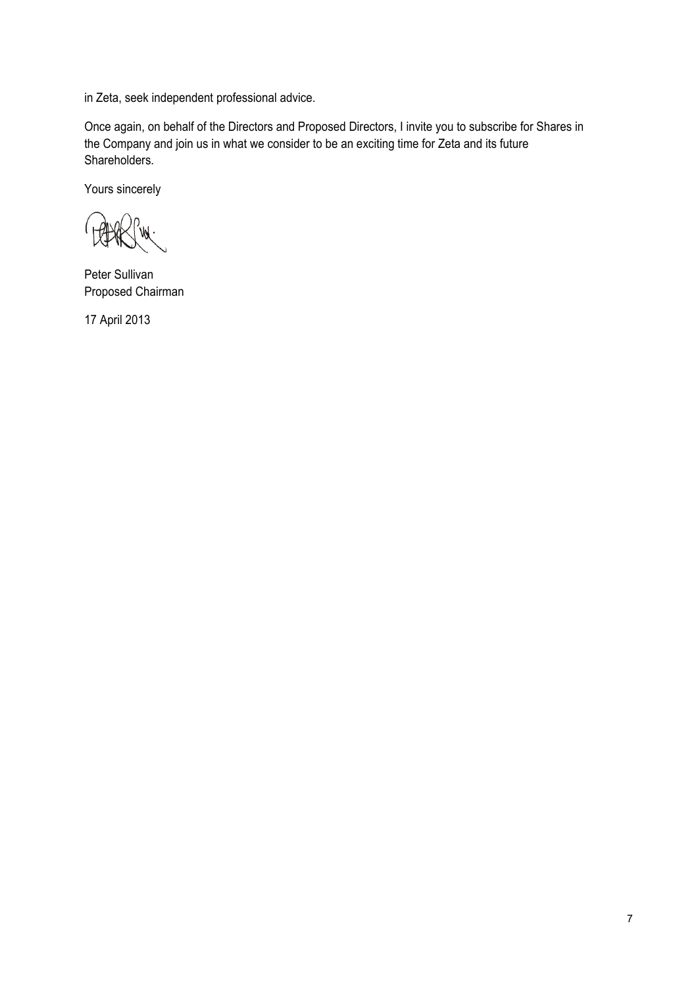in Zeta, seek independent professional advice.

Once again, on behalf of the Directors and Proposed Directors, I invite you to subscribe for Shares in the Company and join us in what we consider to be an exciting time for Zeta and its future Shareholders.

Yours sincerely

Peter Sullivan Proposed Chairman

17 April 2013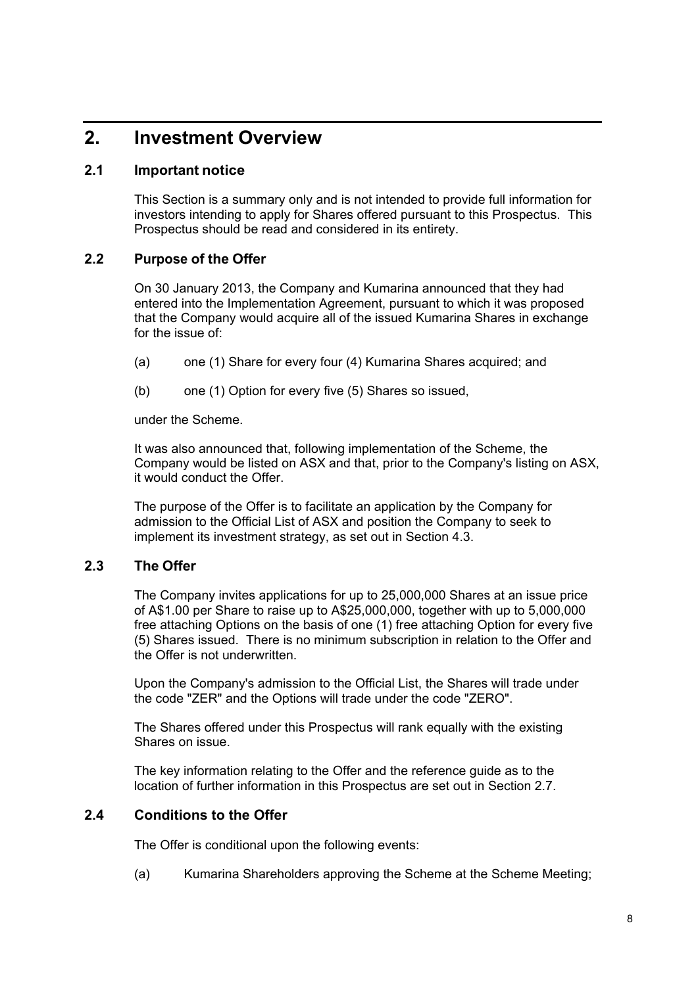### **2. Investment Overview**

### **2.1 Important notice**

This Section is a summary only and is not intended to provide full information for investors intending to apply for Shares offered pursuant to this Prospectus. This Prospectus should be read and considered in its entirety.

### **2.2 Purpose of the Offer**

On 30 January 2013, the Company and Kumarina announced that they had entered into the Implementation Agreement, pursuant to which it was proposed that the Company would acquire all of the issued Kumarina Shares in exchange for the issue of:

- (a) one (1) Share for every four (4) Kumarina Shares acquired; and
- (b) one (1) Option for every five (5) Shares so issued,

under the Scheme.

It was also announced that, following implementation of the Scheme, the Company would be listed on ASX and that, prior to the Company's listing on ASX, it would conduct the Offer.

The purpose of the Offer is to facilitate an application by the Company for admission to the Official List of ASX and position the Company to seek to implement its investment strategy, as set out in Section 4.3.

### **2.3 The Offer**

The Company invites applications for up to 25,000,000 Shares at an issue price of A\$1.00 per Share to raise up to A\$25,000,000, together with up to 5,000,000 free attaching Options on the basis of one (1) free attaching Option for every five (5) Shares issued. There is no minimum subscription in relation to the Offer and the Offer is not underwritten.

Upon the Company's admission to the Official List, the Shares will trade under the code "ZER" and the Options will trade under the code "ZERO".

The Shares offered under this Prospectus will rank equally with the existing Shares on issue.

The key information relating to the Offer and the reference guide as to the location of further information in this Prospectus are set out in Section 2.7.

### **2.4 Conditions to the Offer**

The Offer is conditional upon the following events:

(a) Kumarina Shareholders approving the Scheme at the Scheme Meeting;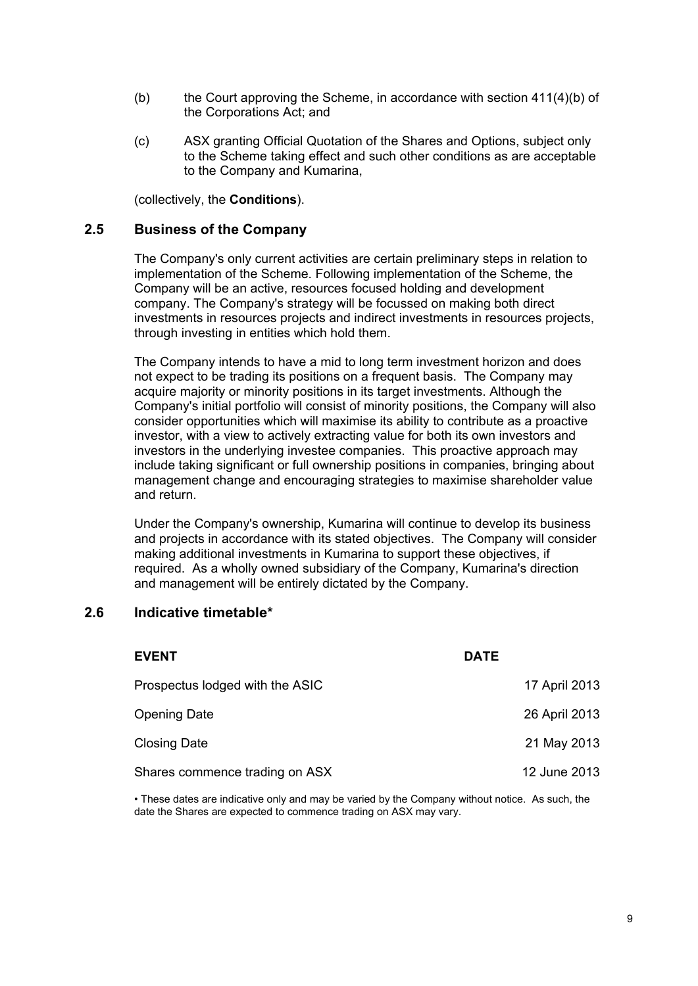- (b) the Court approving the Scheme, in accordance with section  $411(4)(b)$  of the Corporations Act; and
- (c) ASX granting Official Quotation of the Shares and Options, subject only to the Scheme taking effect and such other conditions as are acceptable to the Company and Kumarina,

(collectively, the **Conditions**).

### **2.5 Business of the Company**

The Company's only current activities are certain preliminary steps in relation to implementation of the Scheme. Following implementation of the Scheme, the Company will be an active, resources focused holding and development company. The Company's strategy will be focussed on making both direct investments in resources projects and indirect investments in resources projects, through investing in entities which hold them.

The Company intends to have a mid to long term investment horizon and does not expect to be trading its positions on a frequent basis. The Company may acquire majority or minority positions in its target investments. Although the Company's initial portfolio will consist of minority positions, the Company will also consider opportunities which will maximise its ability to contribute as a proactive investor, with a view to actively extracting value for both its own investors and investors in the underlying investee companies. This proactive approach may include taking significant or full ownership positions in companies, bringing about management change and encouraging strategies to maximise shareholder value and return.

Under the Company's ownership, Kumarina will continue to develop its business and projects in accordance with its stated objectives. The Company will consider making additional investments in Kumarina to support these objectives, if required. As a wholly owned subsidiary of the Company, Kumarina's direction and management will be entirely dictated by the Company.

### **2.6 Indicative timetable\***

| <b>DATE</b>   |
|---------------|
| 17 April 2013 |
| 26 April 2013 |
| 21 May 2013   |
| 12 June 2013  |
|               |

• These dates are indicative only and may be varied by the Company without notice. As such, the date the Shares are expected to commence trading on ASX may vary.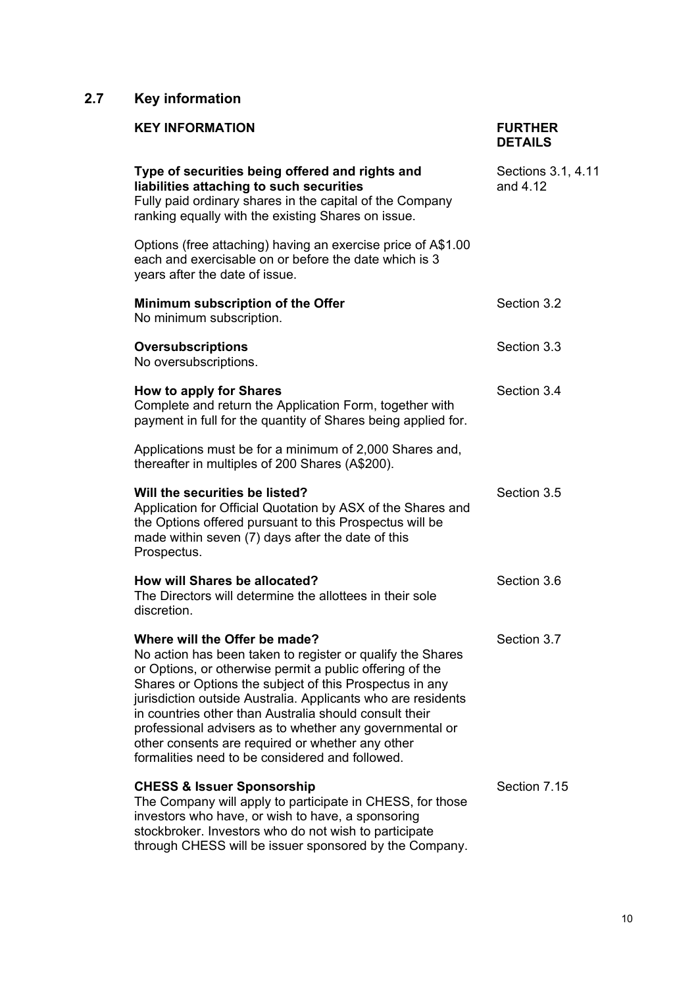### **2.7 Key information**

| <b>KEY INFORMATION</b>                                                                                                                                                                                                                                                                                                                                                                                                                                                                                         | <b>FURTHER</b><br><b>DETAILS</b> |
|----------------------------------------------------------------------------------------------------------------------------------------------------------------------------------------------------------------------------------------------------------------------------------------------------------------------------------------------------------------------------------------------------------------------------------------------------------------------------------------------------------------|----------------------------------|
| Type of securities being offered and rights and<br>liabilities attaching to such securities<br>Fully paid ordinary shares in the capital of the Company<br>ranking equally with the existing Shares on issue.                                                                                                                                                                                                                                                                                                  | Sections 3.1, 4.11<br>and 4.12   |
| Options (free attaching) having an exercise price of A\$1.00<br>each and exercisable on or before the date which is 3<br>years after the date of issue.                                                                                                                                                                                                                                                                                                                                                        |                                  |
| Minimum subscription of the Offer<br>No minimum subscription.                                                                                                                                                                                                                                                                                                                                                                                                                                                  | Section 3.2                      |
| <b>Oversubscriptions</b><br>No oversubscriptions.                                                                                                                                                                                                                                                                                                                                                                                                                                                              | Section 3.3                      |
| How to apply for Shares<br>Complete and return the Application Form, together with<br>payment in full for the quantity of Shares being applied for.                                                                                                                                                                                                                                                                                                                                                            | Section 3.4                      |
| Applications must be for a minimum of 2,000 Shares and,<br>thereafter in multiples of 200 Shares (A\$200).                                                                                                                                                                                                                                                                                                                                                                                                     |                                  |
| Will the securities be listed?<br>Application for Official Quotation by ASX of the Shares and<br>the Options offered pursuant to this Prospectus will be<br>made within seven (7) days after the date of this<br>Prospectus.                                                                                                                                                                                                                                                                                   | Section 3.5                      |
| How will Shares be allocated?<br>The Directors will determine the allottees in their sole<br>discretion.                                                                                                                                                                                                                                                                                                                                                                                                       | Section 3.6                      |
| Where will the Offer be made?<br>No action has been taken to register or qualify the Shares<br>or Options, or otherwise permit a public offering of the<br>Shares or Options the subject of this Prospectus in any<br>jurisdiction outside Australia. Applicants who are residents<br>in countries other than Australia should consult their<br>professional advisers as to whether any governmental or<br>other consents are required or whether any other<br>formalities need to be considered and followed. | Section 3.7                      |
| <b>CHESS &amp; Issuer Sponsorship</b><br>The Company will apply to participate in CHESS, for those<br>investors who have, or wish to have, a sponsoring<br>stockbroker. Investors who do not wish to participate<br>through CHESS will be issuer sponsored by the Company.                                                                                                                                                                                                                                     | Section 7.15                     |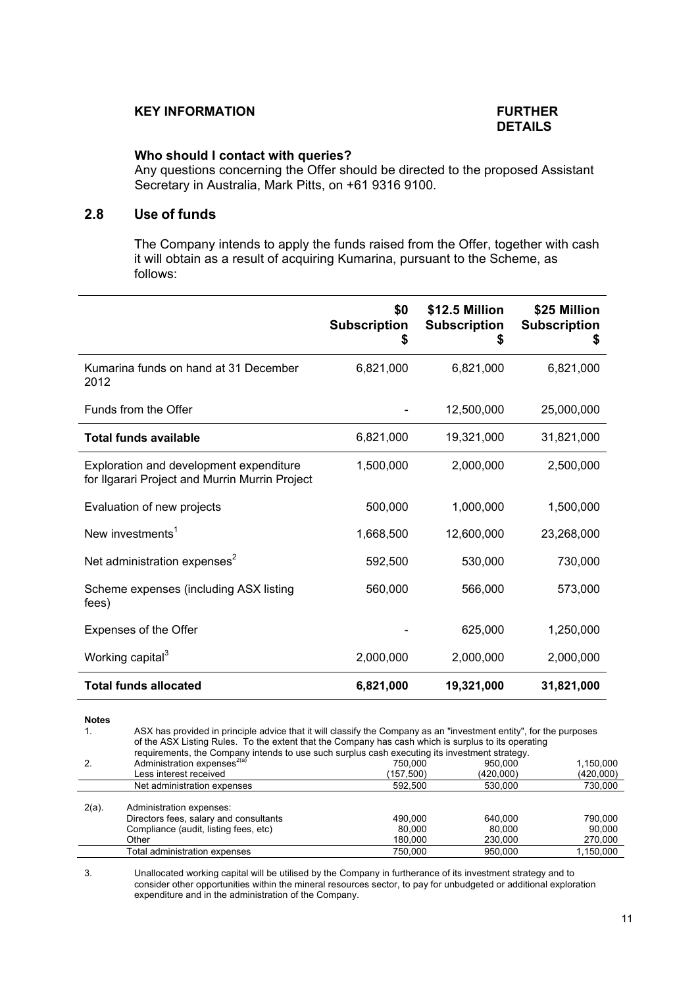### **KEY INFORMATION FURTHER**

# **DETAILS**

### **Who should I contact with queries?**

Any questions concerning the Offer should be directed to the proposed Assistant Secretary in Australia, Mark Pitts, on +61 9316 9100.

### **2.8 Use of funds**

The Company intends to apply the funds raised from the Offer, together with cash it will obtain as a result of acquiring Kumarina, pursuant to the Scheme, as follows:

| \$0<br><b>Subscription</b><br>\$ | \$12.5 Million<br><b>Subscription</b><br>S | \$25 Million<br><b>Subscription</b><br>5 |
|----------------------------------|--------------------------------------------|------------------------------------------|
| 6,821,000                        | 6,821,000                                  | 6,821,000                                |
|                                  | 12,500,000                                 | 25,000,000                               |
| 6,821,000                        | 19,321,000                                 | 31,821,000                               |
| 1,500,000                        | 2,000,000                                  | 2,500,000                                |
| 500,000                          | 1,000,000                                  | 1,500,000                                |
| 1,668,500                        | 12,600,000                                 | 23,268,000                               |
| 592,500                          | 530,000                                    | 730,000                                  |
| 560,000                          | 566,000                                    | 573,000                                  |
|                                  | 625,000                                    | 1,250,000                                |
| 2,000,000                        | 2,000,000                                  | 2,000,000                                |
| 6,821,000                        | 19,321,000                                 | 31,821,000                               |
|                                  |                                            |                                          |

**Notes** 

|          | ASX has provided in principle advice that it will classify the Company as an "investment entity", for the purposes<br>of the ASX Listing Rules. To the extent that the Company has cash which is surplus to its operating<br>requirements, the Company intends to use such surplus cash executing its investment strategy. |                              |                              |                              |  |
|----------|----------------------------------------------------------------------------------------------------------------------------------------------------------------------------------------------------------------------------------------------------------------------------------------------------------------------------|------------------------------|------------------------------|------------------------------|--|
|          | Administration expenses <sup>2(a)</sup>                                                                                                                                                                                                                                                                                    | 750.000                      | 950.000                      | 1,150,000                    |  |
|          | Less interest received                                                                                                                                                                                                                                                                                                     | (157,500)                    | (420,000)                    | (420,000)                    |  |
|          | Net administration expenses                                                                                                                                                                                                                                                                                                | 592.500                      | 530,000                      | 730,000                      |  |
| $2(a)$ . | Administration expenses:<br>Directors fees, salary and consultants<br>Compliance (audit, listing fees, etc)<br>Other                                                                                                                                                                                                       | 490.000<br>80.000<br>180.000 | 640.000<br>80.000<br>230,000 | 790.000<br>90.000<br>270,000 |  |
|          | Total administration expenses                                                                                                                                                                                                                                                                                              | 750.000                      | 950.000                      | 1.150.000                    |  |

3. Unallocated working capital will be utilised by the Company in furtherance of its investment strategy and to consider other opportunities within the mineral resources sector, to pay for unbudgeted or additional exploration expenditure and in the administration of the Company.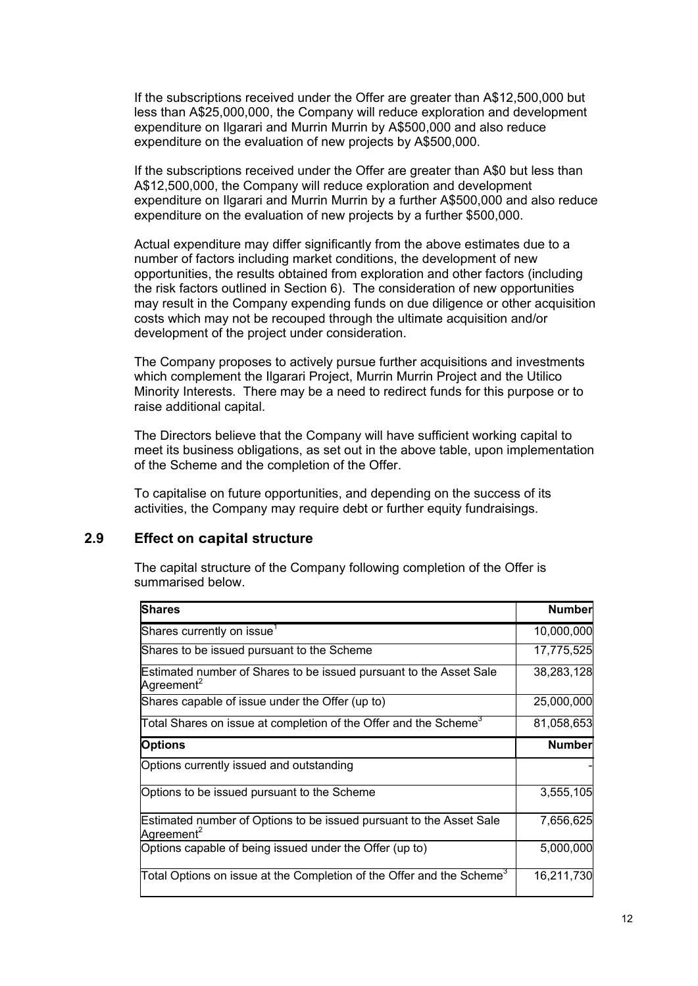If the subscriptions received under the Offer are greater than A\$12,500,000 but less than A\$25,000,000, the Company will reduce exploration and development expenditure on Ilgarari and Murrin Murrin by A\$500,000 and also reduce expenditure on the evaluation of new projects by A\$500,000.

If the subscriptions received under the Offer are greater than A\$0 but less than A\$12,500,000, the Company will reduce exploration and development expenditure on Ilgarari and Murrin Murrin by a further A\$500,000 and also reduce expenditure on the evaluation of new projects by a further \$500,000.

Actual expenditure may differ significantly from the above estimates due to a number of factors including market conditions, the development of new opportunities, the results obtained from exploration and other factors (including the risk factors outlined in Section 6). The consideration of new opportunities may result in the Company expending funds on due diligence or other acquisition costs which may not be recouped through the ultimate acquisition and/or development of the project under consideration.

The Company proposes to actively pursue further acquisitions and investments which complement the Ilgarari Project, Murrin Murrin Project and the Utilico Minority Interests. There may be a need to redirect funds for this purpose or to raise additional capital.

The Directors believe that the Company will have sufficient working capital to meet its business obligations, as set out in the above table, upon implementation of the Scheme and the completion of the Offer.

To capitalise on future opportunities, and depending on the success of its activities, the Company may require debt or further equity fundraisings.

### **2.9 Effect on capital structure**

The capital structure of the Company following completion of the Offer is summarised below.

| <b>Shares</b>                                                                                 | <b>Number</b> |
|-----------------------------------------------------------------------------------------------|---------------|
| Shares currently on issue <sup>1</sup>                                                        | 10,000,000    |
| Shares to be issued pursuant to the Scheme                                                    | 17,775,525    |
| Estimated number of Shares to be issued pursuant to the Asset Sale<br>Agreement <sup>2</sup>  | 38,283,128    |
| Shares capable of issue under the Offer (up to)                                               | 25,000,000    |
| Total Shares on issue at completion of the Offer and the Scheme <sup>3</sup>                  | 81,058,653    |
| <b>Options</b>                                                                                | <b>Number</b> |
| Options currently issued and outstanding                                                      |               |
| Options to be issued pursuant to the Scheme                                                   | 3,555,105     |
| Estimated number of Options to be issued pursuant to the Asset Sale<br>Agreement <sup>2</sup> | 7,656,625     |
| Options capable of being issued under the Offer (up to)                                       | 5,000,000     |
| Total Options on issue at the Completion of the Offer and the Scheme $^3$                     | 16,211,730    |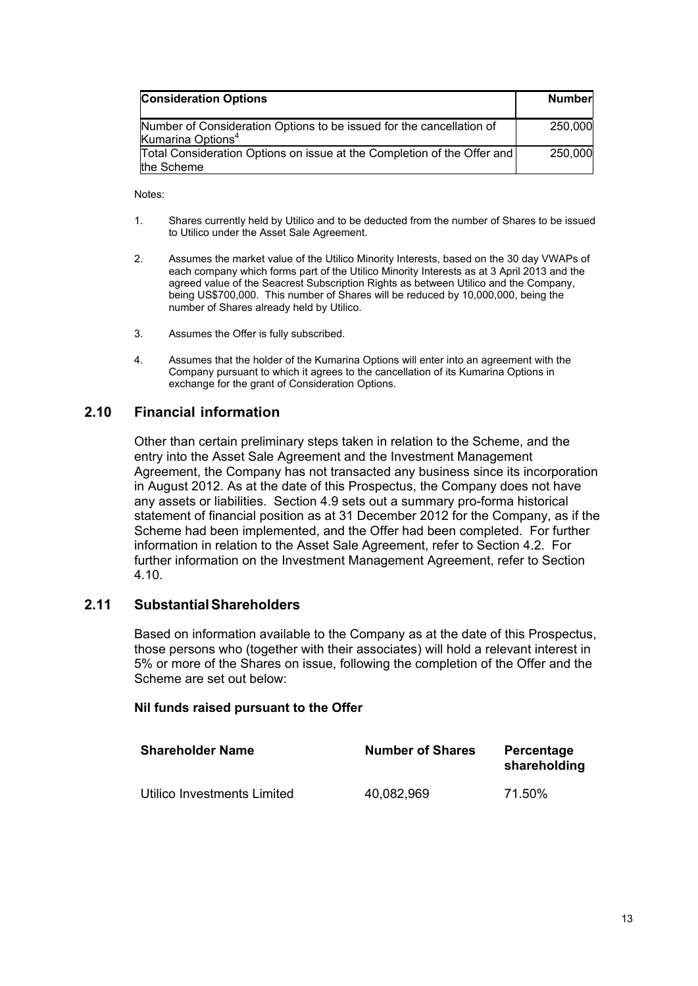| <b>Consideration Options</b>                                                                          | <b>Number</b> |
|-------------------------------------------------------------------------------------------------------|---------------|
| Number of Consideration Options to be issued for the cancellation of<br>Kumarina Options <sup>4</sup> | 250,000       |
| Total Consideration Options on issue at the Completion of the Offer and<br>the Scheme                 | 250,000       |

Notes:

- 1. Shares currently held by Utilico and to be deducted from the number of Shares to be issued to Utilico under the Asset Sale Agreement.
- 2. Assumes the market value of the Utilico Minority Interests, based on the 30 day VWAPs of each company which forms part of the Utilico Minority Interests as at 3 April 2013 and the agreed value of the Seacrest Subscription Rights as between Utilico and the Company, being US\$700,000. This number of Shares will be reduced by 10,000,000, being the number of Shares already held by Utilico.
- 3. Assumes the Offer is fully subscribed.
- 4. Assumes that the holder of the Kumarina Options will enter into an agreement with the Company pursuant to which it agrees to the cancellation of its Kumarina Options in exchange for the grant of Consideration Options.

### **2.10 Financial information**

Other than certain preliminary steps taken in relation to the Scheme, and the entry into the Asset Sale Agreement and the Investment Management Agreement, the Company has not transacted any business since its incorporation in August 2012. As at the date of this Prospectus, the Company does not have any assets or liabilities. Section 4.9 sets out a summary pro-forma historical statement of financial position as at 31 December 2012 for the Company, as if the Scheme had been implemented, and the Offer had been completed. For further information in relation to the Asset Sale Agreement, refer to Section 4.2. For further information on the Investment Management Agreement, refer to Section 4.10.

### **2.11 Substantial Shareholders**

Based on information available to the Company as at the date of this Prospectus, those persons who (together with their associates) will hold a relevant interest in 5% or more of the Shares on issue, following the completion of the Offer and the Scheme are set out below:

#### **Nil funds raised pursuant to the Offer**

| <b>Shareholder Name</b>     | <b>Number of Shares</b> | Percentage<br>shareholding |
|-----------------------------|-------------------------|----------------------------|
| Utilico Investments Limited | 40,082,969              | 71.50%                     |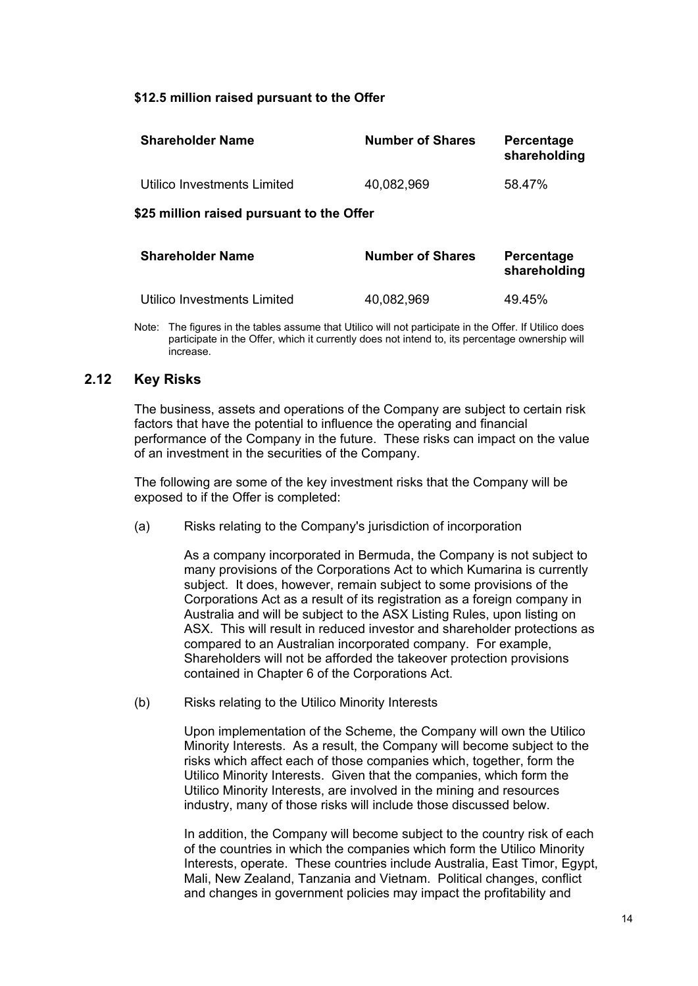### **\$12.5 million raised pursuant to the Offer**

| <b>Shareholder Name</b>     | <b>Number of Shares</b> | Percentage<br>shareholding |
|-----------------------------|-------------------------|----------------------------|
| Utilico Investments Limited | 40,082,969              | 58.47%                     |
|                             |                         |                            |

### **\$25 million raised pursuant to the Offer**

| <b>Shareholder Name</b>     | <b>Number of Shares</b> | Percentage<br>shareholding |
|-----------------------------|-------------------------|----------------------------|
| Utilico Investments Limited | 40,082,969              | 49.45%                     |

Note: The figures in the tables assume that Utilico will not participate in the Offer. If Utilico does participate in the Offer, which it currently does not intend to, its percentage ownership will increase.

### **2.12 Key Risks**

The business, assets and operations of the Company are subject to certain risk factors that have the potential to influence the operating and financial performance of the Company in the future. These risks can impact on the value of an investment in the securities of the Company.

The following are some of the key investment risks that the Company will be exposed to if the Offer is completed:

(a) Risks relating to the Company's jurisdiction of incorporation

As a company incorporated in Bermuda, the Company is not subject to many provisions of the Corporations Act to which Kumarina is currently subject. It does, however, remain subject to some provisions of the Corporations Act as a result of its registration as a foreign company in Australia and will be subject to the ASX Listing Rules, upon listing on ASX. This will result in reduced investor and shareholder protections as compared to an Australian incorporated company. For example, Shareholders will not be afforded the takeover protection provisions contained in Chapter 6 of the Corporations Act.

(b) Risks relating to the Utilico Minority Interests

Upon implementation of the Scheme, the Company will own the Utilico Minority Interests. As a result, the Company will become subject to the risks which affect each of those companies which, together, form the Utilico Minority Interests. Given that the companies, which form the Utilico Minority Interests, are involved in the mining and resources industry, many of those risks will include those discussed below.

In addition, the Company will become subject to the country risk of each of the countries in which the companies which form the Utilico Minority Interests, operate. These countries include Australia, East Timor, Egypt, Mali, New Zealand, Tanzania and Vietnam. Political changes, conflict and changes in government policies may impact the profitability and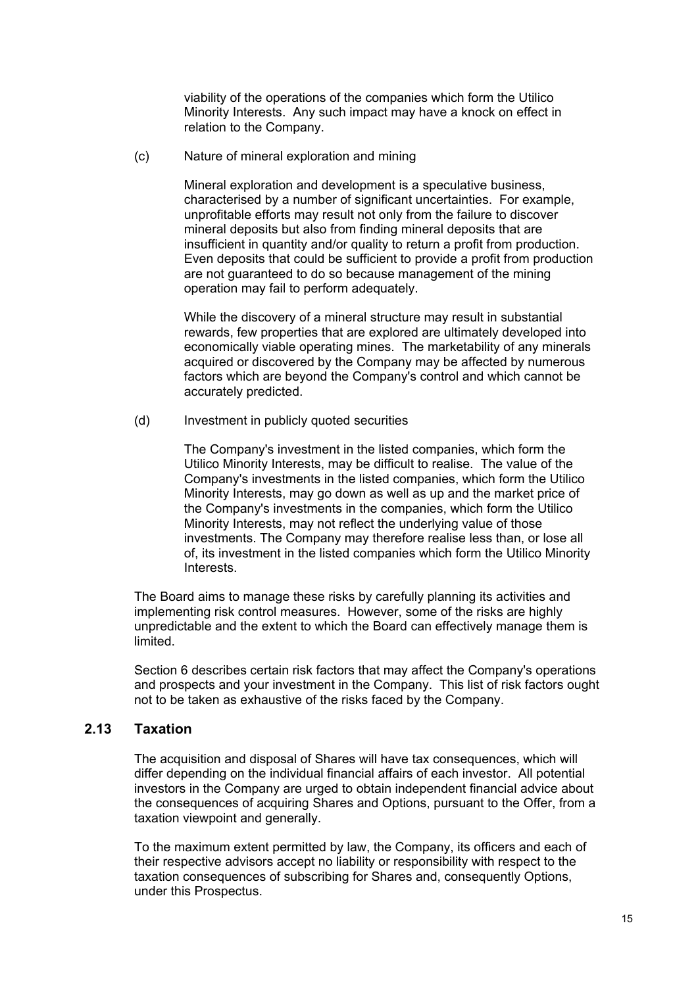viability of the operations of the companies which form the Utilico Minority Interests. Any such impact may have a knock on effect in relation to the Company.

(c) Nature of mineral exploration and mining

Mineral exploration and development is a speculative business, characterised by a number of significant uncertainties. For example, unprofitable efforts may result not only from the failure to discover mineral deposits but also from finding mineral deposits that are insufficient in quantity and/or quality to return a profit from production. Even deposits that could be sufficient to provide a profit from production are not guaranteed to do so because management of the mining operation may fail to perform adequately.

While the discovery of a mineral structure may result in substantial rewards, few properties that are explored are ultimately developed into economically viable operating mines. The marketability of any minerals acquired or discovered by the Company may be affected by numerous factors which are beyond the Company's control and which cannot be accurately predicted.

(d) Investment in publicly quoted securities

The Company's investment in the listed companies, which form the Utilico Minority Interests, may be difficult to realise. The value of the Company's investments in the listed companies, which form the Utilico Minority Interests, may go down as well as up and the market price of the Company's investments in the companies, which form the Utilico Minority Interests, may not reflect the underlying value of those investments. The Company may therefore realise less than, or lose all of, its investment in the listed companies which form the Utilico Minority Interests.

The Board aims to manage these risks by carefully planning its activities and implementing risk control measures. However, some of the risks are highly unpredictable and the extent to which the Board can effectively manage them is limited.

Section 6 describes certain risk factors that may affect the Company's operations and prospects and your investment in the Company. This list of risk factors ought not to be taken as exhaustive of the risks faced by the Company.

### **2.13 Taxation**

The acquisition and disposal of Shares will have tax consequences, which will differ depending on the individual financial affairs of each investor. All potential investors in the Company are urged to obtain independent financial advice about the consequences of acquiring Shares and Options, pursuant to the Offer, from a taxation viewpoint and generally.

To the maximum extent permitted by law, the Company, its officers and each of their respective advisors accept no liability or responsibility with respect to the taxation consequences of subscribing for Shares and, consequently Options, under this Prospectus.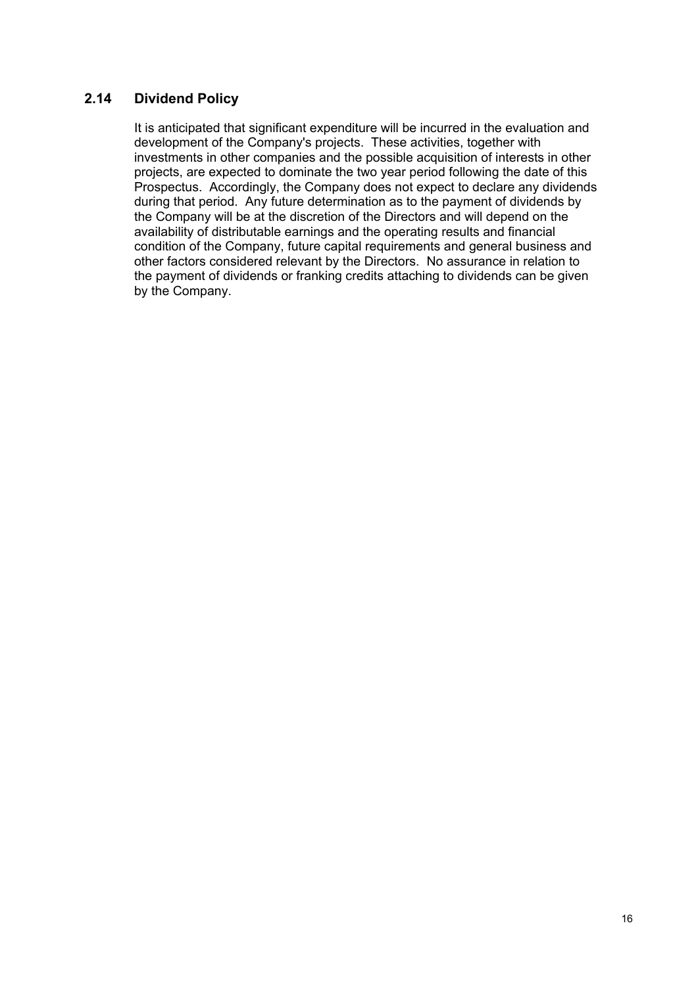### **2.14 Dividend Policy**

It is anticipated that significant expenditure will be incurred in the evaluation and development of the Company's projects. These activities, together with investments in other companies and the possible acquisition of interests in other projects, are expected to dominate the two year period following the date of this Prospectus. Accordingly, the Company does not expect to declare any dividends during that period. Any future determination as to the payment of dividends by the Company will be at the discretion of the Directors and will depend on the availability of distributable earnings and the operating results and financial condition of the Company, future capital requirements and general business and other factors considered relevant by the Directors. No assurance in relation to the payment of dividends or franking credits attaching to dividends can be given by the Company.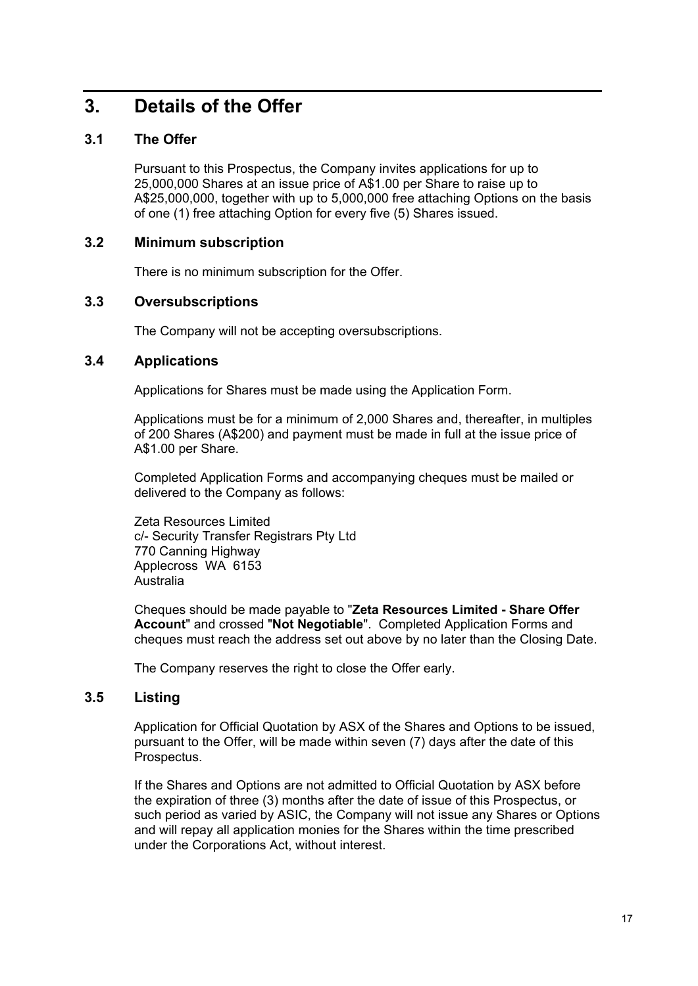### **3. Details of the Offer**

### **3.1 The Offer**

Pursuant to this Prospectus, the Company invites applications for up to 25,000,000 Shares at an issue price of A\$1.00 per Share to raise up to A\$25,000,000, together with up to 5,000,000 free attaching Options on the basis of one (1) free attaching Option for every five (5) Shares issued.

### **3.2 Minimum subscription**

There is no minimum subscription for the Offer.

### **3.3 Oversubscriptions**

The Company will not be accepting oversubscriptions.

### **3.4 Applications**

Applications for Shares must be made using the Application Form.

Applications must be for a minimum of 2,000 Shares and, thereafter, in multiples of 200 Shares (A\$200) and payment must be made in full at the issue price of A\$1.00 per Share.

Completed Application Forms and accompanying cheques must be mailed or delivered to the Company as follows:

Zeta Resources Limited c/- Security Transfer Registrars Pty Ltd 770 Canning Highway Applecross WA 6153 Australia

Cheques should be made payable to "**Zeta Resources Limited - Share Offer Account**" and crossed "**Not Negotiable**". Completed Application Forms and cheques must reach the address set out above by no later than the Closing Date.

The Company reserves the right to close the Offer early.

### **3.5 Listing**

Application for Official Quotation by ASX of the Shares and Options to be issued, pursuant to the Offer, will be made within seven (7) days after the date of this Prospectus.

If the Shares and Options are not admitted to Official Quotation by ASX before the expiration of three (3) months after the date of issue of this Prospectus, or such period as varied by ASIC, the Company will not issue any Shares or Options and will repay all application monies for the Shares within the time prescribed under the Corporations Act, without interest.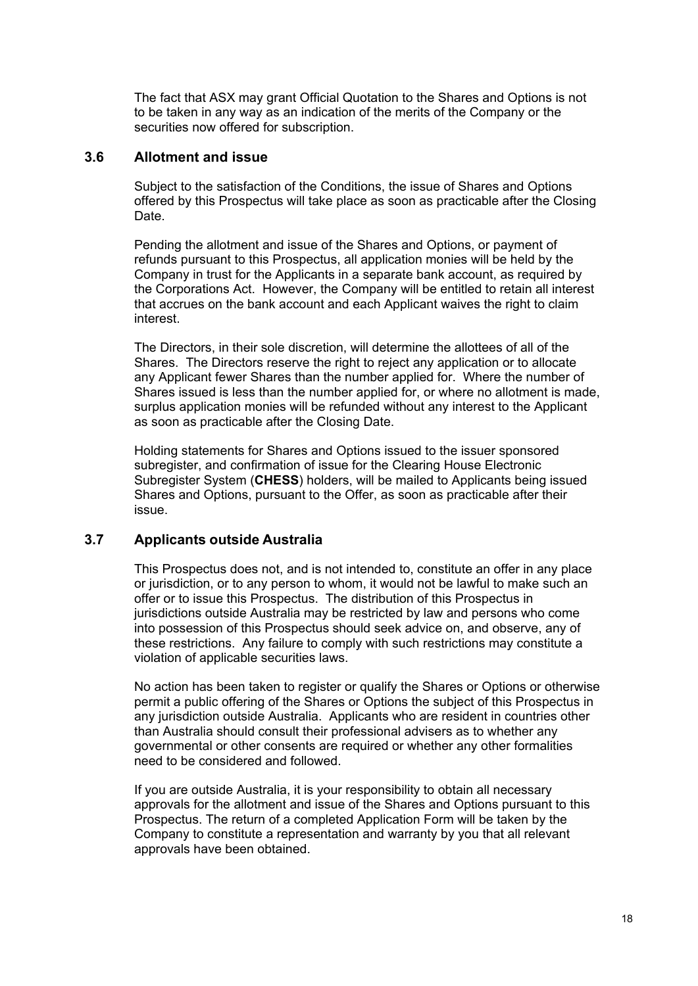The fact that ASX may grant Official Quotation to the Shares and Options is not to be taken in any way as an indication of the merits of the Company or the securities now offered for subscription.

### **3.6 Allotment and issue**

Subject to the satisfaction of the Conditions, the issue of Shares and Options offered by this Prospectus will take place as soon as practicable after the Closing Date.

Pending the allotment and issue of the Shares and Options, or payment of refunds pursuant to this Prospectus, all application monies will be held by the Company in trust for the Applicants in a separate bank account, as required by the Corporations Act. However, the Company will be entitled to retain all interest that accrues on the bank account and each Applicant waives the right to claim interest.

The Directors, in their sole discretion, will determine the allottees of all of the Shares. The Directors reserve the right to reject any application or to allocate any Applicant fewer Shares than the number applied for. Where the number of Shares issued is less than the number applied for, or where no allotment is made, surplus application monies will be refunded without any interest to the Applicant as soon as practicable after the Closing Date.

Holding statements for Shares and Options issued to the issuer sponsored subregister, and confirmation of issue for the Clearing House Electronic Subregister System (**CHESS**) holders, will be mailed to Applicants being issued Shares and Options, pursuant to the Offer, as soon as practicable after their issue.

### **3.7 Applicants outside Australia**

This Prospectus does not, and is not intended to, constitute an offer in any place or jurisdiction, or to any person to whom, it would not be lawful to make such an offer or to issue this Prospectus. The distribution of this Prospectus in jurisdictions outside Australia may be restricted by law and persons who come into possession of this Prospectus should seek advice on, and observe, any of these restrictions. Any failure to comply with such restrictions may constitute a violation of applicable securities laws.

No action has been taken to register or qualify the Shares or Options or otherwise permit a public offering of the Shares or Options the subject of this Prospectus in any jurisdiction outside Australia. Applicants who are resident in countries other than Australia should consult their professional advisers as to whether any governmental or other consents are required or whether any other formalities need to be considered and followed.

If you are outside Australia, it is your responsibility to obtain all necessary approvals for the allotment and issue of the Shares and Options pursuant to this Prospectus. The return of a completed Application Form will be taken by the Company to constitute a representation and warranty by you that all relevant approvals have been obtained.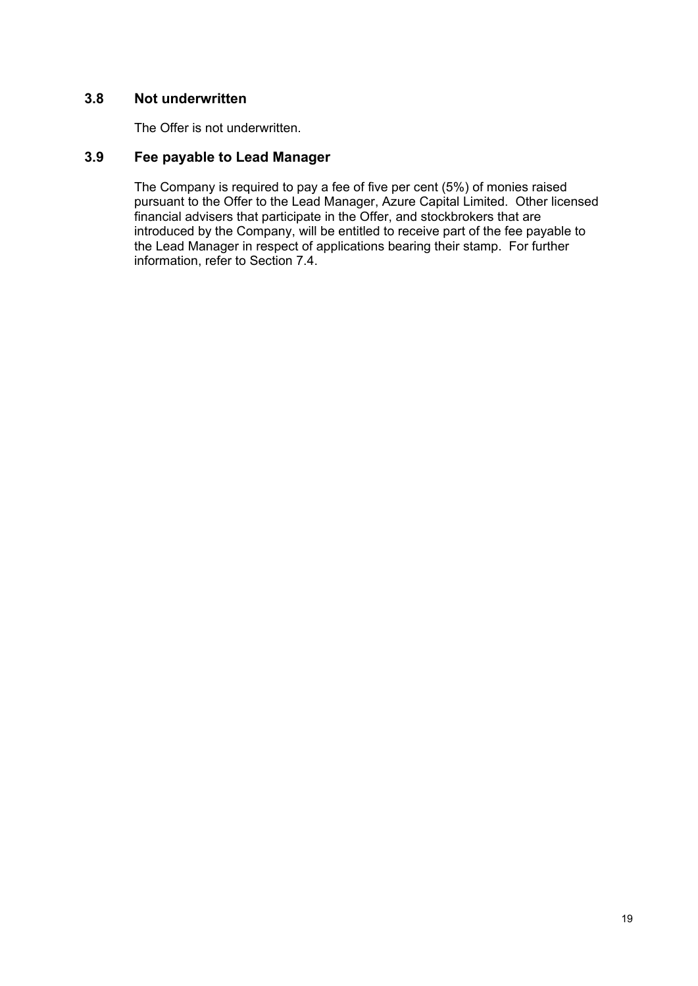### **3.8 Not underwritten**

The Offer is not underwritten.

### **3.9 Fee payable to Lead Manager**

The Company is required to pay a fee of five per cent (5%) of monies raised pursuant to the Offer to the Lead Manager, Azure Capital Limited. Other licensed financial advisers that participate in the Offer, and stockbrokers that are introduced by the Company, will be entitled to receive part of the fee payable to the Lead Manager in respect of applications bearing their stamp. For further information, refer to Section 7.4.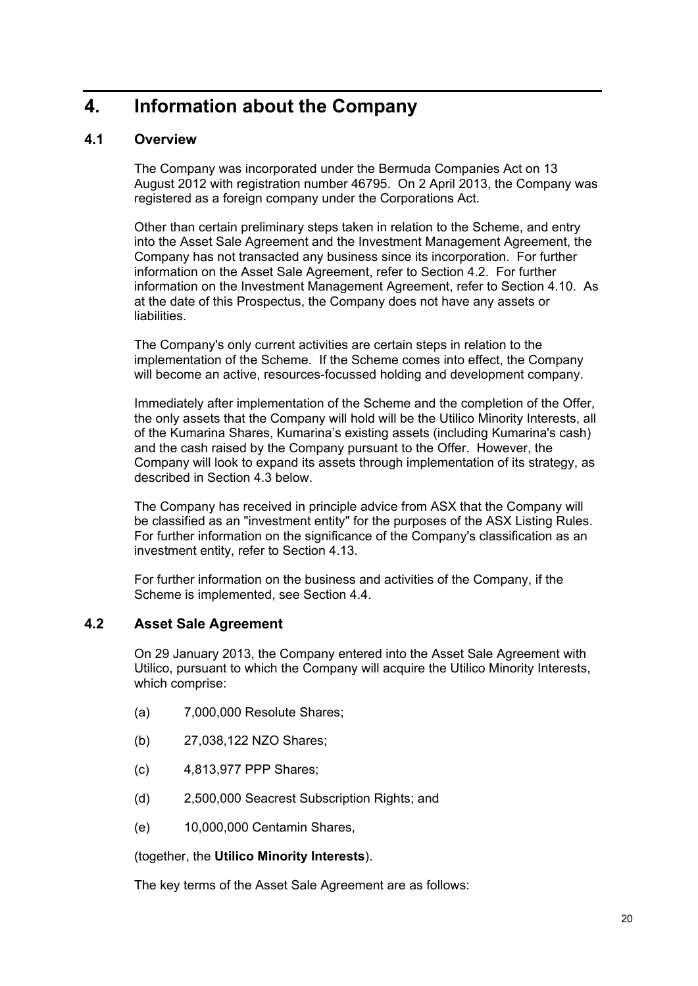# **4. Information about the Company**

### **4.1 Overview**

The Company was incorporated under the Bermuda Companies Act on 13 August 2012 with registration number 46795. On 2 April 2013, the Company was registered as a foreign company under the Corporations Act.

Other than certain preliminary steps taken in relation to the Scheme, and entry into the Asset Sale Agreement and the Investment Management Agreement, the Company has not transacted any business since its incorporation. For further information on the Asset Sale Agreement, refer to Section 4.2. For further information on the Investment Management Agreement, refer to Section 4.10. As at the date of this Prospectus, the Company does not have any assets or **liabilities** 

The Company's only current activities are certain steps in relation to the implementation of the Scheme. If the Scheme comes into effect, the Company will become an active, resources-focussed holding and development company.

Immediately after implementation of the Scheme and the completion of the Offer, the only assets that the Company will hold will be the Utilico Minority Interests, all of the Kumarina Shares, Kumarina's existing assets (including Kumarina's cash) and the cash raised by the Company pursuant to the Offer. However, the Company will look to expand its assets through implementation of its strategy, as described in Section 4.3 below.

The Company has received in principle advice from ASX that the Company will be classified as an "investment entity" for the purposes of the ASX Listing Rules. For further information on the significance of the Company's classification as an investment entity, refer to Section 4.13.

For further information on the business and activities of the Company, if the Scheme is implemented, see Section 4.4.

### **4.2 Asset Sale Agreement**

On 29 January 2013, the Company entered into the Asset Sale Agreement with Utilico, pursuant to which the Company will acquire the Utilico Minority Interests, which comprise:

- (a) 7,000,000 Resolute Shares;
- (b) 27,038,122 NZO Shares;
- (c) 4,813,977 PPP Shares;
- (d) 2,500,000 Seacrest Subscription Rights; and
- (e) 10,000,000 Centamin Shares,

(together, the **Utilico Minority Interests**).

The key terms of the Asset Sale Agreement are as follows: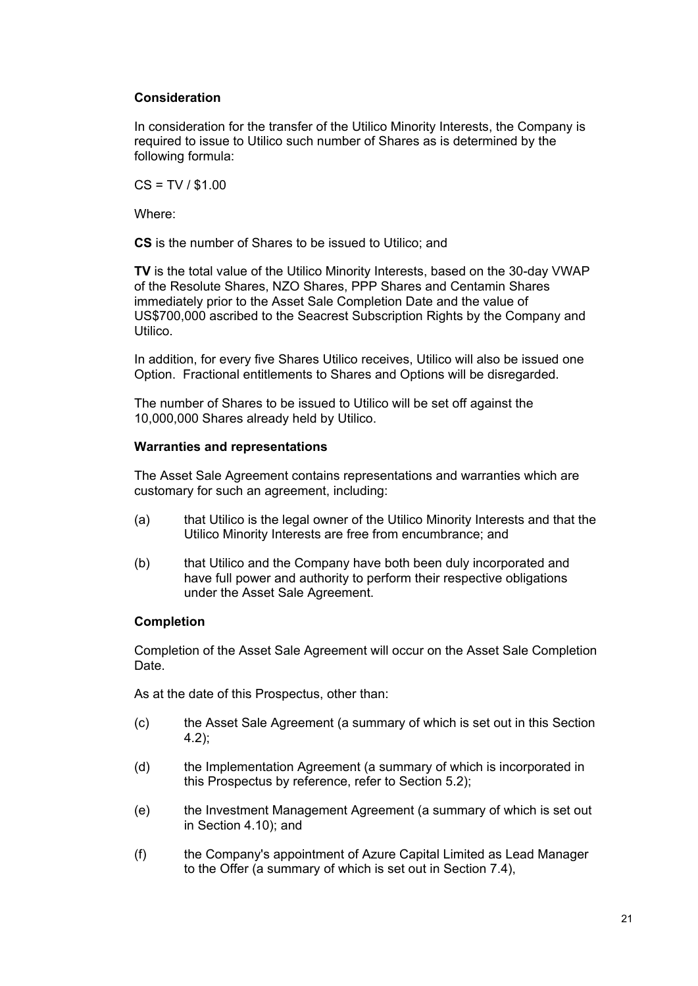### **Consideration**

In consideration for the transfer of the Utilico Minority Interests, the Company is required to issue to Utilico such number of Shares as is determined by the following formula:

 $CS = TV / $1.00$ 

Where:

**CS** is the number of Shares to be issued to Utilico; and

**TV** is the total value of the Utilico Minority Interests, based on the 30-day VWAP of the Resolute Shares, NZO Shares, PPP Shares and Centamin Shares immediately prior to the Asset Sale Completion Date and the value of US\$700,000 ascribed to the Seacrest Subscription Rights by the Company and Utilico.

In addition, for every five Shares Utilico receives, Utilico will also be issued one Option. Fractional entitlements to Shares and Options will be disregarded.

The number of Shares to be issued to Utilico will be set off against the 10,000,000 Shares already held by Utilico.

### **Warranties and representations**

The Asset Sale Agreement contains representations and warranties which are customary for such an agreement, including:

- (a) that Utilico is the legal owner of the Utilico Minority Interests and that the Utilico Minority Interests are free from encumbrance; and
- (b) that Utilico and the Company have both been duly incorporated and have full power and authority to perform their respective obligations under the Asset Sale Agreement.

### **Completion**

Completion of the Asset Sale Agreement will occur on the Asset Sale Completion Date.

As at the date of this Prospectus, other than:

- (c) the Asset Sale Agreement (a summary of which is set out in this Section 4.2);
- (d) the Implementation Agreement (a summary of which is incorporated in this Prospectus by reference, refer to Section 5.2);
- (e) the Investment Management Agreement (a summary of which is set out in Section 4.10); and
- (f) the Company's appointment of Azure Capital Limited as Lead Manager to the Offer (a summary of which is set out in Section 7.4),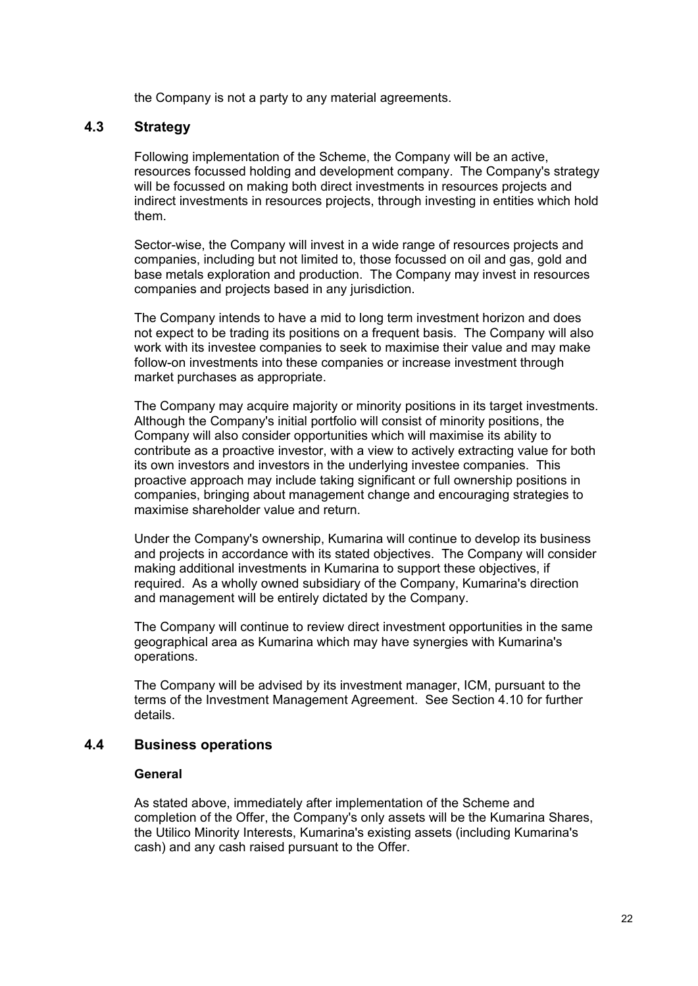the Company is not a party to any material agreements.

### **4.3 Strategy**

Following implementation of the Scheme, the Company will be an active, resources focussed holding and development company. The Company's strategy will be focussed on making both direct investments in resources projects and indirect investments in resources projects, through investing in entities which hold them.

Sector-wise, the Company will invest in a wide range of resources projects and companies, including but not limited to, those focussed on oil and gas, gold and base metals exploration and production. The Company may invest in resources companies and projects based in any jurisdiction.

The Company intends to have a mid to long term investment horizon and does not expect to be trading its positions on a frequent basis. The Company will also work with its investee companies to seek to maximise their value and may make follow-on investments into these companies or increase investment through market purchases as appropriate.

The Company may acquire majority or minority positions in its target investments. Although the Company's initial portfolio will consist of minority positions, the Company will also consider opportunities which will maximise its ability to contribute as a proactive investor, with a view to actively extracting value for both its own investors and investors in the underlying investee companies. This proactive approach may include taking significant or full ownership positions in companies, bringing about management change and encouraging strategies to maximise shareholder value and return.

Under the Company's ownership, Kumarina will continue to develop its business and projects in accordance with its stated objectives. The Company will consider making additional investments in Kumarina to support these objectives, if required. As a wholly owned subsidiary of the Company, Kumarina's direction and management will be entirely dictated by the Company.

The Company will continue to review direct investment opportunities in the same geographical area as Kumarina which may have synergies with Kumarina's operations.

The Company will be advised by its investment manager, ICM, pursuant to the terms of the Investment Management Agreement. See Section 4.10 for further details.

### **4.4 Business operations**

#### **General**

As stated above, immediately after implementation of the Scheme and completion of the Offer, the Company's only assets will be the Kumarina Shares, the Utilico Minority Interests, Kumarina's existing assets (including Kumarina's cash) and any cash raised pursuant to the Offer.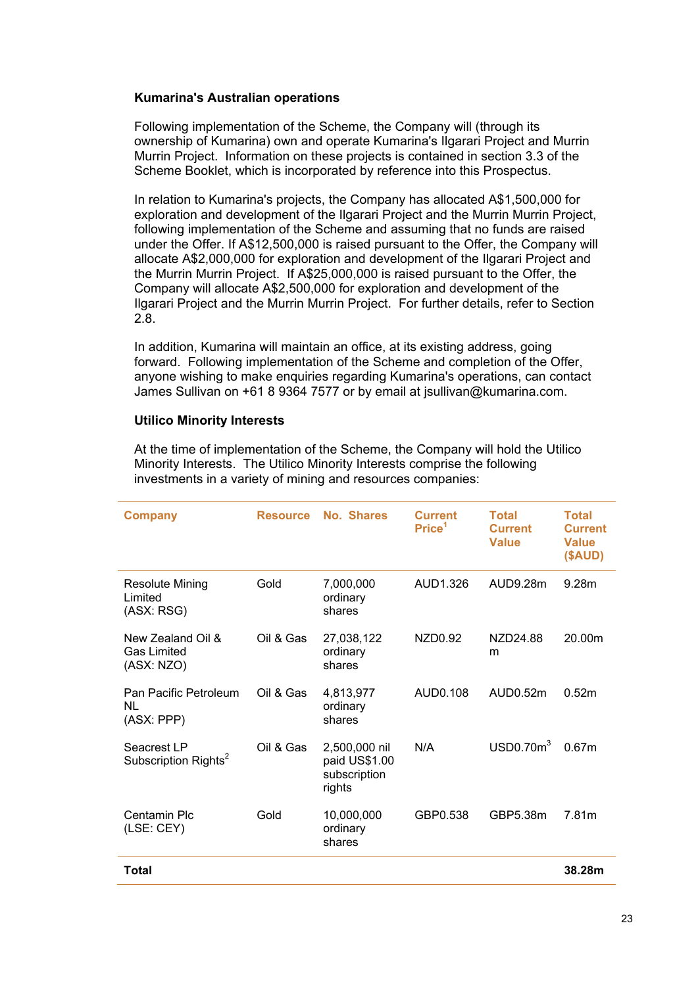### **Kumarina's Australian operations**

Following implementation of the Scheme, the Company will (through its ownership of Kumarina) own and operate Kumarina's Ilgarari Project and Murrin Murrin Project. Information on these projects is contained in section 3.3 of the Scheme Booklet, which is incorporated by reference into this Prospectus.

In relation to Kumarina's projects, the Company has allocated A\$1,500,000 for exploration and development of the Ilgarari Project and the Murrin Murrin Project, following implementation of the Scheme and assuming that no funds are raised under the Offer. If A\$12,500,000 is raised pursuant to the Offer, the Company will allocate A\$2,000,000 for exploration and development of the Ilgarari Project and the Murrin Murrin Project. If A\$25,000,000 is raised pursuant to the Offer, the Company will allocate A\$2,500,000 for exploration and development of the Ilgarari Project and the Murrin Murrin Project. For further details, refer to Section 2.8.

In addition, Kumarina will maintain an office, at its existing address, going forward. Following implementation of the Scheme and completion of the Offer, anyone wishing to make enquiries regarding Kumarina's operations, can contact James Sullivan on +61 8 9364 7577 or by email at jsullivan@kumarina.com.

### **Utilico Minority Interests**

At the time of implementation of the Scheme, the Company will hold the Utilico Minority Interests. The Utilico Minority Interests comprise the following investments in a variety of mining and resources companies:

| <b>Company</b>                                        | <b>Resource</b> | No. Shares                                               | <b>Current</b><br>Price <sup>1</sup> | <b>Total</b><br><b>Current</b><br><b>Value</b> | <b>Total</b><br><b>Current</b><br><b>Value</b><br>(SAUD) |
|-------------------------------------------------------|-----------------|----------------------------------------------------------|--------------------------------------|------------------------------------------------|----------------------------------------------------------|
| Resolute Mining<br>Limited<br>(ASX: RSG)              | Gold            | 7,000,000<br>ordinary<br>shares                          | AUD1.326                             | AUD9.28m                                       | 9.28m                                                    |
| New Zealand Oil &<br><b>Gas Limited</b><br>(ASX: NZO) | Oil & Gas       | 27,038,122<br>ordinary<br>shares                         | NZD0.92                              | NZD24.88<br>m                                  | 20.00m                                                   |
| Pan Pacific Petroleum<br>NL.<br>(ASX: PPP)            | Oil & Gas       | 4,813,977<br>ordinary<br>shares                          | AUD0.108                             | AUD0.52m                                       | 0.52m                                                    |
| Seacrest LP<br>Subscription Rights <sup>2</sup>       | Oil & Gas       | 2,500,000 nil<br>paid US\$1.00<br>subscription<br>rights | N/A                                  | USD0.70m <sup>3</sup>                          | 0.67m                                                    |
| Centamin Plc<br>(LSE: CEY)                            | Gold            | 10,000,000<br>ordinary<br>shares                         | GBP0.538                             | GBP5.38m                                       | 7.81m                                                    |
| <b>Total</b>                                          |                 |                                                          |                                      |                                                | 38.28m                                                   |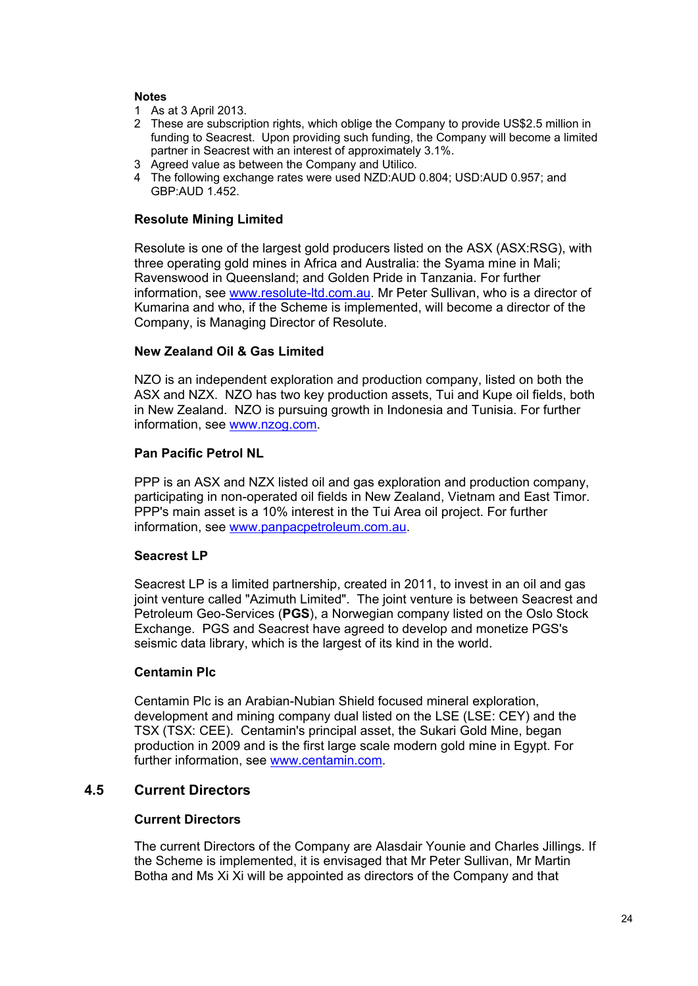### **Notes**

- 1 As at 3 April 2013.
- 2 These are subscription rights, which oblige the Company to provide US\$2.5 million in funding to Seacrest. Upon providing such funding, the Company will become a limited partner in Seacrest with an interest of approximately 3.1%.
- 3 Agreed value as between the Company and Utilico.
- 4 The following exchange rates were used NZD:AUD 0.804; USD:AUD 0.957; and GBP:AUD 1.452.

### **Resolute Mining Limited**

Resolute is one of the largest gold producers listed on the ASX (ASX:RSG), with three operating gold mines in Africa and Australia: the Syama mine in Mali; Ravenswood in Queensland; and Golden Pride in Tanzania. For further information, see www.resolute-ltd.com.au. Mr Peter Sullivan, who is a director of Kumarina and who, if the Scheme is implemented, will become a director of the Company, is Managing Director of Resolute.

### **New Zealand Oil & Gas Limited**

NZO is an independent exploration and production company, listed on both the ASX and NZX. NZO has two key production assets, Tui and Kupe oil fields, both in New Zealand. NZO is pursuing growth in Indonesia and Tunisia. For further information, see www.nzog.com.

### **Pan Pacific Petrol NL**

PPP is an ASX and NZX listed oil and gas exploration and production company, participating in non-operated oil fields in New Zealand, Vietnam and East Timor. PPP's main asset is a 10% interest in the Tui Area oil project. For further information, see www.panpacpetroleum.com.au.

### **Seacrest LP**

Seacrest LP is a limited partnership, created in 2011, to invest in an oil and gas joint venture called "Azimuth Limited". The joint venture is between Seacrest and Petroleum Geo-Services (**PGS**), a Norwegian company listed on the Oslo Stock Exchange. PGS and Seacrest have agreed to develop and monetize PGS's seismic data library, which is the largest of its kind in the world.

### **Centamin Plc**

Centamin Plc is an Arabian-Nubian Shield focused mineral exploration, development and mining company dual listed on the LSE (LSE: CEY) and the TSX (TSX: CEE). Centamin's principal asset, the Sukari Gold Mine, began production in 2009 and is the first large scale modern gold mine in Egypt. For further information, see www.centamin.com.

### **4.5 Current Directors**

### **Current Directors**

The current Directors of the Company are Alasdair Younie and Charles Jillings. If the Scheme is implemented, it is envisaged that Mr Peter Sullivan, Mr Martin Botha and Ms Xi Xi will be appointed as directors of the Company and that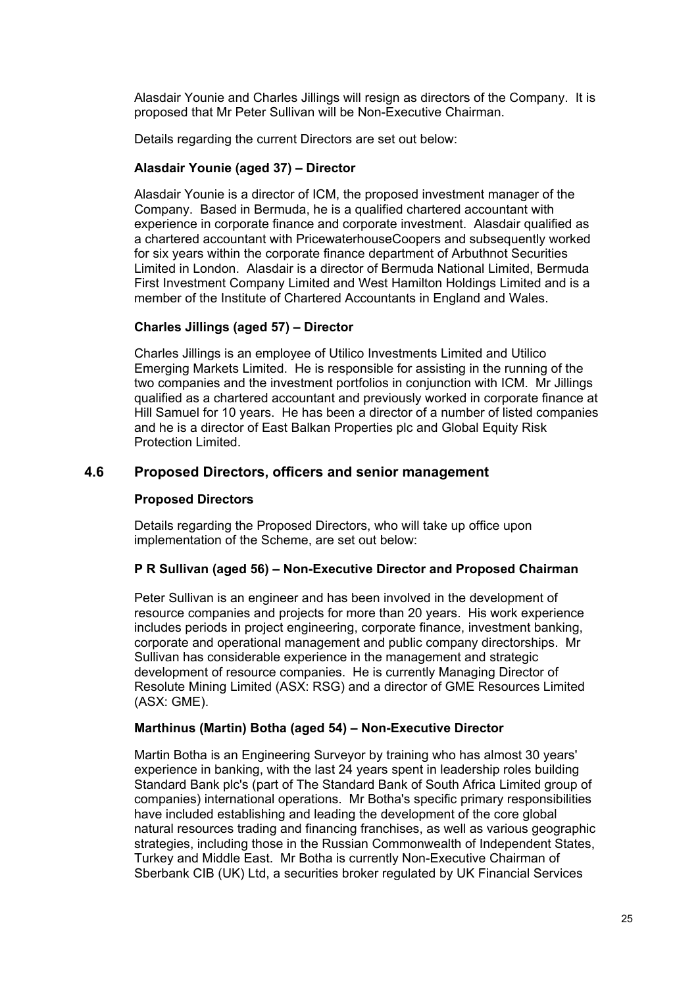Alasdair Younie and Charles Jillings will resign as directors of the Company. It is proposed that Mr Peter Sullivan will be Non-Executive Chairman.

Details regarding the current Directors are set out below:

### **Alasdair Younie (aged 37) – Director**

Alasdair Younie is a director of ICM, the proposed investment manager of the Company. Based in Bermuda, he is a qualified chartered accountant with experience in corporate finance and corporate investment. Alasdair qualified as a chartered accountant with PricewaterhouseCoopers and subsequently worked for six years within the corporate finance department of Arbuthnot Securities Limited in London. Alasdair is a director of Bermuda National Limited, Bermuda First Investment Company Limited and West Hamilton Holdings Limited and is a member of the Institute of Chartered Accountants in England and Wales.

### **Charles Jillings (aged 57) – Director**

Charles Jillings is an employee of Utilico Investments Limited and Utilico Emerging Markets Limited. He is responsible for assisting in the running of the two companies and the investment portfolios in conjunction with ICM. Mr Jillings qualified as a chartered accountant and previously worked in corporate finance at Hill Samuel for 10 years. He has been a director of a number of listed companies and he is a director of East Balkan Properties plc and Global Equity Risk Protection Limited.

### **4.6 Proposed Directors, officers and senior management**

### **Proposed Directors**

Details regarding the Proposed Directors, who will take up office upon implementation of the Scheme, are set out below:

### **P R Sullivan (aged 56) – Non-Executive Director and Proposed Chairman**

Peter Sullivan is an engineer and has been involved in the development of resource companies and projects for more than 20 years. His work experience includes periods in project engineering, corporate finance, investment banking, corporate and operational management and public company directorships. Mr Sullivan has considerable experience in the management and strategic development of resource companies. He is currently Managing Director of Resolute Mining Limited (ASX: RSG) and a director of GME Resources Limited (ASX: GME).

### **Marthinus (Martin) Botha (aged 54) – Non-Executive Director**

Martin Botha is an Engineering Surveyor by training who has almost 30 years' experience in banking, with the last 24 years spent in leadership roles building Standard Bank plc's (part of The Standard Bank of South Africa Limited group of companies) international operations. Mr Botha's specific primary responsibilities have included establishing and leading the development of the core global natural resources trading and financing franchises, as well as various geographic strategies, including those in the Russian Commonwealth of Independent States, Turkey and Middle East. Mr Botha is currently Non-Executive Chairman of Sberbank CIB (UK) Ltd, a securities broker regulated by UK Financial Services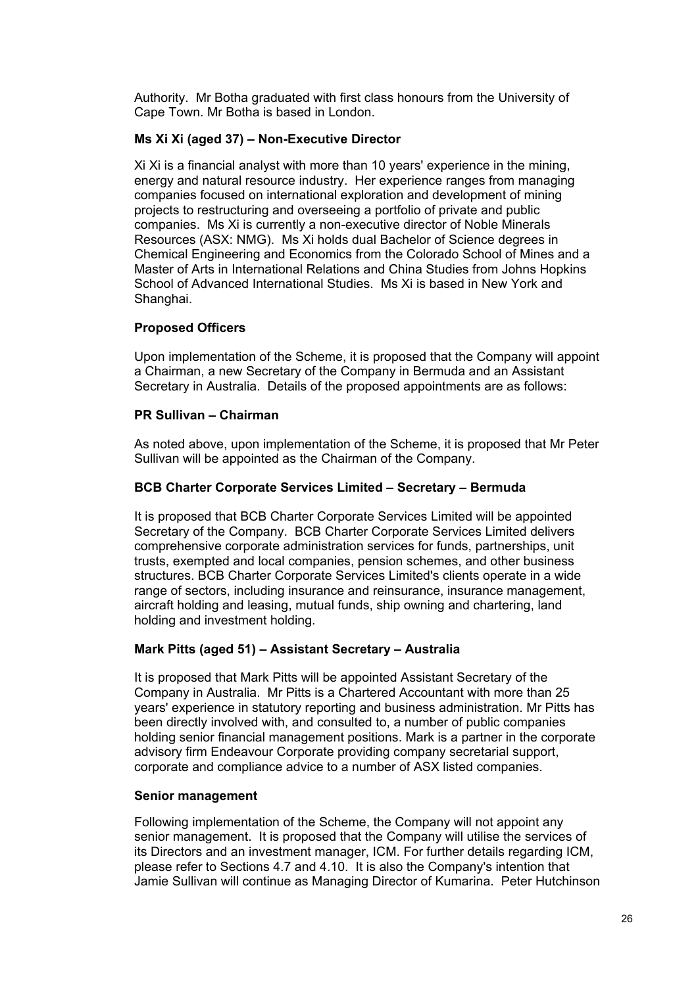Authority. Mr Botha graduated with first class honours from the University of Cape Town. Mr Botha is based in London.

### **Ms Xi Xi (aged 37) – Non-Executive Director**

Xi Xi is a financial analyst with more than 10 years' experience in the mining, energy and natural resource industry. Her experience ranges from managing companies focused on international exploration and development of mining projects to restructuring and overseeing a portfolio of private and public companies. Ms Xi is currently a non-executive director of Noble Minerals Resources (ASX: NMG). Ms Xi holds dual Bachelor of Science degrees in Chemical Engineering and Economics from the Colorado School of Mines and a Master of Arts in International Relations and China Studies from Johns Hopkins School of Advanced International Studies. Ms Xi is based in New York and Shanghai.

### **Proposed Officers**

Upon implementation of the Scheme, it is proposed that the Company will appoint a Chairman, a new Secretary of the Company in Bermuda and an Assistant Secretary in Australia. Details of the proposed appointments are as follows:

### **PR Sullivan – Chairman**

As noted above, upon implementation of the Scheme, it is proposed that Mr Peter Sullivan will be appointed as the Chairman of the Company.

### **BCB Charter Corporate Services Limited – Secretary – Bermuda**

It is proposed that BCB Charter Corporate Services Limited will be appointed Secretary of the Company. BCB Charter Corporate Services Limited delivers comprehensive corporate administration services for funds, partnerships, unit trusts, exempted and local companies, pension schemes, and other business structures. BCB Charter Corporate Services Limited's clients operate in a wide range of sectors, including insurance and reinsurance, insurance management, aircraft holding and leasing, mutual funds, ship owning and chartering, land holding and investment holding.

### **Mark Pitts (aged 51) – Assistant Secretary – Australia**

It is proposed that Mark Pitts will be appointed Assistant Secretary of the Company in Australia. Mr Pitts is a Chartered Accountant with more than 25 years' experience in statutory reporting and business administration. Mr Pitts has been directly involved with, and consulted to, a number of public companies holding senior financial management positions. Mark is a partner in the corporate advisory firm Endeavour Corporate providing company secretarial support, corporate and compliance advice to a number of ASX listed companies.

### **Senior management**

Following implementation of the Scheme, the Company will not appoint any senior management. It is proposed that the Company will utilise the services of its Directors and an investment manager, ICM. For further details regarding ICM, please refer to Sections 4.7 and 4.10. It is also the Company's intention that Jamie Sullivan will continue as Managing Director of Kumarina. Peter Hutchinson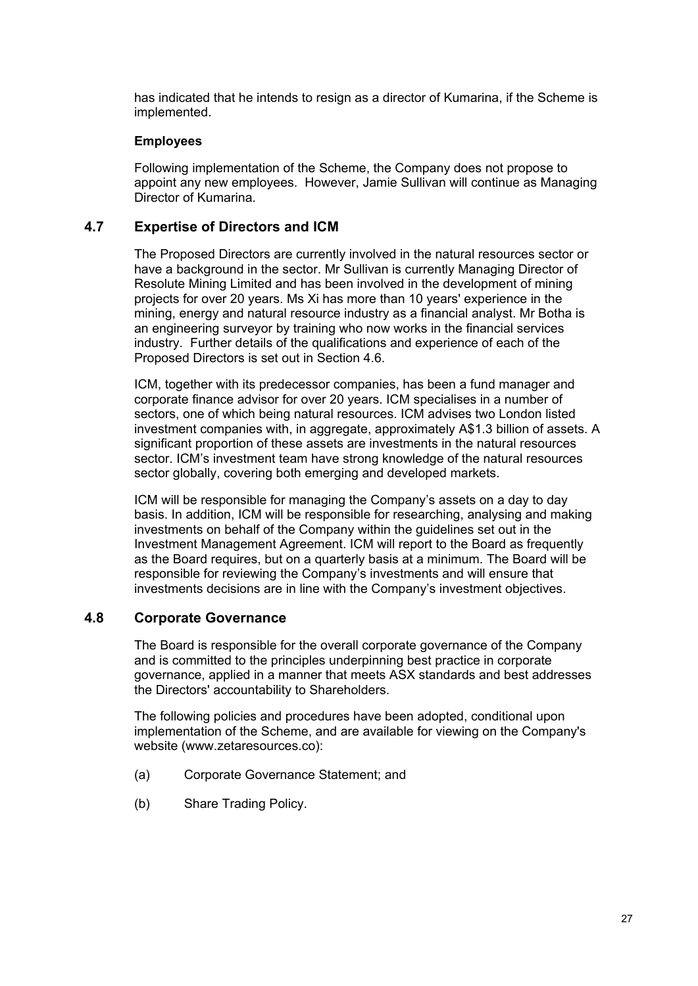has indicated that he intends to resign as a director of Kumarina, if the Scheme is implemented.

### **Employees**

Following implementation of the Scheme, the Company does not propose to appoint any new employees. However, Jamie Sullivan will continue as Managing Director of Kumarina.

### **4.7 Expertise of Directors and ICM**

The Proposed Directors are currently involved in the natural resources sector or have a background in the sector. Mr Sullivan is currently Managing Director of Resolute Mining Limited and has been involved in the development of mining projects for over 20 years. Ms Xi has more than 10 years' experience in the mining, energy and natural resource industry as a financial analyst. Mr Botha is an engineering surveyor by training who now works in the financial services industry. Further details of the qualifications and experience of each of the Proposed Directors is set out in Section 4.6.

ICM, together with its predecessor companies, has been a fund manager and corporate finance advisor for over 20 years. ICM specialises in a number of sectors, one of which being natural resources. ICM advises two London listed investment companies with, in aggregate, approximately A\$1.3 billion of assets. A significant proportion of these assets are investments in the natural resources sector. ICM's investment team have strong knowledge of the natural resources sector globally, covering both emerging and developed markets.

ICM will be responsible for managing the Company's assets on a day to day basis. In addition, ICM will be responsible for researching, analysing and making investments on behalf of the Company within the guidelines set out in the Investment Management Agreement. ICM will report to the Board as frequently as the Board requires, but on a quarterly basis at a minimum. The Board will be responsible for reviewing the Company's investments and will ensure that investments decisions are in line with the Company's investment objectives.

### **4.8 Corporate Governance**

The Board is responsible for the overall corporate governance of the Company and is committed to the principles underpinning best practice in corporate governance, applied in a manner that meets ASX standards and best addresses the Directors' accountability to Shareholders.

The following policies and procedures have been adopted, conditional upon implementation of the Scheme, and are available for viewing on the Company's website (www.zetaresources.co):

- (a) Corporate Governance Statement; and
- (b) Share Trading Policy.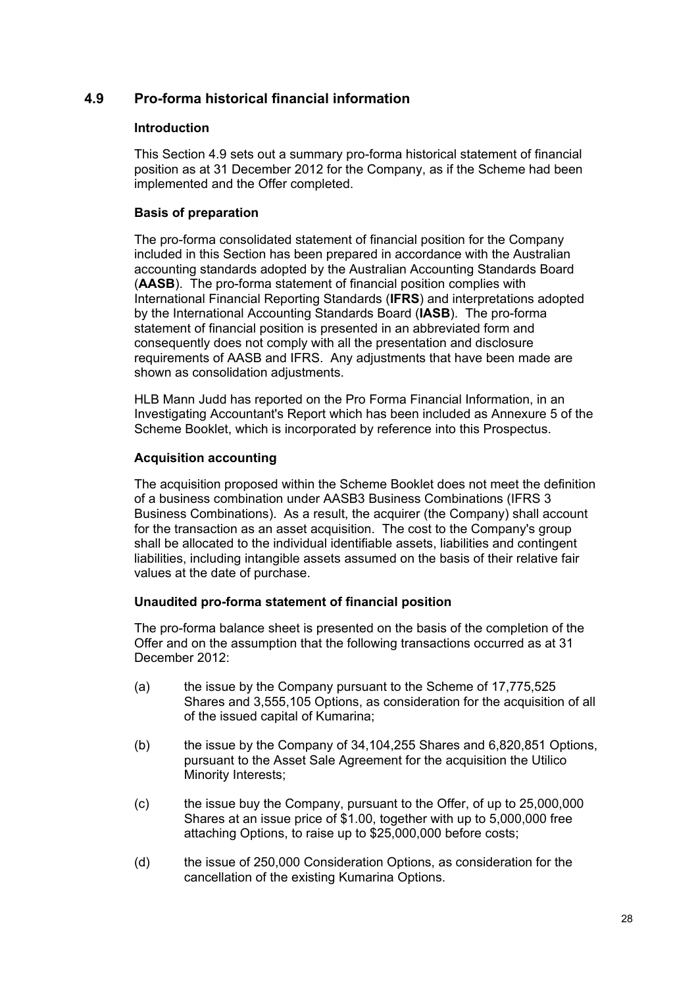### **4.9 Pro-forma historical financial information**

### **Introduction**

This Section 4.9 sets out a summary pro-forma historical statement of financial position as at 31 December 2012 for the Company, as if the Scheme had been implemented and the Offer completed.

### **Basis of preparation**

The pro-forma consolidated statement of financial position for the Company included in this Section has been prepared in accordance with the Australian accounting standards adopted by the Australian Accounting Standards Board (**AASB**). The pro-forma statement of financial position complies with International Financial Reporting Standards (**IFRS**) and interpretations adopted by the International Accounting Standards Board (**IASB**). The pro-forma statement of financial position is presented in an abbreviated form and consequently does not comply with all the presentation and disclosure requirements of AASB and IFRS. Any adjustments that have been made are shown as consolidation adjustments.

HLB Mann Judd has reported on the Pro Forma Financial Information, in an Investigating Accountant's Report which has been included as Annexure 5 of the Scheme Booklet, which is incorporated by reference into this Prospectus.

### **Acquisition accounting**

The acquisition proposed within the Scheme Booklet does not meet the definition of a business combination under AASB3 Business Combinations (IFRS 3 Business Combinations). As a result, the acquirer (the Company) shall account for the transaction as an asset acquisition. The cost to the Company's group shall be allocated to the individual identifiable assets, liabilities and contingent liabilities, including intangible assets assumed on the basis of their relative fair values at the date of purchase.

### **Unaudited pro-forma statement of financial position**

The pro-forma balance sheet is presented on the basis of the completion of the Offer and on the assumption that the following transactions occurred as at 31 December 2012:

- (a) the issue by the Company pursuant to the Scheme of 17,775,525 Shares and 3,555,105 Options, as consideration for the acquisition of all of the issued capital of Kumarina;
- (b) the issue by the Company of 34,104,255 Shares and 6,820,851 Options, pursuant to the Asset Sale Agreement for the acquisition the Utilico Minority Interests;
- (c) the issue buy the Company, pursuant to the Offer, of up to 25,000,000 Shares at an issue price of \$1.00, together with up to 5,000,000 free attaching Options, to raise up to \$25,000,000 before costs;
- (d) the issue of 250,000 Consideration Options, as consideration for the cancellation of the existing Kumarina Options.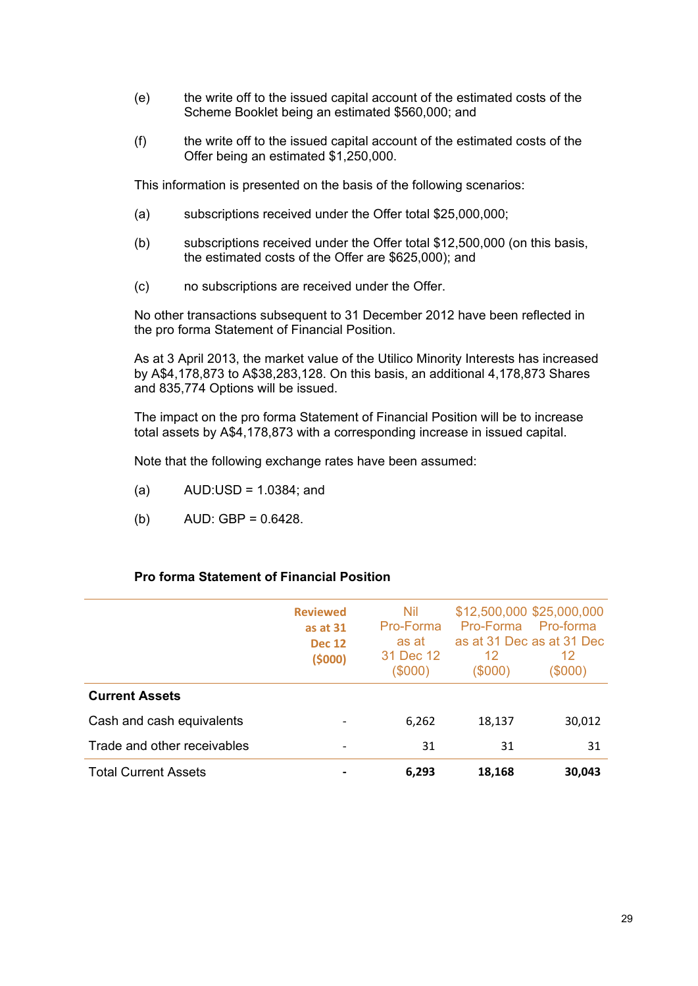- (e) the write off to the issued capital account of the estimated costs of the Scheme Booklet being an estimated \$560,000; and
- (f) the write off to the issued capital account of the estimated costs of the Offer being an estimated \$1,250,000.

This information is presented on the basis of the following scenarios:

- (a) subscriptions received under the Offer total \$25,000,000;
- (b) subscriptions received under the Offer total \$12,500,000 (on this basis, the estimated costs of the Offer are \$625,000); and
- (c) no subscriptions are received under the Offer.

No other transactions subsequent to 31 December 2012 have been reflected in the pro forma Statement of Financial Position.

As at 3 April 2013, the market value of the Utilico Minority Interests has increased by A\$4,178,873 to A\$38,283,128. On this basis, an additional 4,178,873 Shares and 835,774 Options will be issued.

The impact on the pro forma Statement of Financial Position will be to increase total assets by A\$4,178,873 with a corresponding increase in issued capital.

Note that the following exchange rates have been assumed:

- $(a)$  AUD:USD = 1.0384; and
- (b)  $AUD: GBP = 0.6428$ .

### **Pro forma Statement of Financial Position**

|                             | <b>Reviewed</b><br>as at 31<br><b>Dec 12</b><br>(5000) | Nil<br>Pro-Forma<br>as at<br>31 Dec 12<br>$(\$000)$ | Pro-Forma<br>12<br>(\$000) | \$12,500,000 \$25,000,000<br>Pro-forma<br>as at 31 Dec as at 31 Dec<br>12<br>(\$000) |
|-----------------------------|--------------------------------------------------------|-----------------------------------------------------|----------------------------|--------------------------------------------------------------------------------------|
| <b>Current Assets</b>       |                                                        |                                                     |                            |                                                                                      |
| Cash and cash equivalents   |                                                        | 6,262                                               | 18,137                     | 30,012                                                                               |
| Trade and other receivables |                                                        | 31                                                  | 31                         | 31                                                                                   |
| <b>Total Current Assets</b> |                                                        | 6,293                                               | 18,168                     | 30,043                                                                               |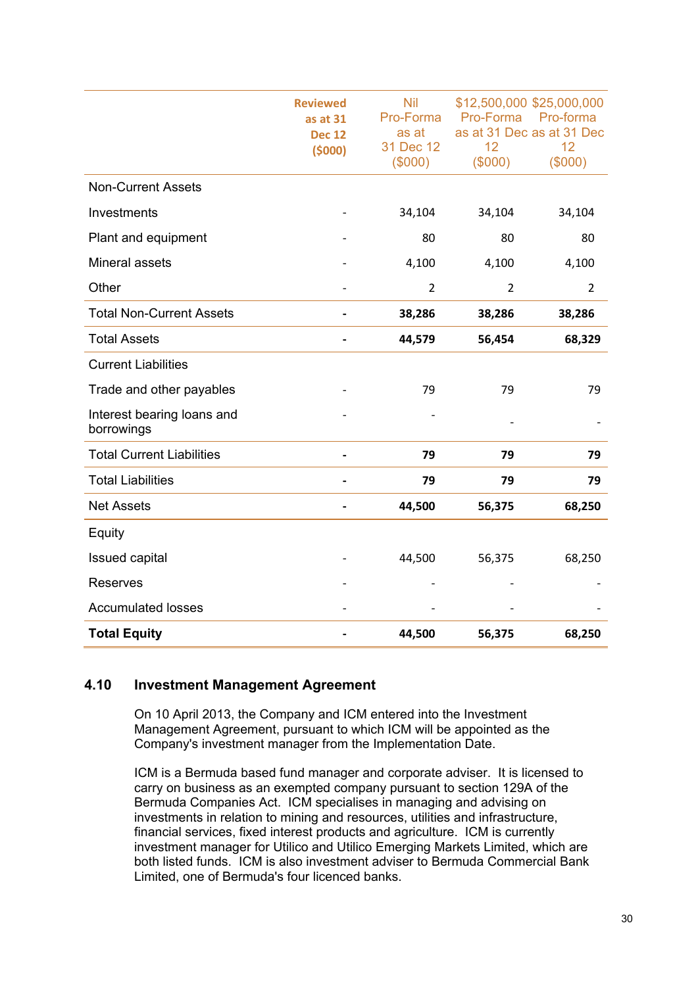|                                          | <b>Reviewed</b><br>as at 31<br><b>Dec 12</b><br>(5000) | <b>Nil</b><br>Pro-Forma<br>as at<br>31 Dec 12<br>(\$000) | 12<br>(\$000)  | \$12,500,000 \$25,000,000<br>Pro-Forma Pro-forma<br>as at 31 Dec as at 31 Dec<br>12<br>(\$000) |
|------------------------------------------|--------------------------------------------------------|----------------------------------------------------------|----------------|------------------------------------------------------------------------------------------------|
| <b>Non-Current Assets</b>                |                                                        |                                                          |                |                                                                                                |
| Investments                              |                                                        | 34,104                                                   | 34,104         | 34,104                                                                                         |
| Plant and equipment                      |                                                        | 80                                                       | 80             | 80                                                                                             |
| Mineral assets                           |                                                        | 4,100                                                    | 4,100          | 4,100                                                                                          |
| Other                                    |                                                        | $\overline{2}$                                           | $\overline{2}$ | $\overline{2}$                                                                                 |
| <b>Total Non-Current Assets</b>          |                                                        | 38,286                                                   | 38,286         | 38,286                                                                                         |
| <b>Total Assets</b>                      |                                                        | 44,579                                                   | 56,454         | 68,329                                                                                         |
| <b>Current Liabilities</b>               |                                                        |                                                          |                |                                                                                                |
| Trade and other payables                 |                                                        | 79                                                       | 79             | 79                                                                                             |
| Interest bearing loans and<br>borrowings |                                                        |                                                          |                |                                                                                                |
| <b>Total Current Liabilities</b>         |                                                        | 79                                                       | 79             | 79                                                                                             |
| <b>Total Liabilities</b>                 | $\overline{\phantom{0}}$                               | 79                                                       | 79             | 79                                                                                             |
| <b>Net Assets</b>                        |                                                        | 44,500                                                   | 56,375         | 68,250                                                                                         |
| Equity                                   |                                                        |                                                          |                |                                                                                                |
| <b>Issued capital</b>                    |                                                        | 44,500                                                   | 56,375         | 68,250                                                                                         |
| <b>Reserves</b>                          |                                                        |                                                          |                |                                                                                                |
| <b>Accumulated losses</b>                |                                                        |                                                          |                |                                                                                                |
| <b>Total Equity</b>                      |                                                        | 44,500                                                   | 56,375         | 68,250                                                                                         |

### **4.10 Investment Management Agreement**

On 10 April 2013, the Company and ICM entered into the Investment Management Agreement, pursuant to which ICM will be appointed as the Company's investment manager from the Implementation Date.

ICM is a Bermuda based fund manager and corporate adviser. It is licensed to carry on business as an exempted company pursuant to section 129A of the Bermuda Companies Act. ICM specialises in managing and advising on investments in relation to mining and resources, utilities and infrastructure, financial services, fixed interest products and agriculture. ICM is currently investment manager for Utilico and Utilico Emerging Markets Limited, which are both listed funds. ICM is also investment adviser to Bermuda Commercial Bank Limited, one of Bermuda's four licenced banks.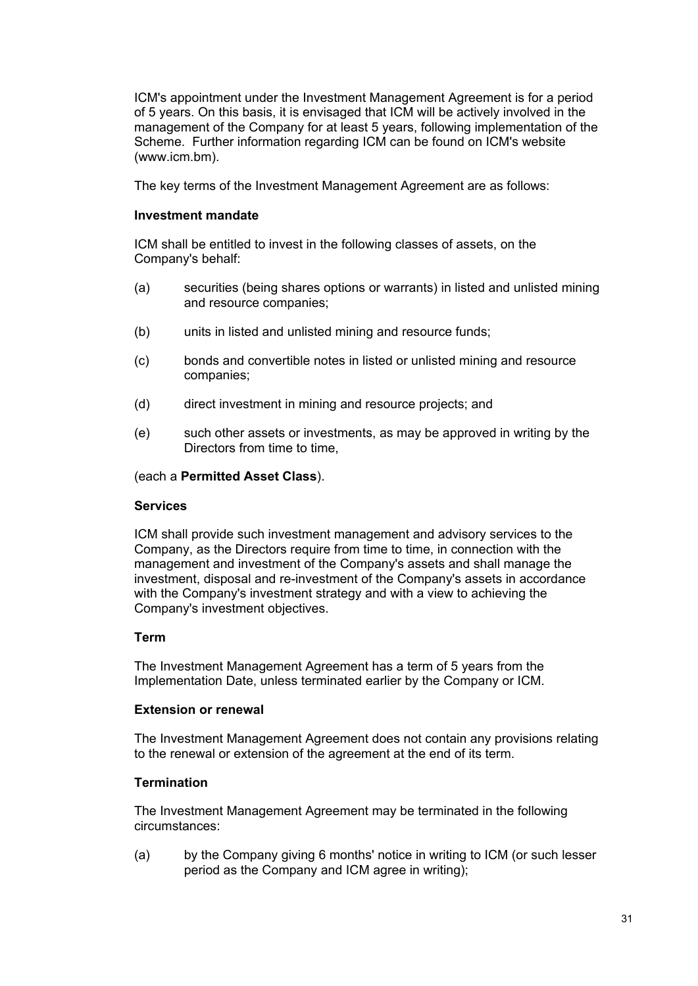ICM's appointment under the Investment Management Agreement is for a period of 5 years. On this basis, it is envisaged that ICM will be actively involved in the management of the Company for at least 5 years, following implementation of the Scheme. Further information regarding ICM can be found on ICM's website (www.icm.bm).

The key terms of the Investment Management Agreement are as follows:

### **Investment mandate**

ICM shall be entitled to invest in the following classes of assets, on the Company's behalf:

- (a) securities (being shares options or warrants) in listed and unlisted mining and resource companies;
- (b) units in listed and unlisted mining and resource funds;
- (c) bonds and convertible notes in listed or unlisted mining and resource companies;
- (d) direct investment in mining and resource projects; and
- (e) such other assets or investments, as may be approved in writing by the Directors from time to time,

### (each a **Permitted Asset Class**).

### **Services**

ICM shall provide such investment management and advisory services to the Company, as the Directors require from time to time, in connection with the management and investment of the Company's assets and shall manage the investment, disposal and re-investment of the Company's assets in accordance with the Company's investment strategy and with a view to achieving the Company's investment objectives.

### **Term**

The Investment Management Agreement has a term of 5 years from the Implementation Date, unless terminated earlier by the Company or ICM.

### **Extension or renewal**

The Investment Management Agreement does not contain any provisions relating to the renewal or extension of the agreement at the end of its term.

### **Termination**

The Investment Management Agreement may be terminated in the following circumstances:

(a) by the Company giving 6 months' notice in writing to ICM (or such lesser period as the Company and ICM agree in writing);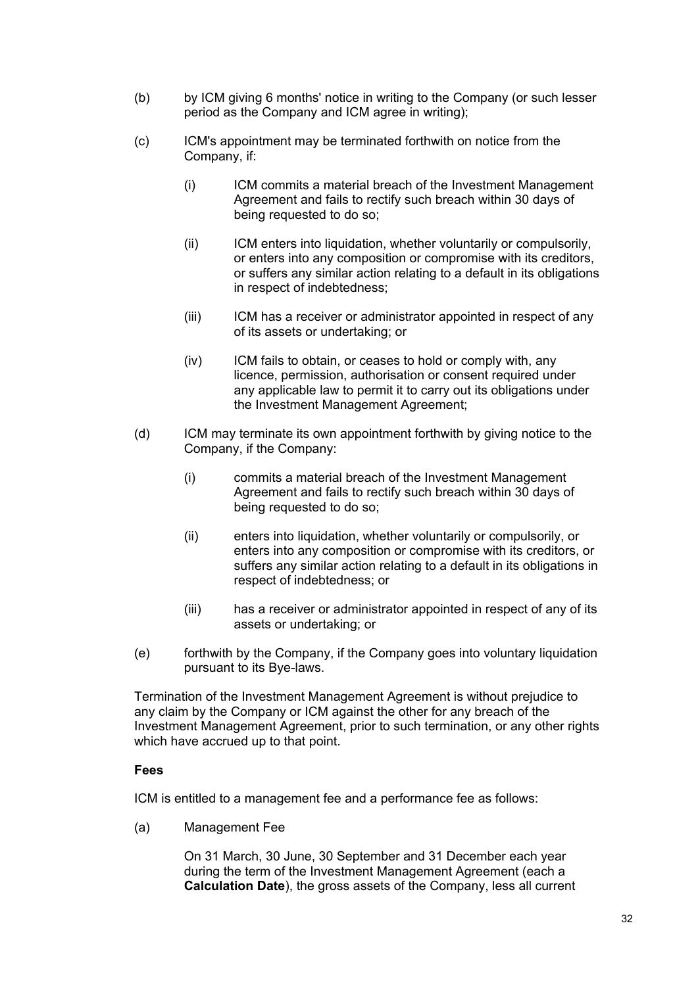- (b) by ICM giving 6 months' notice in writing to the Company (or such lesser period as the Company and ICM agree in writing);
- (c) ICM's appointment may be terminated forthwith on notice from the Company, if:
	- (i) ICM commits a material breach of the Investment Management Agreement and fails to rectify such breach within 30 days of being requested to do so;
	- (ii) ICM enters into liquidation, whether voluntarily or compulsorily, or enters into any composition or compromise with its creditors, or suffers any similar action relating to a default in its obligations in respect of indebtedness;
	- (iii) ICM has a receiver or administrator appointed in respect of any of its assets or undertaking; or
	- (iv) ICM fails to obtain, or ceases to hold or comply with, any licence, permission, authorisation or consent required under any applicable law to permit it to carry out its obligations under the Investment Management Agreement;
- (d) ICM may terminate its own appointment forthwith by giving notice to the Company, if the Company:
	- (i) commits a material breach of the Investment Management Agreement and fails to rectify such breach within 30 days of being requested to do so;
	- (ii) enters into liquidation, whether voluntarily or compulsorily, or enters into any composition or compromise with its creditors, or suffers any similar action relating to a default in its obligations in respect of indebtedness; or
	- (iii) has a receiver or administrator appointed in respect of any of its assets or undertaking; or
- (e) forthwith by the Company, if the Company goes into voluntary liquidation pursuant to its Bye-laws.

Termination of the Investment Management Agreement is without prejudice to any claim by the Company or ICM against the other for any breach of the Investment Management Agreement, prior to such termination, or any other rights which have accrued up to that point.

### **Fees**

ICM is entitled to a management fee and a performance fee as follows:

(a) Management Fee

On 31 March, 30 June, 30 September and 31 December each year during the term of the Investment Management Agreement (each a **Calculation Date**), the gross assets of the Company, less all current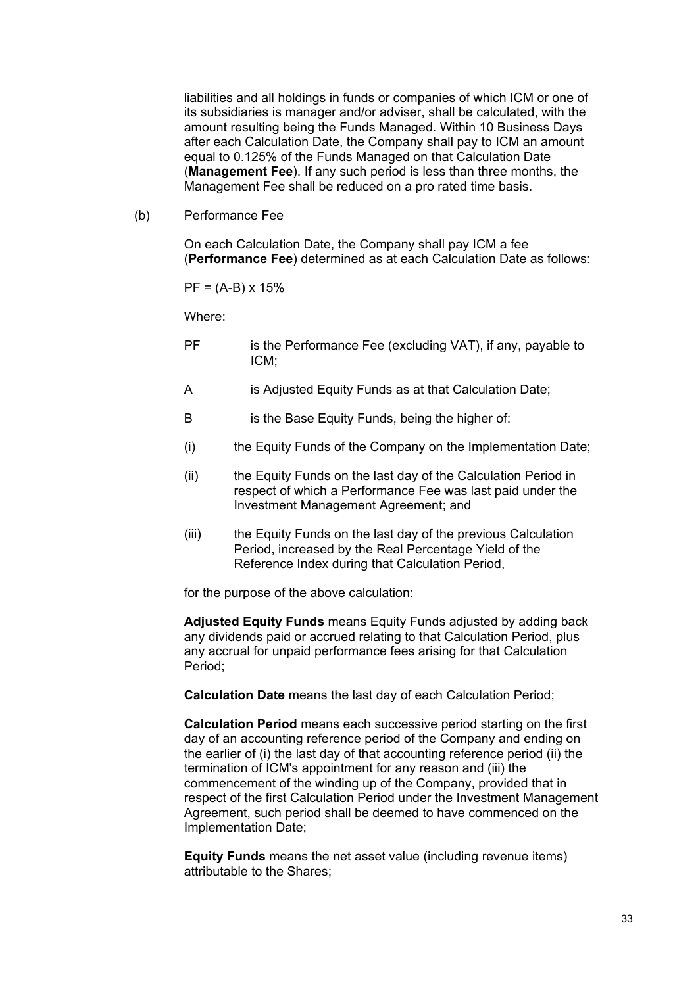liabilities and all holdings in funds or companies of which ICM or one of its subsidiaries is manager and/or adviser, shall be calculated, with the amount resulting being the Funds Managed. Within 10 Business Days after each Calculation Date, the Company shall pay to ICM an amount equal to 0.125% of the Funds Managed on that Calculation Date (**Management Fee**). If any such period is less than three months, the Management Fee shall be reduced on a pro rated time basis.

(b) Performance Fee

On each Calculation Date, the Company shall pay ICM a fee (**Performance Fee**) determined as at each Calculation Date as follows:

 $PF = (A-B) \times 15\%$ 

Where:

- PF is the Performance Fee (excluding VAT), if any, payable to ICM;
- A is Adjusted Equity Funds as at that Calculation Date;
- B is the Base Equity Funds, being the higher of:
- (i) the Equity Funds of the Company on the Implementation Date;
- (ii) the Equity Funds on the last day of the Calculation Period in respect of which a Performance Fee was last paid under the Investment Management Agreement; and
- (iii) the Equity Funds on the last day of the previous Calculation Period, increased by the Real Percentage Yield of the Reference Index during that Calculation Period,

for the purpose of the above calculation:

**Adjusted Equity Funds** means Equity Funds adjusted by adding back any dividends paid or accrued relating to that Calculation Period, plus any accrual for unpaid performance fees arising for that Calculation Period;

**Calculation Date** means the last day of each Calculation Period;

**Calculation Period** means each successive period starting on the first day of an accounting reference period of the Company and ending on the earlier of (i) the last day of that accounting reference period (ii) the termination of ICM's appointment for any reason and (iii) the commencement of the winding up of the Company, provided that in respect of the first Calculation Period under the Investment Management Agreement, such period shall be deemed to have commenced on the Implementation Date;

**Equity Funds** means the net asset value (including revenue items) attributable to the Shares;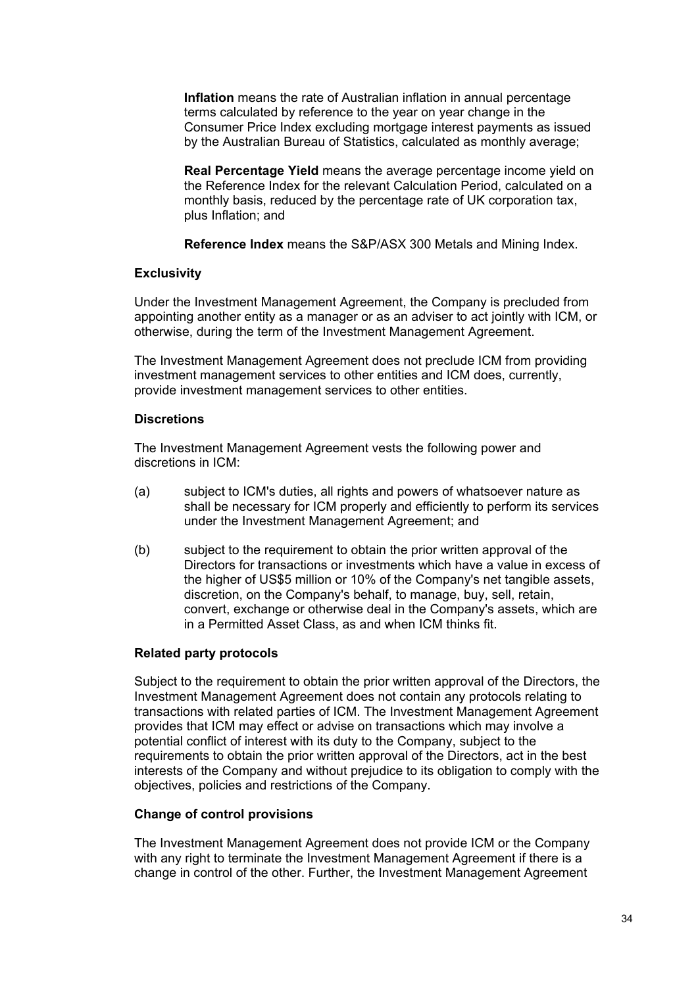**Inflation** means the rate of Australian inflation in annual percentage terms calculated by reference to the year on year change in the Consumer Price Index excluding mortgage interest payments as issued by the Australian Bureau of Statistics, calculated as monthly average;

**Real Percentage Yield** means the average percentage income yield on the Reference Index for the relevant Calculation Period, calculated on a monthly basis, reduced by the percentage rate of UK corporation tax, plus Inflation; and

**Reference Index** means the S&P/ASX 300 Metals and Mining Index.

### **Exclusivity**

Under the Investment Management Agreement, the Company is precluded from appointing another entity as a manager or as an adviser to act jointly with ICM, or otherwise, during the term of the Investment Management Agreement.

The Investment Management Agreement does not preclude ICM from providing investment management services to other entities and ICM does, currently, provide investment management services to other entities.

### **Discretions**

The Investment Management Agreement vests the following power and discretions in ICM:

- (a) subject to ICM's duties, all rights and powers of whatsoever nature as shall be necessary for ICM properly and efficiently to perform its services under the Investment Management Agreement; and
- (b) subject to the requirement to obtain the prior written approval of the Directors for transactions or investments which have a value in excess of the higher of US\$5 million or 10% of the Company's net tangible assets, discretion, on the Company's behalf, to manage, buy, sell, retain, convert, exchange or otherwise deal in the Company's assets, which are in a Permitted Asset Class, as and when ICM thinks fit.

### **Related party protocols**

Subject to the requirement to obtain the prior written approval of the Directors, the Investment Management Agreement does not contain any protocols relating to transactions with related parties of ICM. The Investment Management Agreement provides that ICM may effect or advise on transactions which may involve a potential conflict of interest with its duty to the Company, subject to the requirements to obtain the prior written approval of the Directors, act in the best interests of the Company and without prejudice to its obligation to comply with the objectives, policies and restrictions of the Company.

### **Change of control provisions**

The Investment Management Agreement does not provide ICM or the Company with any right to terminate the Investment Management Agreement if there is a change in control of the other. Further, the Investment Management Agreement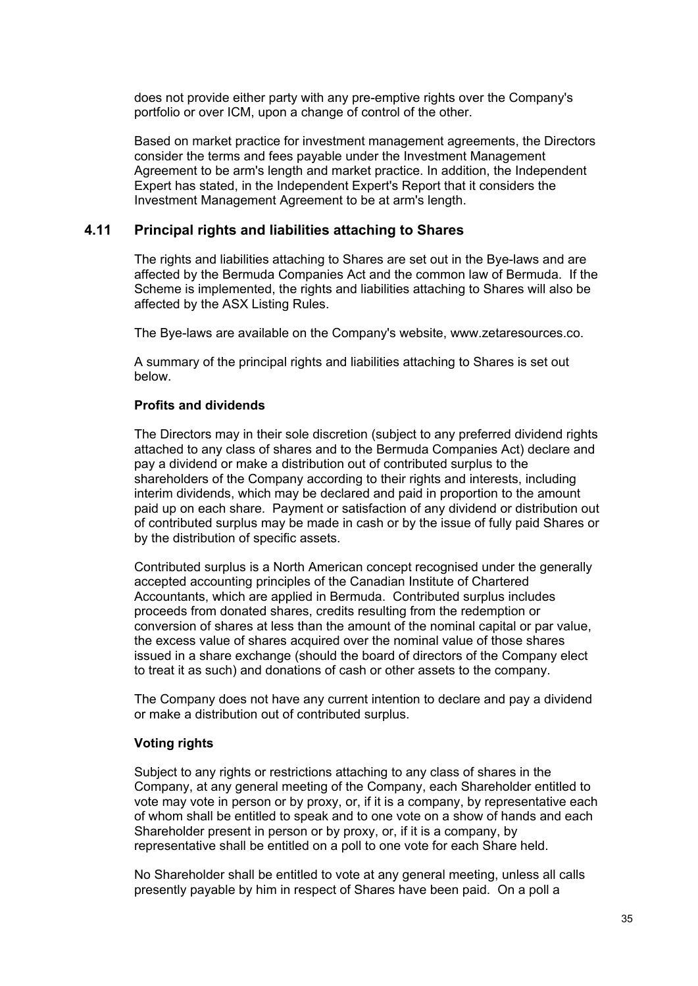does not provide either party with any pre-emptive rights over the Company's portfolio or over ICM, upon a change of control of the other.

Based on market practice for investment management agreements, the Directors consider the terms and fees payable under the Investment Management Agreement to be arm's length and market practice. In addition, the Independent Expert has stated, in the Independent Expert's Report that it considers the Investment Management Agreement to be at arm's length.

# **4.11 Principal rights and liabilities attaching to Shares**

The rights and liabilities attaching to Shares are set out in the Bye-laws and are affected by the Bermuda Companies Act and the common law of Bermuda. If the Scheme is implemented, the rights and liabilities attaching to Shares will also be affected by the ASX Listing Rules.

The Bye-laws are available on the Company's website, www.zetaresources.co.

A summary of the principal rights and liabilities attaching to Shares is set out below.

### **Profits and dividends**

The Directors may in their sole discretion (subject to any preferred dividend rights attached to any class of shares and to the Bermuda Companies Act) declare and pay a dividend or make a distribution out of contributed surplus to the shareholders of the Company according to their rights and interests, including interim dividends, which may be declared and paid in proportion to the amount paid up on each share. Payment or satisfaction of any dividend or distribution out of contributed surplus may be made in cash or by the issue of fully paid Shares or by the distribution of specific assets.

Contributed surplus is a North American concept recognised under the generally accepted accounting principles of the Canadian Institute of Chartered Accountants, which are applied in Bermuda. Contributed surplus includes proceeds from donated shares, credits resulting from the redemption or conversion of shares at less than the amount of the nominal capital or par value, the excess value of shares acquired over the nominal value of those shares issued in a share exchange (should the board of directors of the Company elect to treat it as such) and donations of cash or other assets to the company.

The Company does not have any current intention to declare and pay a dividend or make a distribution out of contributed surplus.

### **Voting rights**

Subject to any rights or restrictions attaching to any class of shares in the Company, at any general meeting of the Company, each Shareholder entitled to vote may vote in person or by proxy, or, if it is a company, by representative each of whom shall be entitled to speak and to one vote on a show of hands and each Shareholder present in person or by proxy, or, if it is a company, by representative shall be entitled on a poll to one vote for each Share held.

No Shareholder shall be entitled to vote at any general meeting, unless all calls presently payable by him in respect of Shares have been paid. On a poll a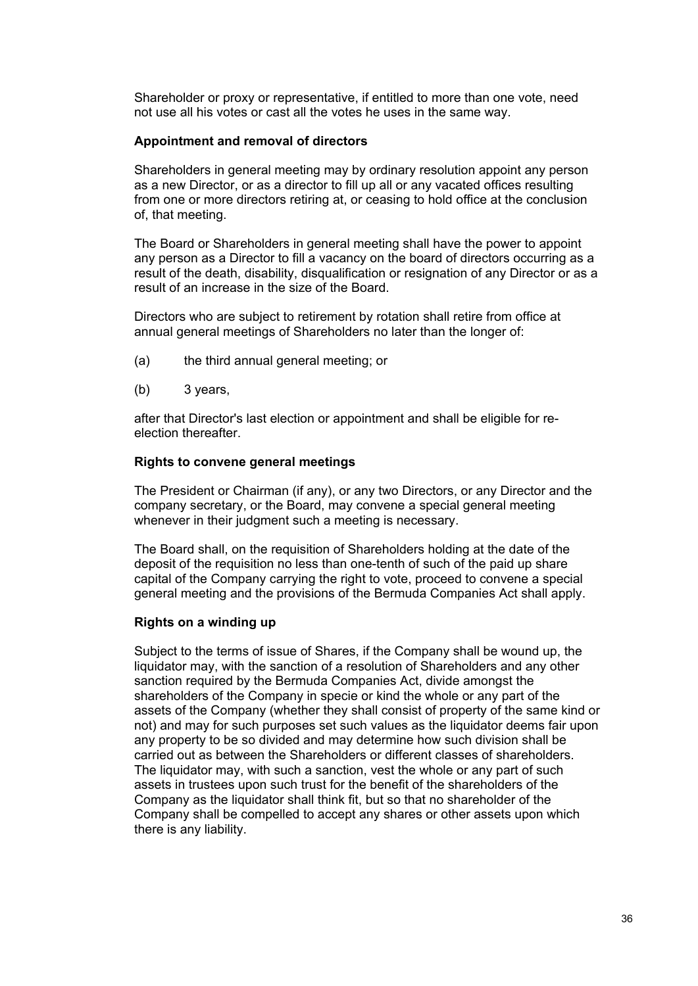Shareholder or proxy or representative, if entitled to more than one vote, need not use all his votes or cast all the votes he uses in the same way.

### **Appointment and removal of directors**

Shareholders in general meeting may by ordinary resolution appoint any person as a new Director, or as a director to fill up all or any vacated offices resulting from one or more directors retiring at, or ceasing to hold office at the conclusion of, that meeting.

The Board or Shareholders in general meeting shall have the power to appoint any person as a Director to fill a vacancy on the board of directors occurring as a result of the death, disability, disqualification or resignation of any Director or as a result of an increase in the size of the Board.

Directors who are subject to retirement by rotation shall retire from office at annual general meetings of Shareholders no later than the longer of:

- (a) the third annual general meeting; or
- (b) 3 years,

after that Director's last election or appointment and shall be eligible for reelection thereafter.

### **Rights to convene general meetings**

The President or Chairman (if any), or any two Directors, or any Director and the company secretary, or the Board, may convene a special general meeting whenever in their judgment such a meeting is necessary.

The Board shall, on the requisition of Shareholders holding at the date of the deposit of the requisition no less than one-tenth of such of the paid up share capital of the Company carrying the right to vote, proceed to convene a special general meeting and the provisions of the Bermuda Companies Act shall apply.

#### **Rights on a winding up**

Subject to the terms of issue of Shares, if the Company shall be wound up, the liquidator may, with the sanction of a resolution of Shareholders and any other sanction required by the Bermuda Companies Act, divide amongst the shareholders of the Company in specie or kind the whole or any part of the assets of the Company (whether they shall consist of property of the same kind or not) and may for such purposes set such values as the liquidator deems fair upon any property to be so divided and may determine how such division shall be carried out as between the Shareholders or different classes of shareholders. The liquidator may, with such a sanction, vest the whole or any part of such assets in trustees upon such trust for the benefit of the shareholders of the Company as the liquidator shall think fit, but so that no shareholder of the Company shall be compelled to accept any shares or other assets upon which there is any liability.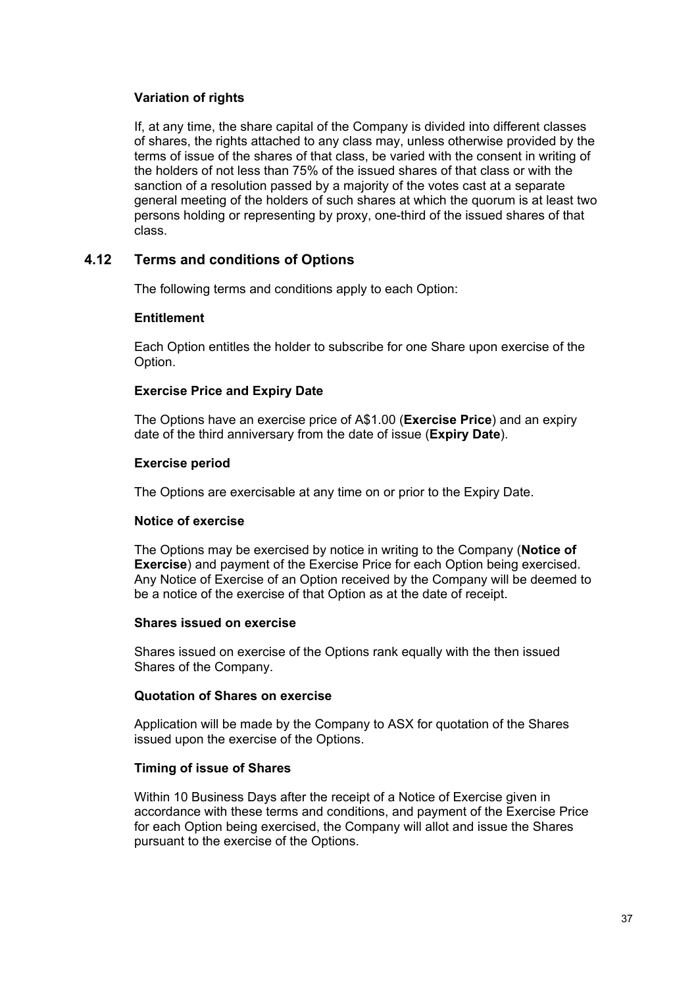### **Variation of rights**

If, at any time, the share capital of the Company is divided into different classes of shares, the rights attached to any class may, unless otherwise provided by the terms of issue of the shares of that class, be varied with the consent in writing of the holders of not less than 75% of the issued shares of that class or with the sanction of a resolution passed by a majority of the votes cast at a separate general meeting of the holders of such shares at which the quorum is at least two persons holding or representing by proxy, one-third of the issued shares of that class.

# **4.12 Terms and conditions of Options**

The following terms and conditions apply to each Option:

### **Entitlement**

Each Option entitles the holder to subscribe for one Share upon exercise of the Option.

# **Exercise Price and Expiry Date**

The Options have an exercise price of A\$1.00 (**Exercise Price**) and an expiry date of the third anniversary from the date of issue (**Expiry Date**).

### **Exercise period**

The Options are exercisable at any time on or prior to the Expiry Date.

### **Notice of exercise**

The Options may be exercised by notice in writing to the Company (**Notice of Exercise**) and payment of the Exercise Price for each Option being exercised. Any Notice of Exercise of an Option received by the Company will be deemed to be a notice of the exercise of that Option as at the date of receipt.

### **Shares issued on exercise**

Shares issued on exercise of the Options rank equally with the then issued Shares of the Company.

### **Quotation of Shares on exercise**

Application will be made by the Company to ASX for quotation of the Shares issued upon the exercise of the Options.

### **Timing of issue of Shares**

Within 10 Business Days after the receipt of a Notice of Exercise given in accordance with these terms and conditions, and payment of the Exercise Price for each Option being exercised, the Company will allot and issue the Shares pursuant to the exercise of the Options.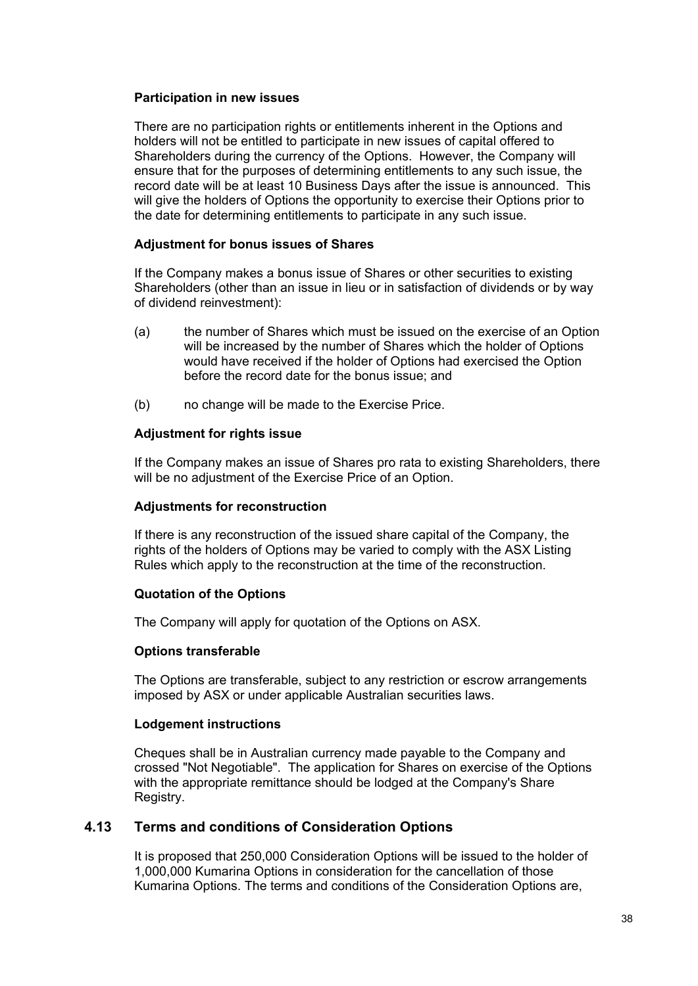### **Participation in new issues**

There are no participation rights or entitlements inherent in the Options and holders will not be entitled to participate in new issues of capital offered to Shareholders during the currency of the Options. However, the Company will ensure that for the purposes of determining entitlements to any such issue, the record date will be at least 10 Business Days after the issue is announced. This will give the holders of Options the opportunity to exercise their Options prior to the date for determining entitlements to participate in any such issue.

### **Adjustment for bonus issues of Shares**

If the Company makes a bonus issue of Shares or other securities to existing Shareholders (other than an issue in lieu or in satisfaction of dividends or by way of dividend reinvestment):

- (a) the number of Shares which must be issued on the exercise of an Option will be increased by the number of Shares which the holder of Options would have received if the holder of Options had exercised the Option before the record date for the bonus issue; and
- (b) no change will be made to the Exercise Price.

# **Adjustment for rights issue**

If the Company makes an issue of Shares pro rata to existing Shareholders, there will be no adjustment of the Exercise Price of an Option.

### **Adjustments for reconstruction**

If there is any reconstruction of the issued share capital of the Company, the rights of the holders of Options may be varied to comply with the ASX Listing Rules which apply to the reconstruction at the time of the reconstruction.

# **Quotation of the Options**

The Company will apply for quotation of the Options on ASX.

### **Options transferable**

The Options are transferable, subject to any restriction or escrow arrangements imposed by ASX or under applicable Australian securities laws.

### **Lodgement instructions**

Cheques shall be in Australian currency made payable to the Company and crossed "Not Negotiable". The application for Shares on exercise of the Options with the appropriate remittance should be lodged at the Company's Share Registry.

# **4.13 Terms and conditions of Consideration Options**

It is proposed that 250,000 Consideration Options will be issued to the holder of 1,000,000 Kumarina Options in consideration for the cancellation of those Kumarina Options. The terms and conditions of the Consideration Options are,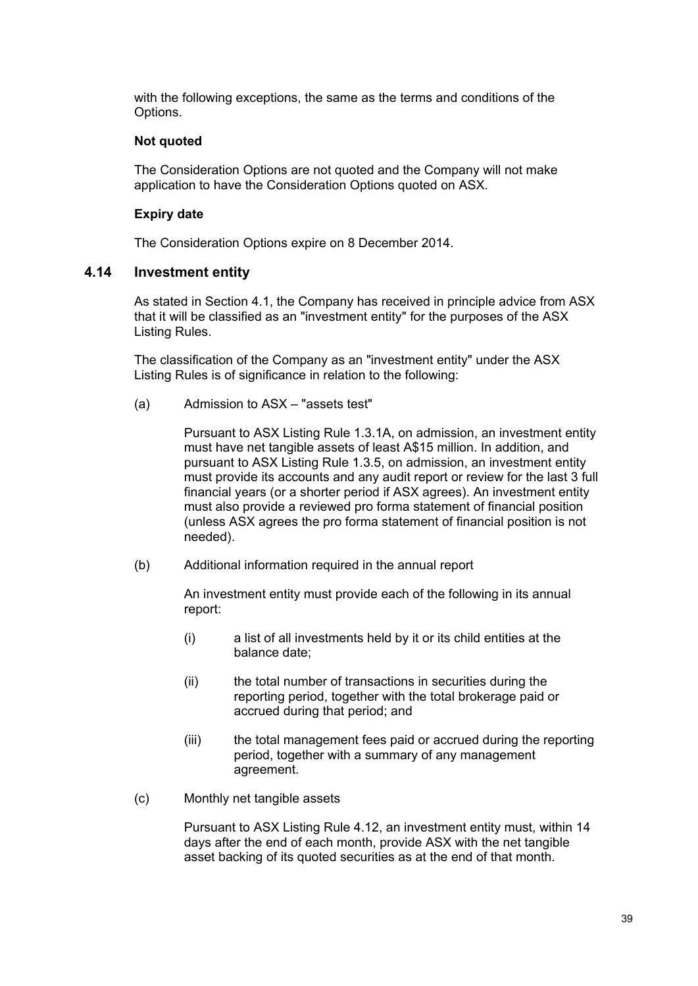with the following exceptions, the same as the terms and conditions of the Options.

## **Not quoted**

The Consideration Options are not quoted and the Company will not make application to have the Consideration Options quoted on ASX.

# **Expiry date**

The Consideration Options expire on 8 December 2014.

# **4.14 Investment entity**

As stated in Section 4.1, the Company has received in principle advice from ASX that it will be classified as an "investment entity" for the purposes of the ASX Listing Rules.

The classification of the Company as an "investment entity" under the ASX Listing Rules is of significance in relation to the following:

(a) Admission to ASX – "assets test"

Pursuant to ASX Listing Rule 1.3.1A, on admission, an investment entity must have net tangible assets of least A\$15 million. In addition, and pursuant to ASX Listing Rule 1.3.5, on admission, an investment entity must provide its accounts and any audit report or review for the last 3 full financial years (or a shorter period if ASX agrees). An investment entity must also provide a reviewed pro forma statement of financial position (unless ASX agrees the pro forma statement of financial position is not needed).

(b) Additional information required in the annual report

An investment entity must provide each of the following in its annual report:

- (i) a list of all investments held by it or its child entities at the balance date;
- (ii) the total number of transactions in securities during the reporting period, together with the total brokerage paid or accrued during that period; and
- (iii) the total management fees paid or accrued during the reporting period, together with a summary of any management agreement.
- (c) Monthly net tangible assets

Pursuant to ASX Listing Rule 4.12, an investment entity must, within 14 days after the end of each month, provide ASX with the net tangible asset backing of its quoted securities as at the end of that month.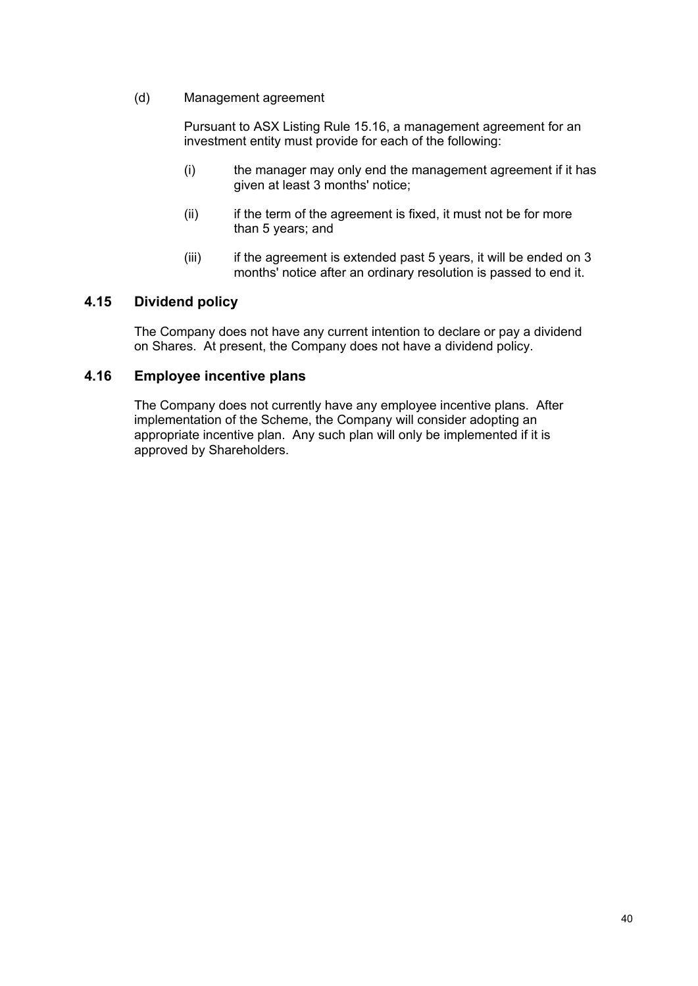(d) Management agreement

Pursuant to ASX Listing Rule 15.16, a management agreement for an investment entity must provide for each of the following:

- (i) the manager may only end the management agreement if it has given at least 3 months' notice;
- (ii) if the term of the agreement is fixed, it must not be for more than 5 years; and
- (iii) if the agreement is extended past 5 years, it will be ended on 3 months' notice after an ordinary resolution is passed to end it.

# **4.15 Dividend policy**

The Company does not have any current intention to declare or pay a dividend on Shares. At present, the Company does not have a dividend policy.

# **4.16 Employee incentive plans**

The Company does not currently have any employee incentive plans. After implementation of the Scheme, the Company will consider adopting an appropriate incentive plan. Any such plan will only be implemented if it is approved by Shareholders.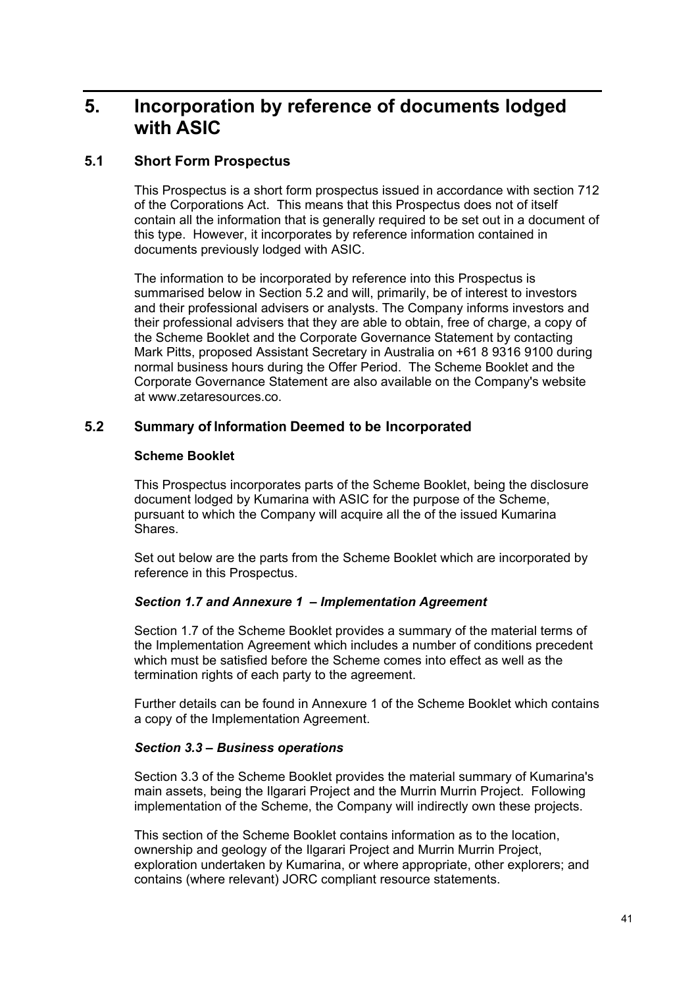# **5. Incorporation by reference of documents lodged with ASIC**

# **5.1 Short Form Prospectus**

This Prospectus is a short form prospectus issued in accordance with section 712 of the Corporations Act. This means that this Prospectus does not of itself contain all the information that is generally required to be set out in a document of this type. However, it incorporates by reference information contained in documents previously lodged with ASIC.

The information to be incorporated by reference into this Prospectus is summarised below in Section 5.2 and will, primarily, be of interest to investors and their professional advisers or analysts. The Company informs investors and their professional advisers that they are able to obtain, free of charge, a copy of the Scheme Booklet and the Corporate Governance Statement by contacting Mark Pitts, proposed Assistant Secretary in Australia on +61 8 9316 9100 during normal business hours during the Offer Period. The Scheme Booklet and the Corporate Governance Statement are also available on the Company's website at www.zetaresources.co.

# **5.2 Summary of Information Deemed to be Incorporated**

# **Scheme Booklet**

This Prospectus incorporates parts of the Scheme Booklet, being the disclosure document lodged by Kumarina with ASIC for the purpose of the Scheme, pursuant to which the Company will acquire all the of the issued Kumarina Shares.

Set out below are the parts from the Scheme Booklet which are incorporated by reference in this Prospectus.

# *Section 1.7 and Annexure 1 – Implementation Agreement*

Section 1.7 of the Scheme Booklet provides a summary of the material terms of the Implementation Agreement which includes a number of conditions precedent which must be satisfied before the Scheme comes into effect as well as the termination rights of each party to the agreement.

Further details can be found in Annexure 1 of the Scheme Booklet which contains a copy of the Implementation Agreement.

### *Section 3.3 – Business operations*

Section 3.3 of the Scheme Booklet provides the material summary of Kumarina's main assets, being the Ilgarari Project and the Murrin Murrin Project. Following implementation of the Scheme, the Company will indirectly own these projects.

This section of the Scheme Booklet contains information as to the location, ownership and geology of the Ilgarari Project and Murrin Murrin Project, exploration undertaken by Kumarina, or where appropriate, other explorers; and contains (where relevant) JORC compliant resource statements.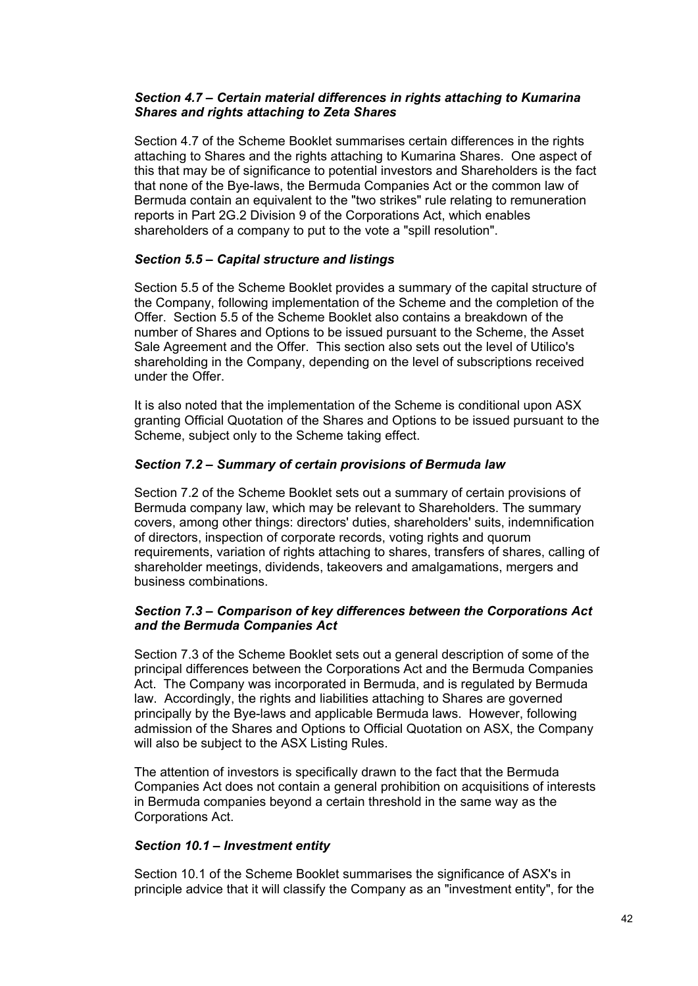### *Section 4.7 – Certain material differences in rights attaching to Kumarina Shares and rights attaching to Zeta Shares*

Section 4.7 of the Scheme Booklet summarises certain differences in the rights attaching to Shares and the rights attaching to Kumarina Shares. One aspect of this that may be of significance to potential investors and Shareholders is the fact that none of the Bye-laws, the Bermuda Companies Act or the common law of Bermuda contain an equivalent to the "two strikes" rule relating to remuneration reports in Part 2G.2 Division 9 of the Corporations Act, which enables shareholders of a company to put to the vote a "spill resolution".

### *Section 5.5 – Capital structure and listings*

Section 5.5 of the Scheme Booklet provides a summary of the capital structure of the Company, following implementation of the Scheme and the completion of the Offer. Section 5.5 of the Scheme Booklet also contains a breakdown of the number of Shares and Options to be issued pursuant to the Scheme, the Asset Sale Agreement and the Offer. This section also sets out the level of Utilico's shareholding in the Company, depending on the level of subscriptions received under the Offer.

It is also noted that the implementation of the Scheme is conditional upon ASX granting Official Quotation of the Shares and Options to be issued pursuant to the Scheme, subject only to the Scheme taking effect.

# *Section 7.2 – Summary of certain provisions of Bermuda law*

Section 7.2 of the Scheme Booklet sets out a summary of certain provisions of Bermuda company law, which may be relevant to Shareholders. The summary covers, among other things: directors' duties, shareholders' suits, indemnification of directors, inspection of corporate records, voting rights and quorum requirements, variation of rights attaching to shares, transfers of shares, calling of shareholder meetings, dividends, takeovers and amalgamations, mergers and business combinations.

### *Section 7.3 – Comparison of key differences between the Corporations Act and the Bermuda Companies Act*

Section 7.3 of the Scheme Booklet sets out a general description of some of the principal differences between the Corporations Act and the Bermuda Companies Act. The Company was incorporated in Bermuda, and is regulated by Bermuda law. Accordingly, the rights and liabilities attaching to Shares are governed principally by the Bye-laws and applicable Bermuda laws. However, following admission of the Shares and Options to Official Quotation on ASX, the Company will also be subject to the ASX Listing Rules.

The attention of investors is specifically drawn to the fact that the Bermuda Companies Act does not contain a general prohibition on acquisitions of interests in Bermuda companies beyond a certain threshold in the same way as the Corporations Act.

### *Section 10.1 – Investment entity*

Section 10.1 of the Scheme Booklet summarises the significance of ASX's in principle advice that it will classify the Company as an "investment entity", for the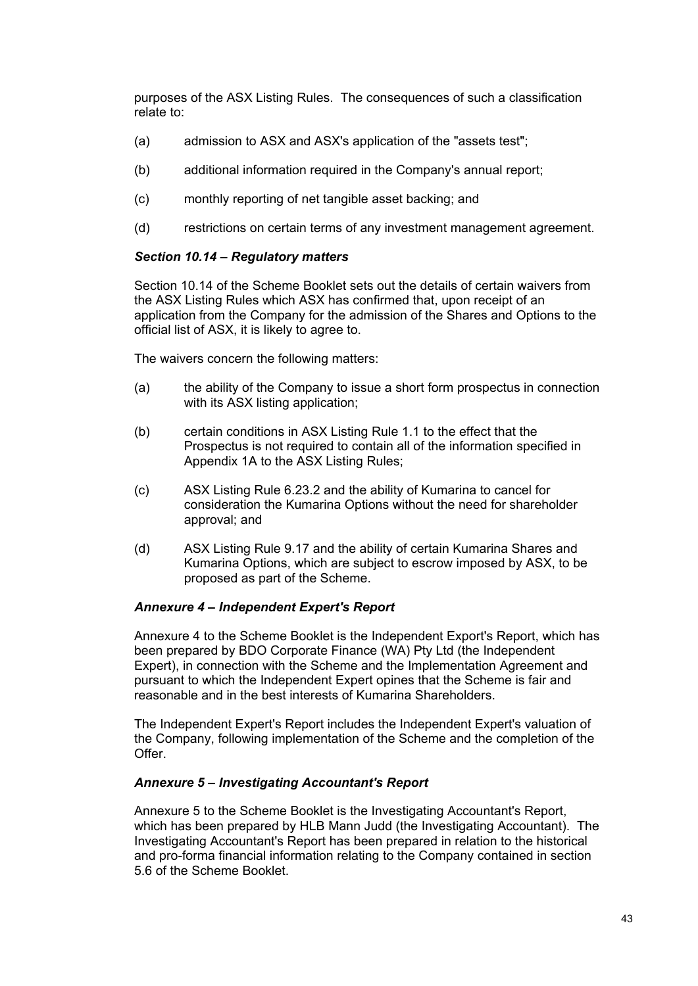purposes of the ASX Listing Rules. The consequences of such a classification relate to:

- (a) admission to ASX and ASX's application of the "assets test";
- (b) additional information required in the Company's annual report;
- (c) monthly reporting of net tangible asset backing; and
- (d) restrictions on certain terms of any investment management agreement.

# *Section 10.14 – Regulatory matters*

Section 10.14 of the Scheme Booklet sets out the details of certain waivers from the ASX Listing Rules which ASX has confirmed that, upon receipt of an application from the Company for the admission of the Shares and Options to the official list of ASX, it is likely to agree to.

The waivers concern the following matters:

- (a) the ability of the Company to issue a short form prospectus in connection with its ASX listing application;
- (b) certain conditions in ASX Listing Rule 1.1 to the effect that the Prospectus is not required to contain all of the information specified in Appendix 1A to the ASX Listing Rules;
- (c) ASX Listing Rule 6.23.2 and the ability of Kumarina to cancel for consideration the Kumarina Options without the need for shareholder approval; and
- (d) ASX Listing Rule 9.17 and the ability of certain Kumarina Shares and Kumarina Options, which are subject to escrow imposed by ASX, to be proposed as part of the Scheme.

### *Annexure 4 – Independent Expert's Report*

Annexure 4 to the Scheme Booklet is the Independent Export's Report, which has been prepared by BDO Corporate Finance (WA) Pty Ltd (the Independent Expert), in connection with the Scheme and the Implementation Agreement and pursuant to which the Independent Expert opines that the Scheme is fair and reasonable and in the best interests of Kumarina Shareholders.

The Independent Expert's Report includes the Independent Expert's valuation of the Company, following implementation of the Scheme and the completion of the Offer.

### *Annexure 5 – Investigating Accountant's Report*

Annexure 5 to the Scheme Booklet is the Investigating Accountant's Report, which has been prepared by HLB Mann Judd (the Investigating Accountant). The Investigating Accountant's Report has been prepared in relation to the historical and pro-forma financial information relating to the Company contained in section 5.6 of the Scheme Booklet.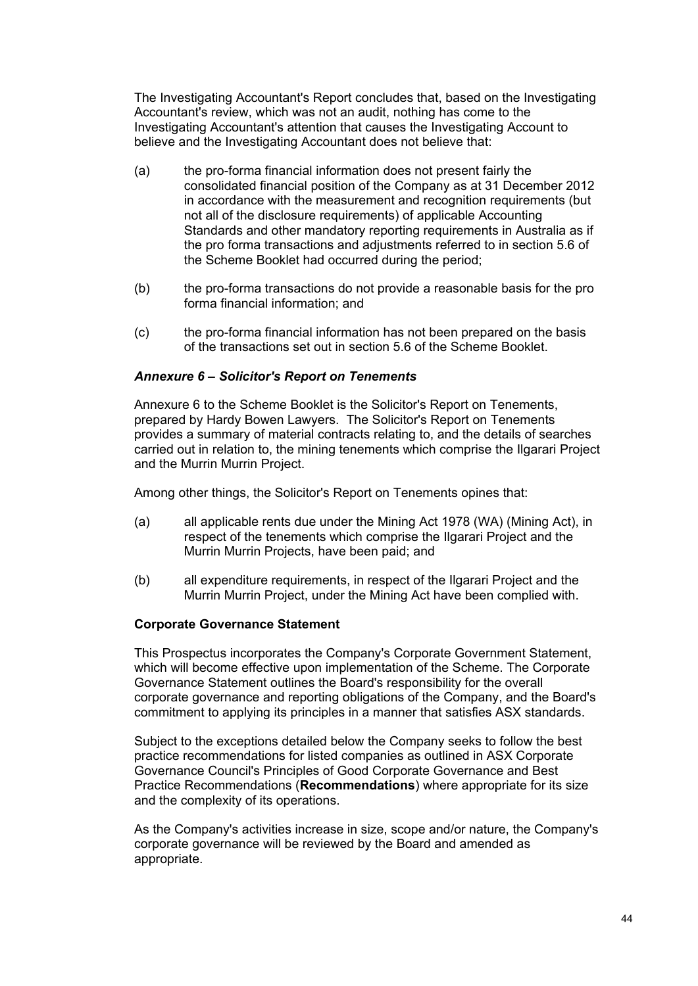The Investigating Accountant's Report concludes that, based on the Investigating Accountant's review, which was not an audit, nothing has come to the Investigating Accountant's attention that causes the Investigating Account to believe and the Investigating Accountant does not believe that:

- (a) the pro-forma financial information does not present fairly the consolidated financial position of the Company as at 31 December 2012 in accordance with the measurement and recognition requirements (but not all of the disclosure requirements) of applicable Accounting Standards and other mandatory reporting requirements in Australia as if the pro forma transactions and adjustments referred to in section 5.6 of the Scheme Booklet had occurred during the period;
- (b) the pro-forma transactions do not provide a reasonable basis for the pro forma financial information; and
- (c) the pro-forma financial information has not been prepared on the basis of the transactions set out in section 5.6 of the Scheme Booklet.

### *Annexure 6 – Solicitor's Report on Tenements*

Annexure 6 to the Scheme Booklet is the Solicitor's Report on Tenements, prepared by Hardy Bowen Lawyers. The Solicitor's Report on Tenements provides a summary of material contracts relating to, and the details of searches carried out in relation to, the mining tenements which comprise the Ilgarari Project and the Murrin Murrin Project.

Among other things, the Solicitor's Report on Tenements opines that:

- (a) all applicable rents due under the Mining Act 1978 (WA) (Mining Act), in respect of the tenements which comprise the Ilgarari Project and the Murrin Murrin Projects, have been paid; and
- (b) all expenditure requirements, in respect of the Ilgarari Project and the Murrin Murrin Project, under the Mining Act have been complied with.

#### **Corporate Governance Statement**

This Prospectus incorporates the Company's Corporate Government Statement, which will become effective upon implementation of the Scheme. The Corporate Governance Statement outlines the Board's responsibility for the overall corporate governance and reporting obligations of the Company, and the Board's commitment to applying its principles in a manner that satisfies ASX standards.

Subject to the exceptions detailed below the Company seeks to follow the best practice recommendations for listed companies as outlined in ASX Corporate Governance Council's Principles of Good Corporate Governance and Best Practice Recommendations (**Recommendations**) where appropriate for its size and the complexity of its operations.

As the Company's activities increase in size, scope and/or nature, the Company's corporate governance will be reviewed by the Board and amended as appropriate.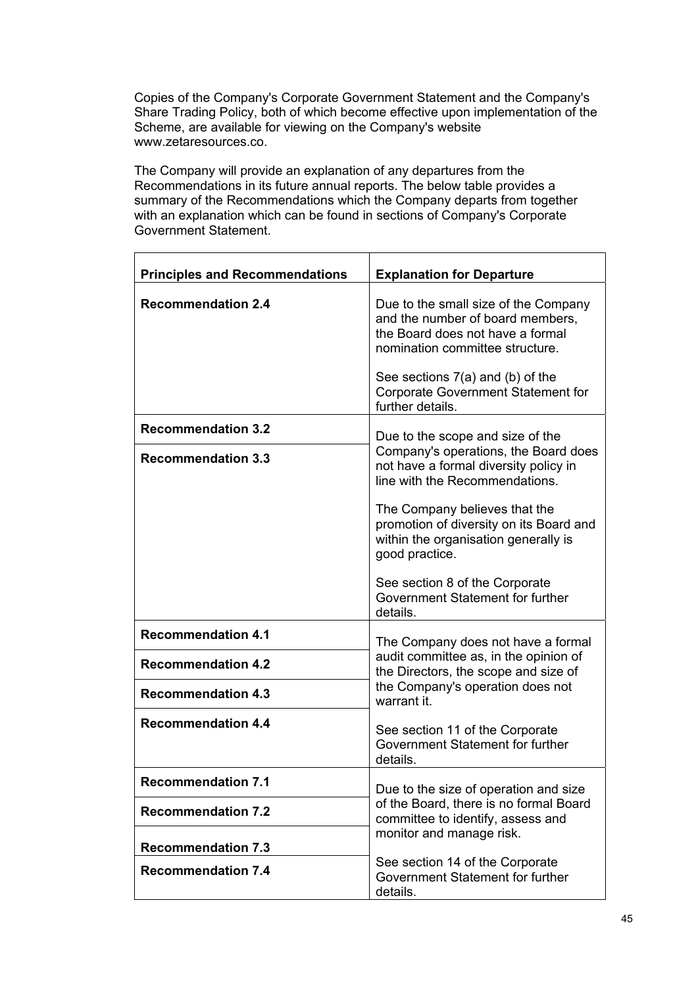Copies of the Company's Corporate Government Statement and the Company's Share Trading Policy, both of which become effective upon implementation of the Scheme, are available for viewing on the Company's website www.zetaresources.co.

The Company will provide an explanation of any departures from the Recommendations in its future annual reports. The below table provides a summary of the Recommendations which the Company departs from together with an explanation which can be found in sections of Company's Corporate Government Statement.

| <b>Principles and Recommendations</b> | <b>Explanation for Departure</b>                                                                                                                                                           |  |
|---------------------------------------|--------------------------------------------------------------------------------------------------------------------------------------------------------------------------------------------|--|
| <b>Recommendation 2.4</b>             | Due to the small size of the Company<br>and the number of board members,<br>the Board does not have a formal<br>nomination committee structure.<br>See sections $7(a)$ and (b) of the      |  |
|                                       | <b>Corporate Government Statement for</b><br>further details.                                                                                                                              |  |
| <b>Recommendation 3.2</b>             | Due to the scope and size of the                                                                                                                                                           |  |
| <b>Recommendation 3.3</b>             | Company's operations, the Board does<br>not have a formal diversity policy in<br>line with the Recommendations.                                                                            |  |
|                                       | The Company believes that the<br>promotion of diversity on its Board and<br>within the organisation generally is<br>good practice.                                                         |  |
|                                       | See section 8 of the Corporate<br>Government Statement for further<br>details.                                                                                                             |  |
| <b>Recommendation 4.1</b>             | The Company does not have a formal                                                                                                                                                         |  |
| <b>Recommendation 4.2</b>             | audit committee as, in the opinion of<br>the Directors, the scope and size of                                                                                                              |  |
| <b>Recommendation 4.3</b>             | the Company's operation does not<br>warrant it.                                                                                                                                            |  |
| <b>Recommendation 4.4</b>             | See section 11 of the Corporate<br>Government Statement for further<br>details.                                                                                                            |  |
| <b>Recommendation 7.1</b>             | Due to the size of operation and size                                                                                                                                                      |  |
| <b>Recommendation 7.2</b>             | of the Board, there is no formal Board<br>committee to identify, assess and<br>monitor and manage risk.<br>See section 14 of the Corporate<br>Government Statement for further<br>details. |  |
| <b>Recommendation 7.3</b>             |                                                                                                                                                                                            |  |
| <b>Recommendation 7.4</b>             |                                                                                                                                                                                            |  |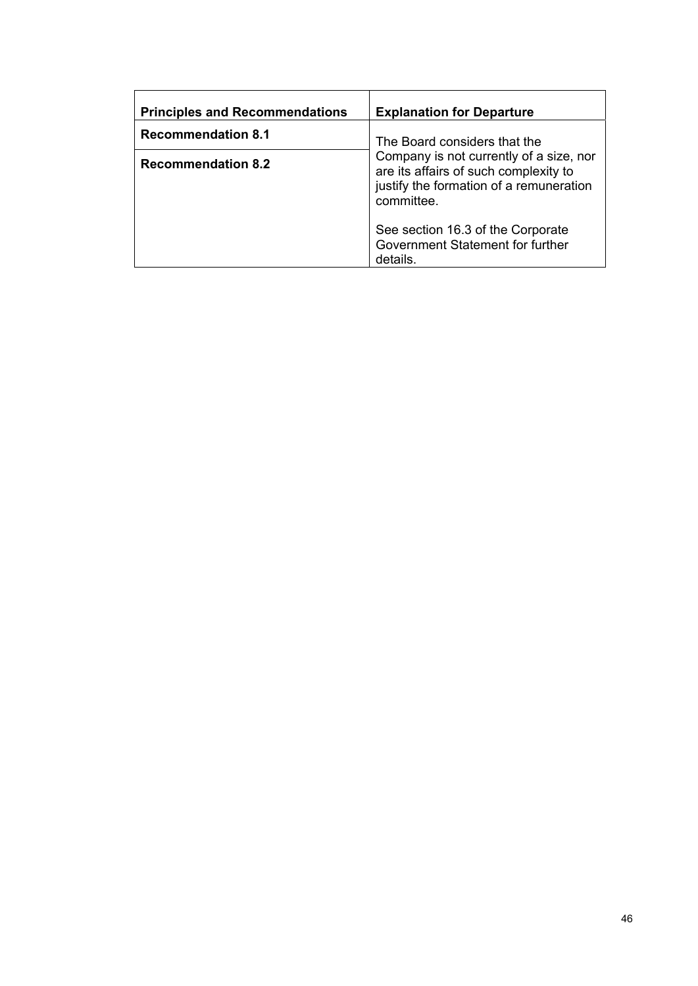| <b>Principles and Recommendations</b> | <b>Explanation for Departure</b>                                                                                                          |  |
|---------------------------------------|-------------------------------------------------------------------------------------------------------------------------------------------|--|
| <b>Recommendation 8.1</b>             | The Board considers that the                                                                                                              |  |
| <b>Recommendation 8.2</b>             | Company is not currently of a size, nor<br>are its affairs of such complexity to<br>justify the formation of a remuneration<br>committee. |  |
|                                       | See section 16.3 of the Corporate<br>Government Statement for further<br>details.                                                         |  |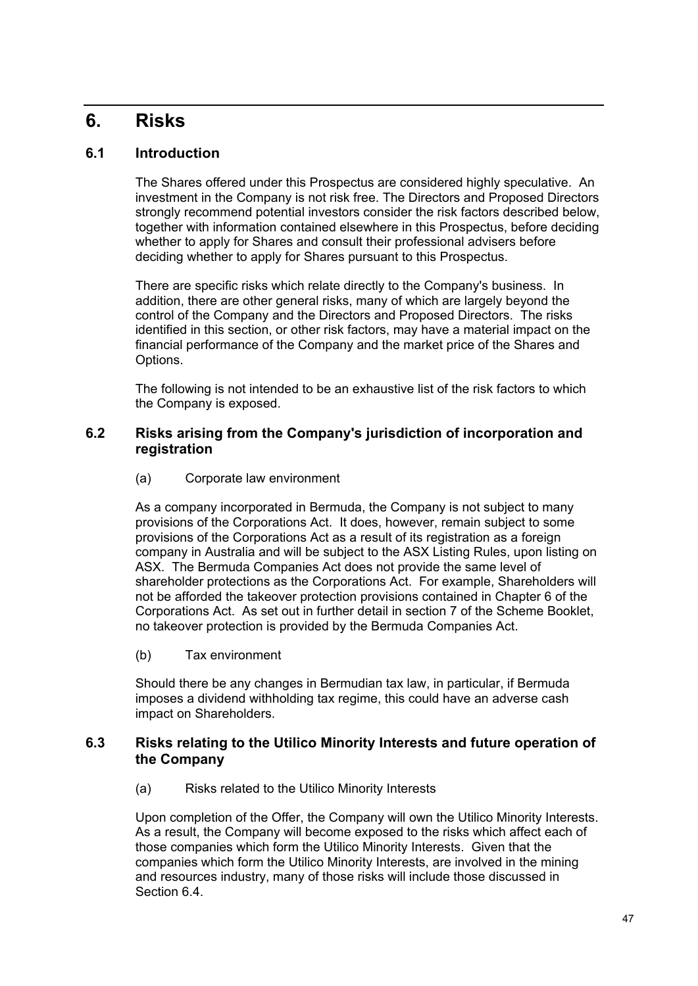# **6. Risks**

# **6.1 Introduction**

The Shares offered under this Prospectus are considered highly speculative. An investment in the Company is not risk free. The Directors and Proposed Directors strongly recommend potential investors consider the risk factors described below, together with information contained elsewhere in this Prospectus, before deciding whether to apply for Shares and consult their professional advisers before deciding whether to apply for Shares pursuant to this Prospectus.

There are specific risks which relate directly to the Company's business. In addition, there are other general risks, many of which are largely beyond the control of the Company and the Directors and Proposed Directors. The risks identified in this section, or other risk factors, may have a material impact on the financial performance of the Company and the market price of the Shares and Options.

The following is not intended to be an exhaustive list of the risk factors to which the Company is exposed.

# **6.2 Risks arising from the Company's jurisdiction of incorporation and registration**

(a) Corporate law environment

As a company incorporated in Bermuda, the Company is not subject to many provisions of the Corporations Act. It does, however, remain subject to some provisions of the Corporations Act as a result of its registration as a foreign company in Australia and will be subject to the ASX Listing Rules, upon listing on ASX. The Bermuda Companies Act does not provide the same level of shareholder protections as the Corporations Act. For example, Shareholders will not be afforded the takeover protection provisions contained in Chapter 6 of the Corporations Act. As set out in further detail in section 7 of the Scheme Booklet, no takeover protection is provided by the Bermuda Companies Act.

(b) Tax environment

Should there be any changes in Bermudian tax law, in particular, if Bermuda imposes a dividend withholding tax regime, this could have an adverse cash impact on Shareholders.

# **6.3 Risks relating to the Utilico Minority Interests and future operation of the Company**

(a) Risks related to the Utilico Minority Interests

Upon completion of the Offer, the Company will own the Utilico Minority Interests. As a result, the Company will become exposed to the risks which affect each of those companies which form the Utilico Minority Interests. Given that the companies which form the Utilico Minority Interests, are involved in the mining and resources industry, many of those risks will include those discussed in Section 6.4.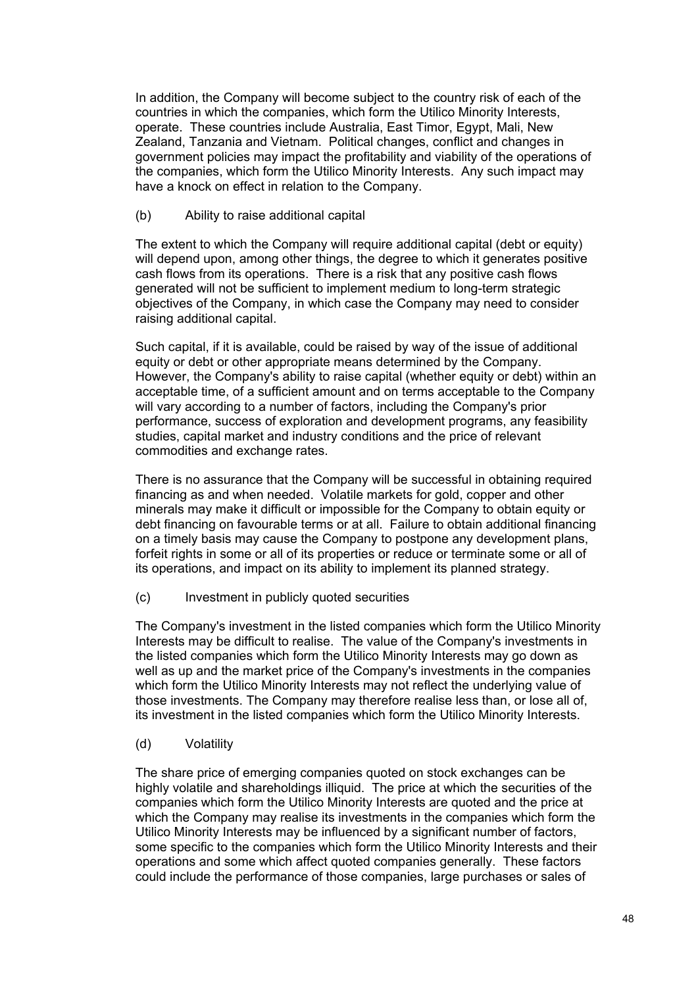In addition, the Company will become subject to the country risk of each of the countries in which the companies, which form the Utilico Minority Interests, operate. These countries include Australia, East Timor, Egypt, Mali, New Zealand, Tanzania and Vietnam. Political changes, conflict and changes in government policies may impact the profitability and viability of the operations of the companies, which form the Utilico Minority Interests. Any such impact may have a knock on effect in relation to the Company.

### (b) Ability to raise additional capital

The extent to which the Company will require additional capital (debt or equity) will depend upon, among other things, the degree to which it generates positive cash flows from its operations. There is a risk that any positive cash flows generated will not be sufficient to implement medium to long-term strategic objectives of the Company, in which case the Company may need to consider raising additional capital.

Such capital, if it is available, could be raised by way of the issue of additional equity or debt or other appropriate means determined by the Company. However, the Company's ability to raise capital (whether equity or debt) within an acceptable time, of a sufficient amount and on terms acceptable to the Company will vary according to a number of factors, including the Company's prior performance, success of exploration and development programs, any feasibility studies, capital market and industry conditions and the price of relevant commodities and exchange rates.

There is no assurance that the Company will be successful in obtaining required financing as and when needed. Volatile markets for gold, copper and other minerals may make it difficult or impossible for the Company to obtain equity or debt financing on favourable terms or at all. Failure to obtain additional financing on a timely basis may cause the Company to postpone any development plans, forfeit rights in some or all of its properties or reduce or terminate some or all of its operations, and impact on its ability to implement its planned strategy.

(c) Investment in publicly quoted securities

The Company's investment in the listed companies which form the Utilico Minority Interests may be difficult to realise. The value of the Company's investments in the listed companies which form the Utilico Minority Interests may go down as well as up and the market price of the Company's investments in the companies which form the Utilico Minority Interests may not reflect the underlying value of those investments. The Company may therefore realise less than, or lose all of, its investment in the listed companies which form the Utilico Minority Interests.

(d) Volatility

The share price of emerging companies quoted on stock exchanges can be highly volatile and shareholdings illiquid. The price at which the securities of the companies which form the Utilico Minority Interests are quoted and the price at which the Company may realise its investments in the companies which form the Utilico Minority Interests may be influenced by a significant number of factors, some specific to the companies which form the Utilico Minority Interests and their operations and some which affect quoted companies generally. These factors could include the performance of those companies, large purchases or sales of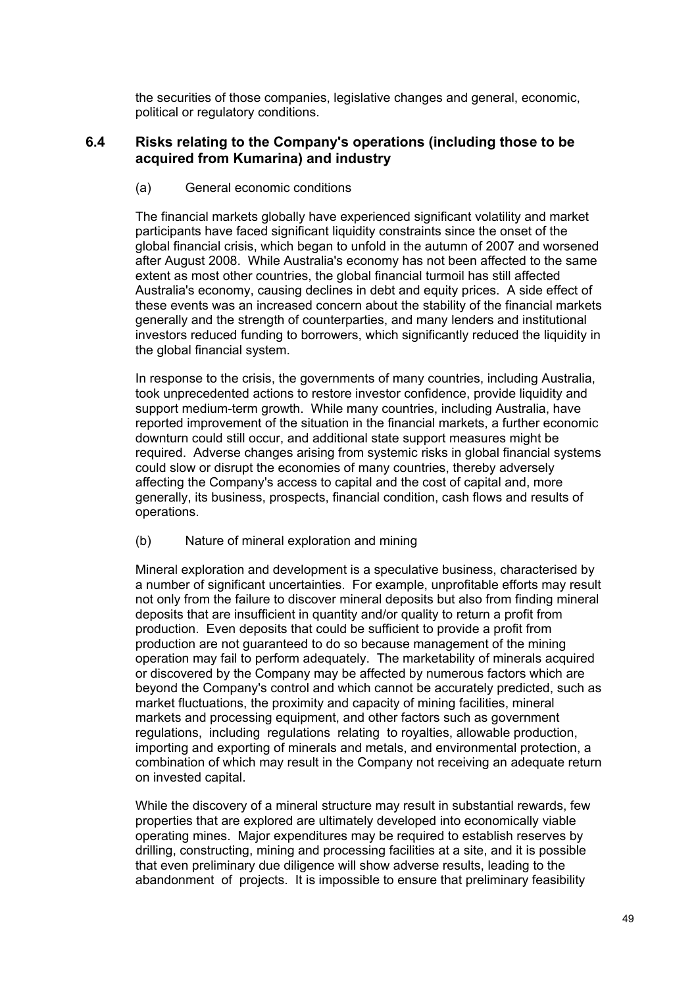the securities of those companies, legislative changes and general, economic, political or regulatory conditions.

# **6.4 Risks relating to the Company's operations (including those to be acquired from Kumarina) and industry**

## (a) General economic conditions

The financial markets globally have experienced significant volatility and market participants have faced significant liquidity constraints since the onset of the global financial crisis, which began to unfold in the autumn of 2007 and worsened after August 2008. While Australia's economy has not been affected to the same extent as most other countries, the global financial turmoil has still affected Australia's economy, causing declines in debt and equity prices. A side effect of these events was an increased concern about the stability of the financial markets generally and the strength of counterparties, and many lenders and institutional investors reduced funding to borrowers, which significantly reduced the liquidity in the global financial system.

In response to the crisis, the governments of many countries, including Australia, took unprecedented actions to restore investor confidence, provide liquidity and support medium-term growth. While many countries, including Australia, have reported improvement of the situation in the financial markets, a further economic downturn could still occur, and additional state support measures might be required. Adverse changes arising from systemic risks in global financial systems could slow or disrupt the economies of many countries, thereby adversely affecting the Company's access to capital and the cost of capital and, more generally, its business, prospects, financial condition, cash flows and results of operations.

# (b) Nature of mineral exploration and mining

Mineral exploration and development is a speculative business, characterised by a number of significant uncertainties. For example, unprofitable efforts may result not only from the failure to discover mineral deposits but also from finding mineral deposits that are insufficient in quantity and/or quality to return a profit from production. Even deposits that could be sufficient to provide a profit from production are not guaranteed to do so because management of the mining operation may fail to perform adequately. The marketability of minerals acquired or discovered by the Company may be affected by numerous factors which are beyond the Company's control and which cannot be accurately predicted, such as market fluctuations, the proximity and capacity of mining facilities, mineral markets and processing equipment, and other factors such as government regulations, including regulations relating to royalties, allowable production, importing and exporting of minerals and metals, and environmental protection, a combination of which may result in the Company not receiving an adequate return on invested capital.

While the discovery of a mineral structure may result in substantial rewards, few properties that are explored are ultimately developed into economically viable operating mines. Major expenditures may be required to establish reserves by drilling, constructing, mining and processing facilities at a site, and it is possible that even preliminary due diligence will show adverse results, leading to the abandonment of projects. It is impossible to ensure that preliminary feasibility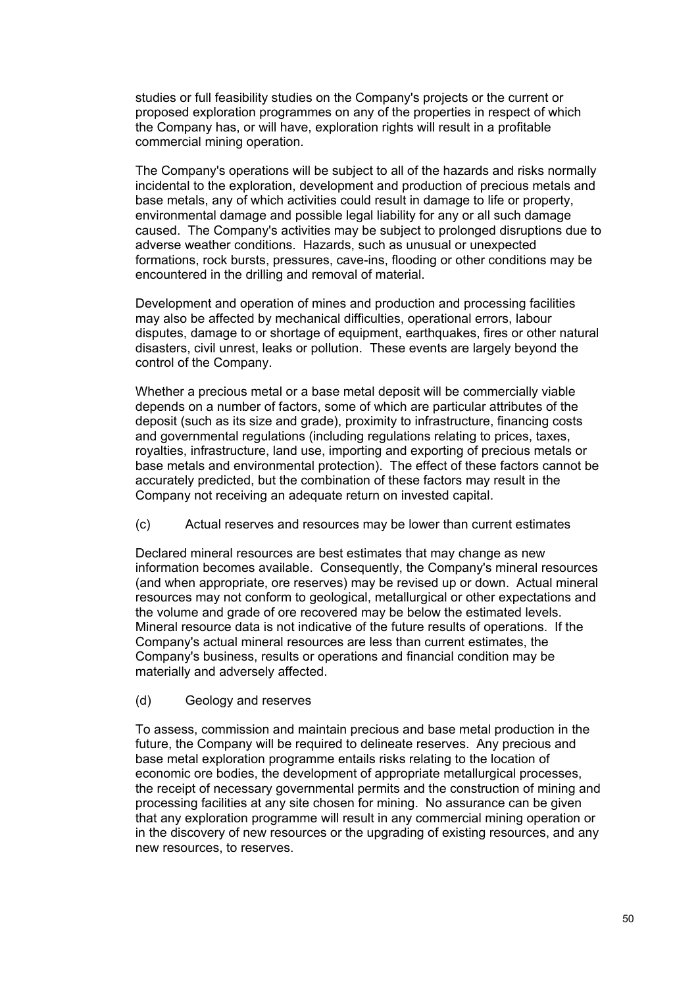studies or full feasibility studies on the Company's projects or the current or proposed exploration programmes on any of the properties in respect of which the Company has, or will have, exploration rights will result in a profitable commercial mining operation.

The Company's operations will be subject to all of the hazards and risks normally incidental to the exploration, development and production of precious metals and base metals, any of which activities could result in damage to life or property, environmental damage and possible legal liability for any or all such damage caused. The Company's activities may be subject to prolonged disruptions due to adverse weather conditions. Hazards, such as unusual or unexpected formations, rock bursts, pressures, cave-ins, flooding or other conditions may be encountered in the drilling and removal of material.

Development and operation of mines and production and processing facilities may also be affected by mechanical difficulties, operational errors, labour disputes, damage to or shortage of equipment, earthquakes, fires or other natural disasters, civil unrest, leaks or pollution. These events are largely beyond the control of the Company.

Whether a precious metal or a base metal deposit will be commercially viable depends on a number of factors, some of which are particular attributes of the deposit (such as its size and grade), proximity to infrastructure, financing costs and governmental regulations (including regulations relating to prices, taxes, royalties, infrastructure, land use, importing and exporting of precious metals or base metals and environmental protection). The effect of these factors cannot be accurately predicted, but the combination of these factors may result in the Company not receiving an adequate return on invested capital.

(c) Actual reserves and resources may be lower than current estimates

Declared mineral resources are best estimates that may change as new information becomes available. Consequently, the Company's mineral resources (and when appropriate, ore reserves) may be revised up or down. Actual mineral resources may not conform to geological, metallurgical or other expectations and the volume and grade of ore recovered may be below the estimated levels. Mineral resource data is not indicative of the future results of operations. If the Company's actual mineral resources are less than current estimates, the Company's business, results or operations and financial condition may be materially and adversely affected.

(d) Geology and reserves

To assess, commission and maintain precious and base metal production in the future, the Company will be required to delineate reserves. Any precious and base metal exploration programme entails risks relating to the location of economic ore bodies, the development of appropriate metallurgical processes, the receipt of necessary governmental permits and the construction of mining and processing facilities at any site chosen for mining. No assurance can be given that any exploration programme will result in any commercial mining operation or in the discovery of new resources or the upgrading of existing resources, and any new resources, to reserves.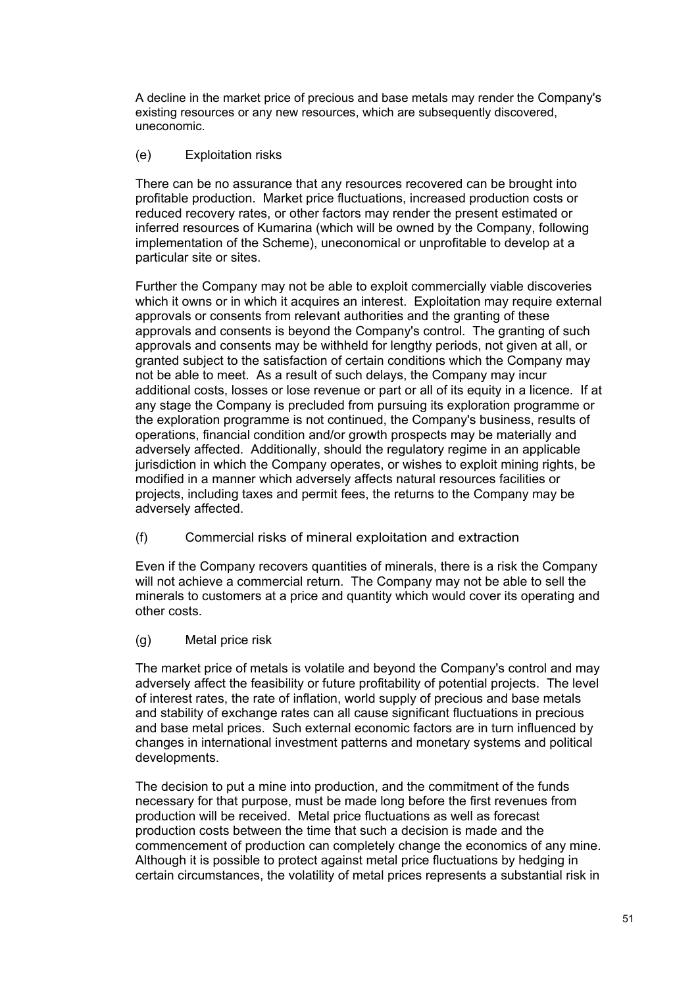A decline in the market price of precious and base metals may render the Company's existing resources or any new resources, which are subsequently discovered, uneconomic.

## (e) Exploitation risks

There can be no assurance that any resources recovered can be brought into profitable production. Market price fluctuations, increased production costs or reduced recovery rates, or other factors may render the present estimated or inferred resources of Kumarina (which will be owned by the Company, following implementation of the Scheme), uneconomical or unprofitable to develop at a particular site or sites.

Further the Company may not be able to exploit commercially viable discoveries which it owns or in which it acquires an interest. Exploitation may require external approvals or consents from relevant authorities and the granting of these approvals and consents is beyond the Company's control. The granting of such approvals and consents may be withheld for lengthy periods, not given at all, or granted subject to the satisfaction of certain conditions which the Company may not be able to meet. As a result of such delays, the Company may incur additional costs, losses or lose revenue or part or all of its equity in a licence. If at any stage the Company is precluded from pursuing its exploration programme or the exploration programme is not continued, the Company's business, results of operations, financial condition and/or growth prospects may be materially and adversely affected. Additionally, should the regulatory regime in an applicable jurisdiction in which the Company operates, or wishes to exploit mining rights, be modified in a manner which adversely affects natural resources facilities or projects, including taxes and permit fees, the returns to the Company may be adversely affected.

(f) Commercial risks of mineral exploitation and extraction

Even if the Company recovers quantities of minerals, there is a risk the Company will not achieve a commercial return. The Company may not be able to sell the minerals to customers at a price and quantity which would cover its operating and other costs.

(g) Metal price risk

The market price of metals is volatile and beyond the Company's control and may adversely affect the feasibility or future profitability of potential projects. The level of interest rates, the rate of inflation, world supply of precious and base metals and stability of exchange rates can all cause significant fluctuations in precious and base metal prices. Such external economic factors are in turn influenced by changes in international investment patterns and monetary systems and political developments.

The decision to put a mine into production, and the commitment of the funds necessary for that purpose, must be made long before the first revenues from production will be received. Metal price fluctuations as well as forecast production costs between the time that such a decision is made and the commencement of production can completely change the economics of any mine. Although it is possible to protect against metal price fluctuations by hedging in certain circumstances, the volatility of metal prices represents a substantial risk in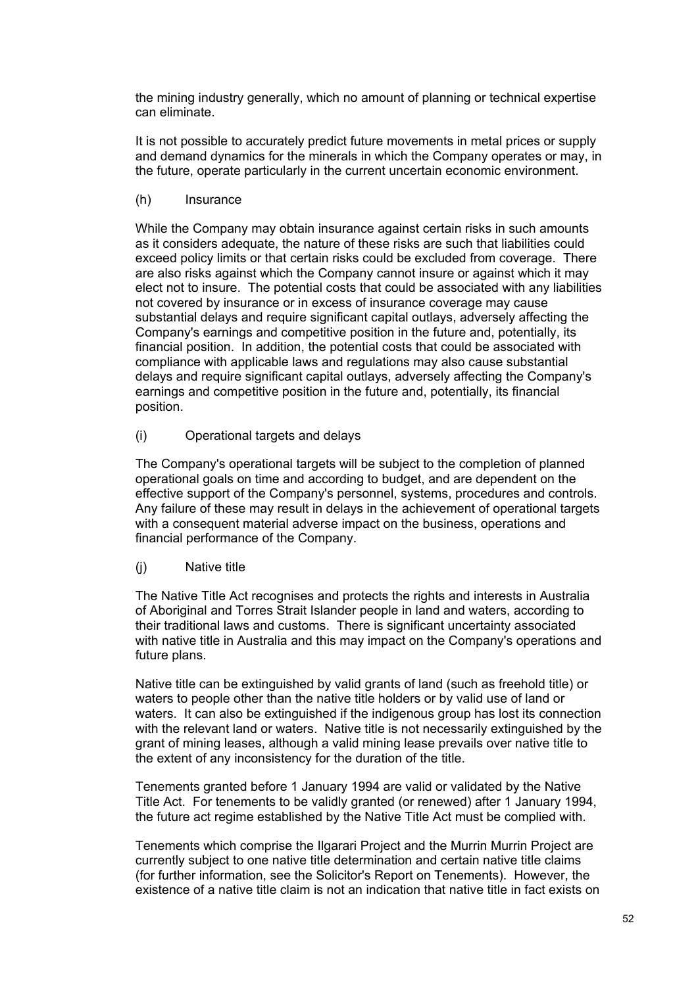the mining industry generally, which no amount of planning or technical expertise can eliminate.

It is not possible to accurately predict future movements in metal prices or supply and demand dynamics for the minerals in which the Company operates or may, in the future, operate particularly in the current uncertain economic environment.

(h) Insurance

While the Company may obtain insurance against certain risks in such amounts as it considers adequate, the nature of these risks are such that liabilities could exceed policy limits or that certain risks could be excluded from coverage. There are also risks against which the Company cannot insure or against which it may elect not to insure. The potential costs that could be associated with any liabilities not covered by insurance or in excess of insurance coverage may cause substantial delays and require significant capital outlays, adversely affecting the Company's earnings and competitive position in the future and, potentially, its financial position. In addition, the potential costs that could be associated with compliance with applicable laws and regulations may also cause substantial delays and require significant capital outlays, adversely affecting the Company's earnings and competitive position in the future and, potentially, its financial position.

(i) Operational targets and delays

The Company's operational targets will be subject to the completion of planned operational goals on time and according to budget, and are dependent on the effective support of the Company's personnel, systems, procedures and controls. Any failure of these may result in delays in the achievement of operational targets with a consequent material adverse impact on the business, operations and financial performance of the Company.

(j) Native title

The Native Title Act recognises and protects the rights and interests in Australia of Aboriginal and Torres Strait Islander people in land and waters, according to their traditional laws and customs. There is significant uncertainty associated with native title in Australia and this may impact on the Company's operations and future plans.

Native title can be extinguished by valid grants of land (such as freehold title) or waters to people other than the native title holders or by valid use of land or waters. It can also be extinguished if the indigenous group has lost its connection with the relevant land or waters. Native title is not necessarily extinguished by the grant of mining leases, although a valid mining lease prevails over native title to the extent of any inconsistency for the duration of the title.

Tenements granted before 1 January 1994 are valid or validated by the Native Title Act. For tenements to be validly granted (or renewed) after 1 January 1994, the future act regime established by the Native Title Act must be complied with.

Tenements which comprise the Ilgarari Project and the Murrin Murrin Project are currently subject to one native title determination and certain native title claims (for further information, see the Solicitor's Report on Tenements). However, the existence of a native title claim is not an indication that native title in fact exists on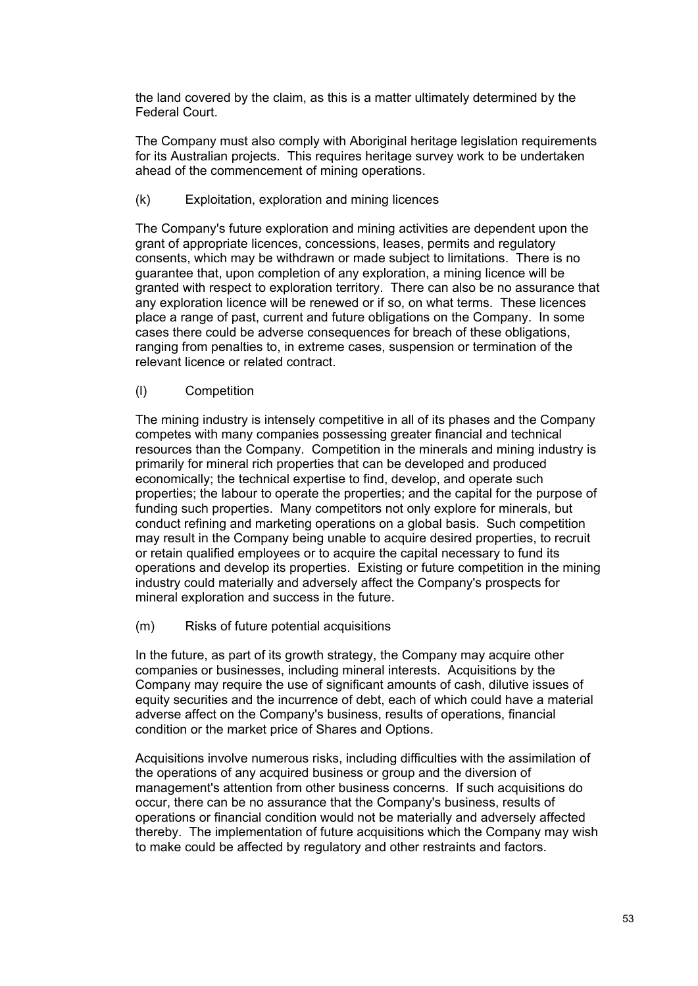the land covered by the claim, as this is a matter ultimately determined by the Federal Court.

The Company must also comply with Aboriginal heritage legislation requirements for its Australian projects. This requires heritage survey work to be undertaken ahead of the commencement of mining operations.

(k) Exploitation, exploration and mining licences

The Company's future exploration and mining activities are dependent upon the grant of appropriate licences, concessions, leases, permits and regulatory consents, which may be withdrawn or made subject to limitations. There is no guarantee that, upon completion of any exploration, a mining licence will be granted with respect to exploration territory. There can also be no assurance that any exploration licence will be renewed or if so, on what terms. These licences place a range of past, current and future obligations on the Company. In some cases there could be adverse consequences for breach of these obligations, ranging from penalties to, in extreme cases, suspension or termination of the relevant licence or related contract.

# (l) Competition

The mining industry is intensely competitive in all of its phases and the Company competes with many companies possessing greater financial and technical resources than the Company. Competition in the minerals and mining industry is primarily for mineral rich properties that can be developed and produced economically; the technical expertise to find, develop, and operate such properties; the labour to operate the properties; and the capital for the purpose of funding such properties. Many competitors not only explore for minerals, but conduct refining and marketing operations on a global basis. Such competition may result in the Company being unable to acquire desired properties, to recruit or retain qualified employees or to acquire the capital necessary to fund its operations and develop its properties. Existing or future competition in the mining industry could materially and adversely affect the Company's prospects for mineral exploration and success in the future.

(m) Risks of future potential acquisitions

In the future, as part of its growth strategy, the Company may acquire other companies or businesses, including mineral interests. Acquisitions by the Company may require the use of significant amounts of cash, dilutive issues of equity securities and the incurrence of debt, each of which could have a material adverse affect on the Company's business, results of operations, financial condition or the market price of Shares and Options.

Acquisitions involve numerous risks, including difficulties with the assimilation of the operations of any acquired business or group and the diversion of management's attention from other business concerns. If such acquisitions do occur, there can be no assurance that the Company's business, results of operations or financial condition would not be materially and adversely affected thereby. The implementation of future acquisitions which the Company may wish to make could be affected by regulatory and other restraints and factors.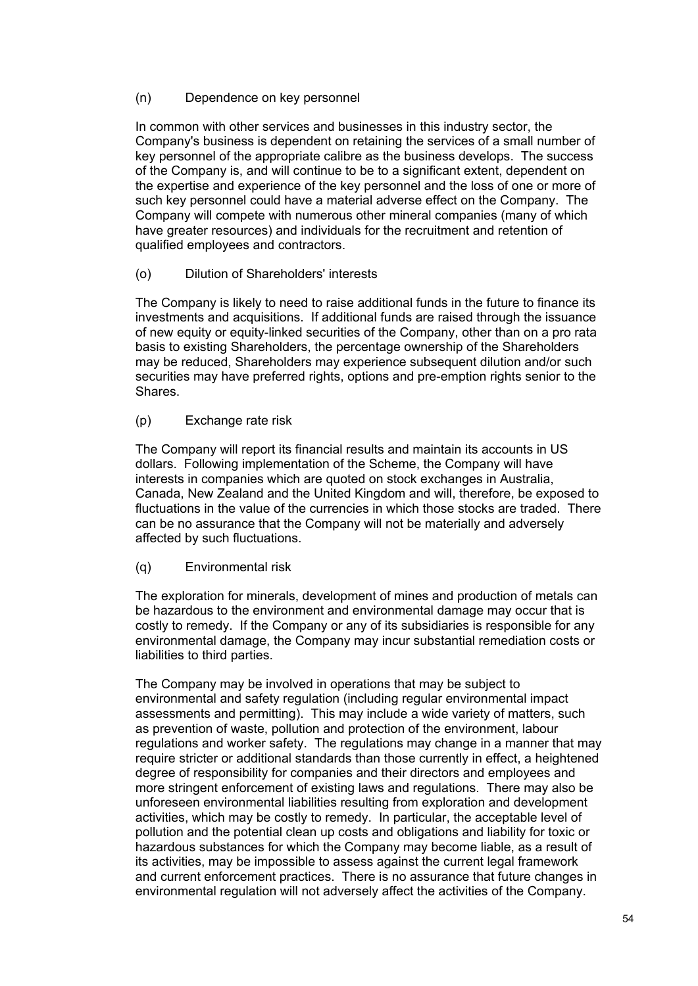## (n) Dependence on key personnel

In common with other services and businesses in this industry sector, the Company's business is dependent on retaining the services of a small number of key personnel of the appropriate calibre as the business develops. The success of the Company is, and will continue to be to a significant extent, dependent on the expertise and experience of the key personnel and the loss of one or more of such key personnel could have a material adverse effect on the Company. The Company will compete with numerous other mineral companies (many of which have greater resources) and individuals for the recruitment and retention of qualified employees and contractors.

# (o) Dilution of Shareholders' interests

The Company is likely to need to raise additional funds in the future to finance its investments and acquisitions. If additional funds are raised through the issuance of new equity or equity-linked securities of the Company, other than on a pro rata basis to existing Shareholders, the percentage ownership of the Shareholders may be reduced, Shareholders may experience subsequent dilution and/or such securities may have preferred rights, options and pre-emption rights senior to the Shares.

# (p) Exchange rate risk

The Company will report its financial results and maintain its accounts in US dollars. Following implementation of the Scheme, the Company will have interests in companies which are quoted on stock exchanges in Australia, Canada, New Zealand and the United Kingdom and will, therefore, be exposed to fluctuations in the value of the currencies in which those stocks are traded. There can be no assurance that the Company will not be materially and adversely affected by such fluctuations.

(q) Environmental risk

The exploration for minerals, development of mines and production of metals can be hazardous to the environment and environmental damage may occur that is costly to remedy. If the Company or any of its subsidiaries is responsible for any environmental damage, the Company may incur substantial remediation costs or liabilities to third parties.

The Company may be involved in operations that may be subject to environmental and safety regulation (including regular environmental impact assessments and permitting). This may include a wide variety of matters, such as prevention of waste, pollution and protection of the environment, labour regulations and worker safety. The regulations may change in a manner that may require stricter or additional standards than those currently in effect, a heightened degree of responsibility for companies and their directors and employees and more stringent enforcement of existing laws and regulations. There may also be unforeseen environmental liabilities resulting from exploration and development activities, which may be costly to remedy. In particular, the acceptable level of pollution and the potential clean up costs and obligations and liability for toxic or hazardous substances for which the Company may become liable, as a result of its activities, may be impossible to assess against the current legal framework and current enforcement practices. There is no assurance that future changes in environmental regulation will not adversely affect the activities of the Company.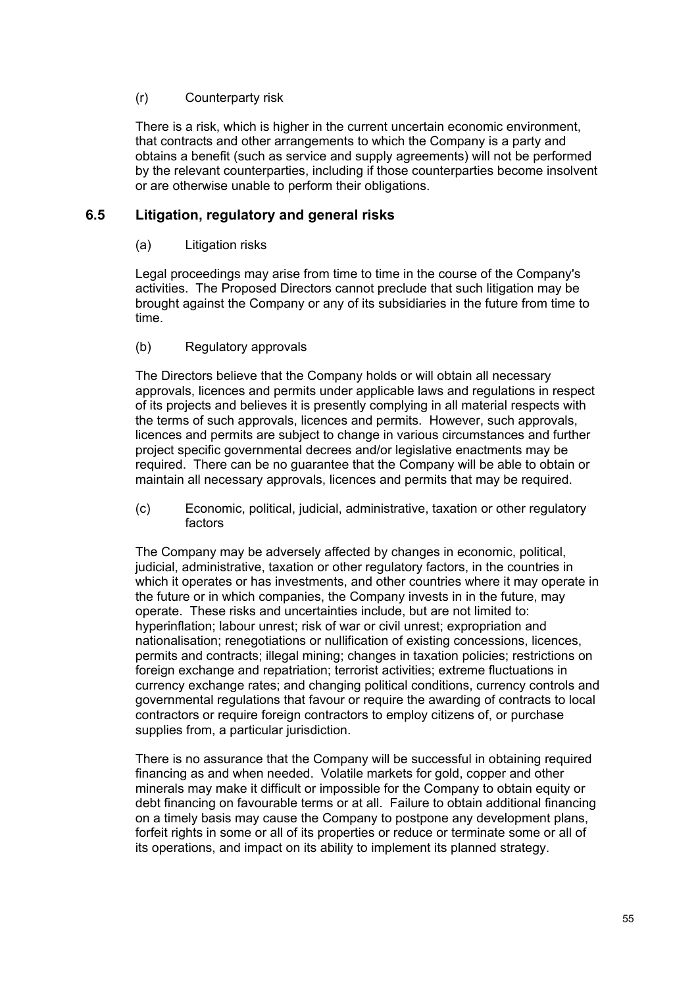# (r) Counterparty risk

There is a risk, which is higher in the current uncertain economic environment, that contracts and other arrangements to which the Company is a party and obtains a benefit (such as service and supply agreements) will not be performed by the relevant counterparties, including if those counterparties become insolvent or are otherwise unable to perform their obligations.

# **6.5 Litigation, regulatory and general risks**

# (a) Litigation risks

Legal proceedings may arise from time to time in the course of the Company's activities. The Proposed Directors cannot preclude that such litigation may be brought against the Company or any of its subsidiaries in the future from time to time.

# (b) Regulatory approvals

The Directors believe that the Company holds or will obtain all necessary approvals, licences and permits under applicable laws and regulations in respect of its projects and believes it is presently complying in all material respects with the terms of such approvals, licences and permits. However, such approvals, licences and permits are subject to change in various circumstances and further project specific governmental decrees and/or legislative enactments may be required. There can be no guarantee that the Company will be able to obtain or maintain all necessary approvals, licences and permits that may be required.

(c) Economic, political, judicial, administrative, taxation or other regulatory factors

The Company may be adversely affected by changes in economic, political, judicial, administrative, taxation or other regulatory factors, in the countries in which it operates or has investments, and other countries where it may operate in the future or in which companies, the Company invests in in the future, may operate. These risks and uncertainties include, but are not limited to: hyperinflation; labour unrest; risk of war or civil unrest; expropriation and nationalisation; renegotiations or nullification of existing concessions, licences, permits and contracts; illegal mining; changes in taxation policies; restrictions on foreign exchange and repatriation; terrorist activities; extreme fluctuations in currency exchange rates; and changing political conditions, currency controls and governmental regulations that favour or require the awarding of contracts to local contractors or require foreign contractors to employ citizens of, or purchase supplies from, a particular jurisdiction.

There is no assurance that the Company will be successful in obtaining required financing as and when needed. Volatile markets for gold, copper and other minerals may make it difficult or impossible for the Company to obtain equity or debt financing on favourable terms or at all. Failure to obtain additional financing on a timely basis may cause the Company to postpone any development plans, forfeit rights in some or all of its properties or reduce or terminate some or all of its operations, and impact on its ability to implement its planned strategy.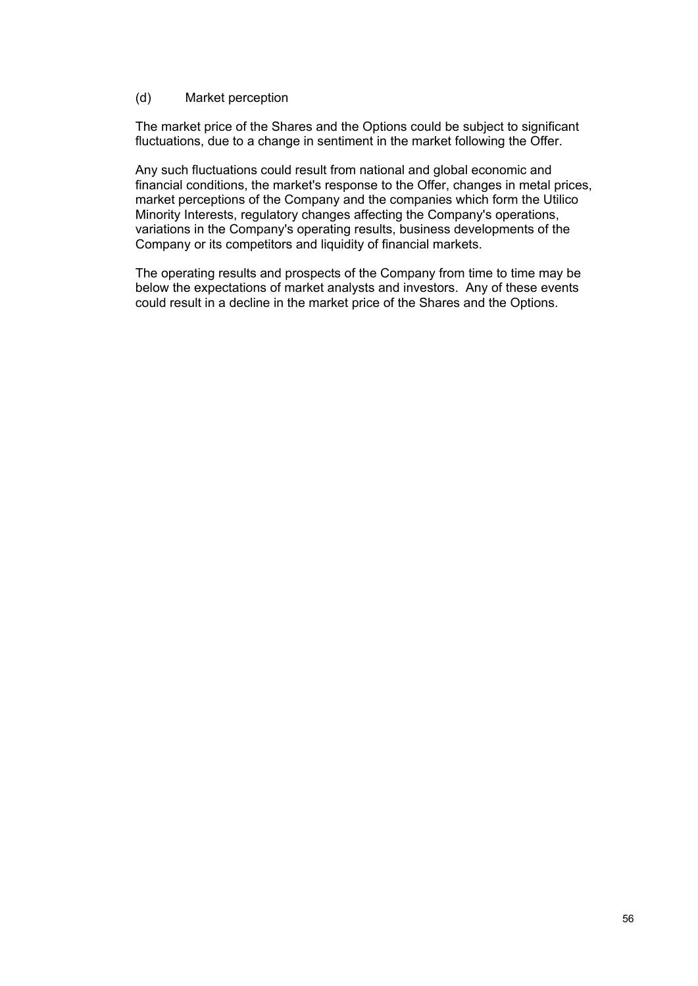### (d) Market perception

The market price of the Shares and the Options could be subject to significant fluctuations, due to a change in sentiment in the market following the Offer.

Any such fluctuations could result from national and global economic and financial conditions, the market's response to the Offer, changes in metal prices, market perceptions of the Company and the companies which form the Utilico Minority Interests, regulatory changes affecting the Company's operations, variations in the Company's operating results, business developments of the Company or its competitors and liquidity of financial markets.

The operating results and prospects of the Company from time to time may be below the expectations of market analysts and investors. Any of these events could result in a decline in the market price of the Shares and the Options.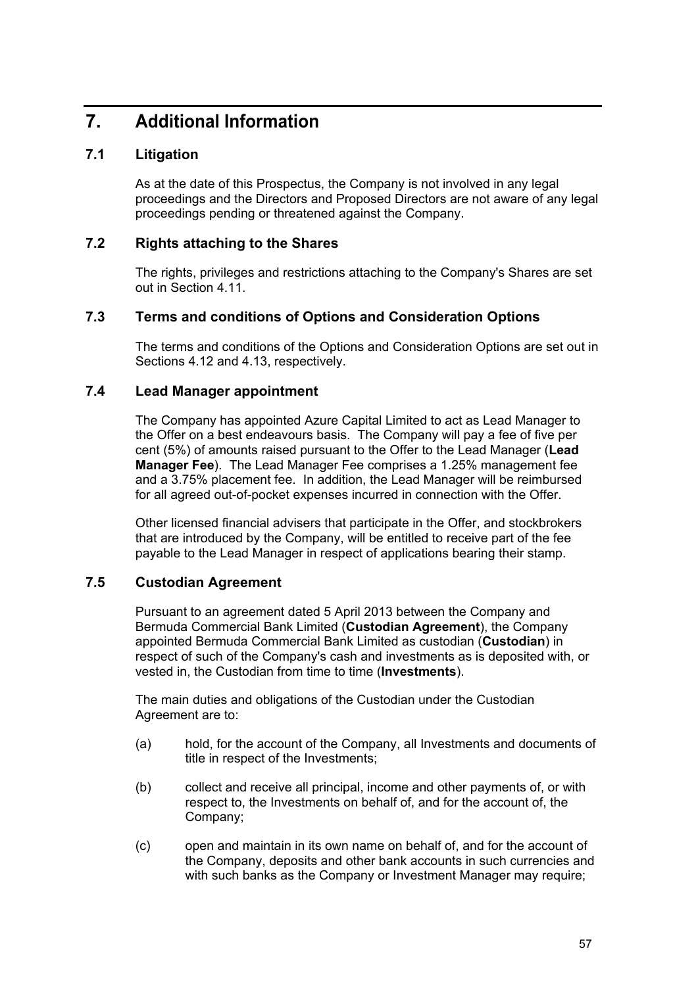# **7. Additional Information**

# **7.1 Litigation**

As at the date of this Prospectus, the Company is not involved in any legal proceedings and the Directors and Proposed Directors are not aware of any legal proceedings pending or threatened against the Company.

# **7.2 Rights attaching to the Shares**

The rights, privileges and restrictions attaching to the Company's Shares are set out in Section 4.11.

# **7.3 Terms and conditions of Options and Consideration Options**

The terms and conditions of the Options and Consideration Options are set out in Sections 4.12 and 4.13, respectively.

# **7.4 Lead Manager appointment**

The Company has appointed Azure Capital Limited to act as Lead Manager to the Offer on a best endeavours basis. The Company will pay a fee of five per cent (5%) of amounts raised pursuant to the Offer to the Lead Manager (**Lead Manager Fee**). The Lead Manager Fee comprises a 1.25% management fee and a 3.75% placement fee. In addition, the Lead Manager will be reimbursed for all agreed out-of-pocket expenses incurred in connection with the Offer.

Other licensed financial advisers that participate in the Offer, and stockbrokers that are introduced by the Company, will be entitled to receive part of the fee payable to the Lead Manager in respect of applications bearing their stamp.

# **7.5 Custodian Agreement**

Pursuant to an agreement dated 5 April 2013 between the Company and Bermuda Commercial Bank Limited (**Custodian Agreement**), the Company appointed Bermuda Commercial Bank Limited as custodian (**Custodian**) in respect of such of the Company's cash and investments as is deposited with, or vested in, the Custodian from time to time (**Investments**).

The main duties and obligations of the Custodian under the Custodian Agreement are to:

- (a) hold, for the account of the Company, all Investments and documents of title in respect of the Investments;
- (b) collect and receive all principal, income and other payments of, or with respect to, the Investments on behalf of, and for the account of, the Company;
- (c) open and maintain in its own name on behalf of, and for the account of the Company, deposits and other bank accounts in such currencies and with such banks as the Company or Investment Manager may require;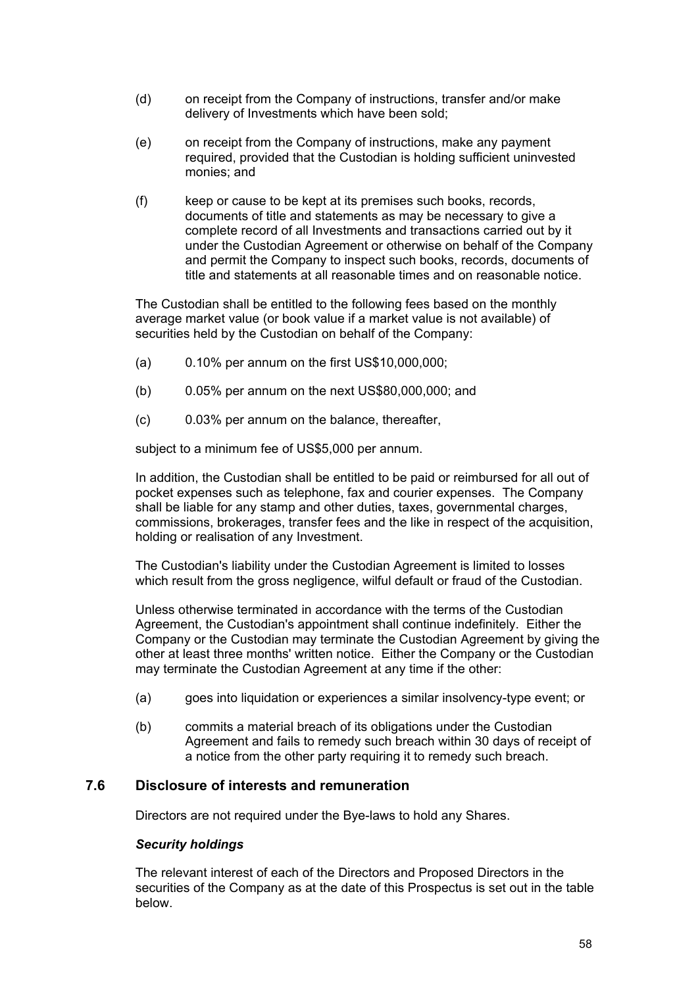- (d) on receipt from the Company of instructions, transfer and/or make delivery of Investments which have been sold;
- (e) on receipt from the Company of instructions, make any payment required, provided that the Custodian is holding sufficient uninvested monies; and
- (f) keep or cause to be kept at its premises such books, records, documents of title and statements as may be necessary to give a complete record of all Investments and transactions carried out by it under the Custodian Agreement or otherwise on behalf of the Company and permit the Company to inspect such books, records, documents of title and statements at all reasonable times and on reasonable notice.

The Custodian shall be entitled to the following fees based on the monthly average market value (or book value if a market value is not available) of securities held by the Custodian on behalf of the Company:

- (a) 0.10% per annum on the first US\$10,000,000;
- (b) 0.05% per annum on the next US\$80,000,000; and
- (c) 0.03% per annum on the balance, thereafter,

subject to a minimum fee of US\$5,000 per annum.

In addition, the Custodian shall be entitled to be paid or reimbursed for all out of pocket expenses such as telephone, fax and courier expenses. The Company shall be liable for any stamp and other duties, taxes, governmental charges, commissions, brokerages, transfer fees and the like in respect of the acquisition, holding or realisation of any Investment.

The Custodian's liability under the Custodian Agreement is limited to losses which result from the gross negligence, wilful default or fraud of the Custodian.

Unless otherwise terminated in accordance with the terms of the Custodian Agreement, the Custodian's appointment shall continue indefinitely. Either the Company or the Custodian may terminate the Custodian Agreement by giving the other at least three months' written notice. Either the Company or the Custodian may terminate the Custodian Agreement at any time if the other:

- (a) goes into liquidation or experiences a similar insolvency-type event; or
- (b) commits a material breach of its obligations under the Custodian Agreement and fails to remedy such breach within 30 days of receipt of a notice from the other party requiring it to remedy such breach.

### **7.6 Disclosure of interests and remuneration**

Directors are not required under the Bye-laws to hold any Shares.

#### *Security holdings*

The relevant interest of each of the Directors and Proposed Directors in the securities of the Company as at the date of this Prospectus is set out in the table below.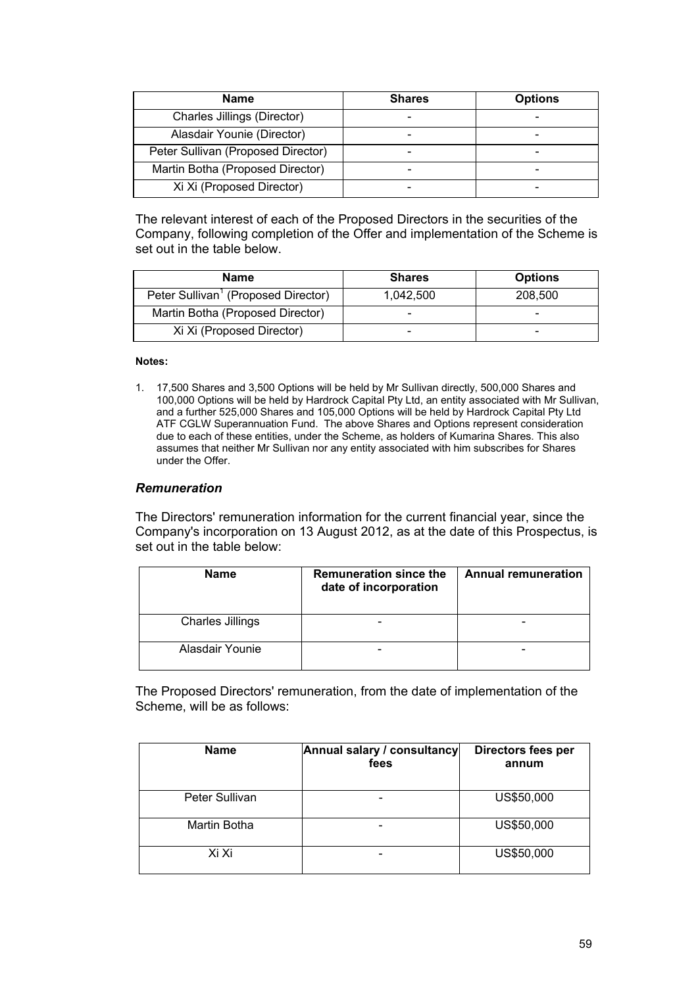| <b>Name</b>                        | <b>Shares</b> | <b>Options</b> |
|------------------------------------|---------------|----------------|
| Charles Jillings (Director)        |               |                |
| Alasdair Younie (Director)         |               |                |
| Peter Sullivan (Proposed Director) |               |                |
| Martin Botha (Proposed Director)   |               |                |
| Xi Xi (Proposed Director)          |               |                |

The relevant interest of each of the Proposed Directors in the securities of the Company, following completion of the Offer and implementation of the Scheme is set out in the table below.

| Name                                            | <b>Shares</b> | <b>Options</b> |
|-------------------------------------------------|---------------|----------------|
| Peter Sullivan <sup>1</sup> (Proposed Director) | 1.042.500     | 208,500        |
| Martin Botha (Proposed Director)                | $\sim$        | -              |
| Xi Xi (Proposed Director)                       | -             | -              |

#### **Notes:**

1. 17,500 Shares and 3,500 Options will be held by Mr Sullivan directly, 500,000 Shares and 100,000 Options will be held by Hardrock Capital Pty Ltd, an entity associated with Mr Sullivan, and a further 525,000 Shares and 105,000 Options will be held by Hardrock Capital Pty Ltd ATF CGLW Superannuation Fund. The above Shares and Options represent consideration due to each of these entities, under the Scheme, as holders of Kumarina Shares. This also assumes that neither Mr Sullivan nor any entity associated with him subscribes for Shares under the Offer.

### *Remuneration*

The Directors' remuneration information for the current financial year, since the Company's incorporation on 13 August 2012, as at the date of this Prospectus, is set out in the table below:

| <b>Name</b>             | <b>Remuneration since the</b><br>date of incorporation | <b>Annual remuneration</b> |
|-------------------------|--------------------------------------------------------|----------------------------|
| <b>Charles Jillings</b> |                                                        |                            |
| Alasdair Younie         |                                                        |                            |

The Proposed Directors' remuneration, from the date of implementation of the Scheme, will be as follows:

| <b>Name</b>    | Annual salary / consultancy<br>fees | Directors fees per<br>annum |
|----------------|-------------------------------------|-----------------------------|
| Peter Sullivan |                                     | US\$50,000                  |
| Martin Botha   |                                     | US\$50,000                  |
| Xi Xi          |                                     | US\$50,000                  |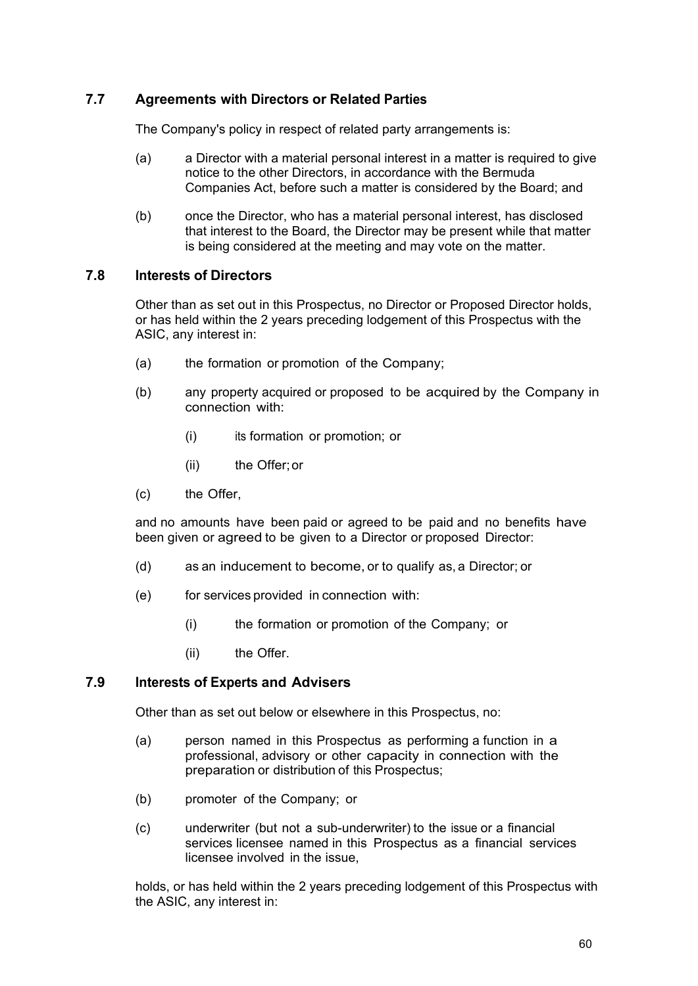# **7.7 Agreements with Directors or Related Parties**

The Company's policy in respect of related party arrangements is:

- (a) a Director with a material personal interest in a matter is required to give notice to the other Directors, in accordance with the Bermuda Companies Act, before such a matter is considered by the Board; and
- (b) once the Director, who has a material personal interest, has disclosed that interest to the Board, the Director may be present while that matter is being considered at the meeting and may vote on the matter.

# **7.8 Interests of Directors**

Other than as set out in this Prospectus, no Director or Proposed Director holds, or has held within the 2 years preceding lodgement of this Prospectus with the ASIC, any interest in:

- (a) the formation or promotion of the Company;
- (b) any property acquired or proposed to be acquired by the Company in connection with:
	- (i) its formation or promotion; or
	- (ii) the Offer; or
- (c) the Offer,

and no amounts have been paid or agreed to be paid and no benefits have been given or agreed to be given to a Director or proposed Director:

- (d) as an inducement to become, or to qualify as, a Director; or
- (e) for services provided in connection with:
	- (i) the formation or promotion of the Company; or
	- (ii) the Offer.

### **7.9 Interests of Experts and Advisers**

Other than as set out below or elsewhere in this Prospectus, no:

- (a) person named in this Prospectus as performing a function in a professional, advisory or other capacity in connection with the preparation or distribution of this Prospectus;
- (b) promoter of the Company; or
- (c) underwriter (but not a sub-underwriter) to the issue or a financial services licensee named in this Prospectus as a financial services licensee involved in the issue,

holds, or has held within the 2 years preceding lodgement of this Prospectus with the ASIC, any interest in: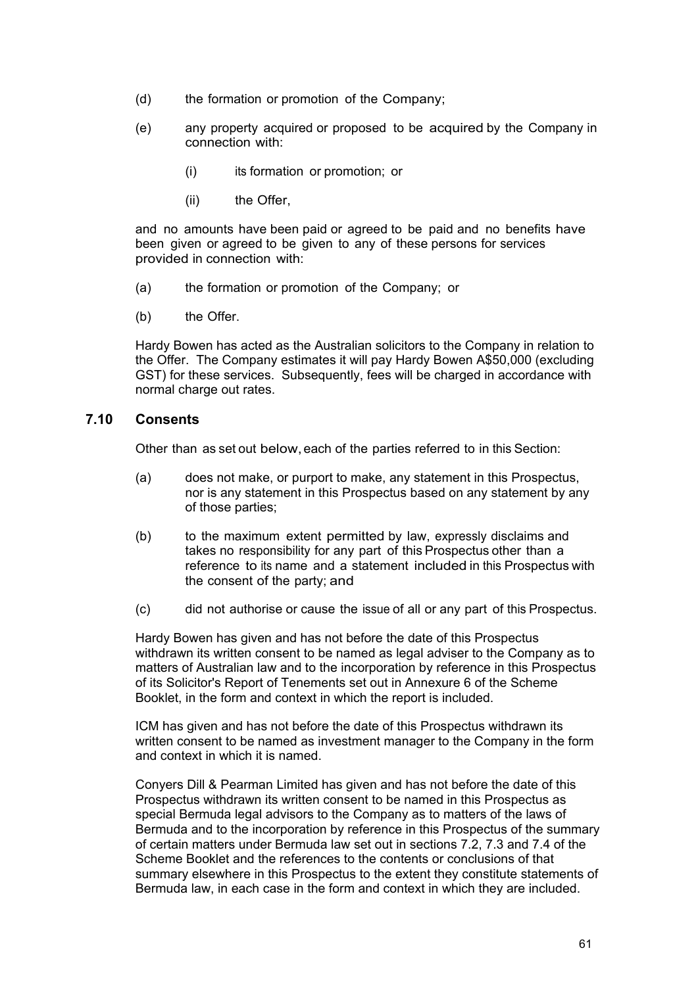- (d) the formation or promotion of the Company;
- (e) any property acquired or proposed to be acquired by the Company in connection with:
	- (i) its formation or promotion; or
	- (ii) the Offer.

and no amounts have been paid or agreed to be paid and no benefits have been given or agreed to be given to any of these persons for services provided in connection with:

- (a) the formation or promotion of the Company; or
- (b) the Offer.

Hardy Bowen has acted as the Australian solicitors to the Company in relation to the Offer. The Company estimates it will pay Hardy Bowen A\$50,000 (excluding GST) for these services. Subsequently, fees will be charged in accordance with normal charge out rates.

# **7.10 Consents**

Other than as set out below, each of the parties referred to in this Section:

- (a) does not make, or purport to make, any statement in this Prospectus, nor is any statement in this Prospectus based on any statement by any of those parties;
- (b) to the maximum extent permitted by law, expressly disclaims and takes no responsibility for any part of this Prospectus other than a reference to its name and a statement included in this Prospectus with the consent of the party; and
- (c) did not authorise or cause the issue of all or any part of this Prospectus.

Hardy Bowen has given and has not before the date of this Prospectus withdrawn its written consent to be named as legal adviser to the Company as to matters of Australian law and to the incorporation by reference in this Prospectus of its Solicitor's Report of Tenements set out in Annexure 6 of the Scheme Booklet, in the form and context in which the report is included.

ICM has given and has not before the date of this Prospectus withdrawn its written consent to be named as investment manager to the Company in the form and context in which it is named.

Conyers Dill & Pearman Limited has given and has not before the date of this Prospectus withdrawn its written consent to be named in this Prospectus as special Bermuda legal advisors to the Company as to matters of the laws of Bermuda and to the incorporation by reference in this Prospectus of the summary of certain matters under Bermuda law set out in sections 7.2, 7.3 and 7.4 of the Scheme Booklet and the references to the contents or conclusions of that summary elsewhere in this Prospectus to the extent they constitute statements of Bermuda law, in each case in the form and context in which they are included.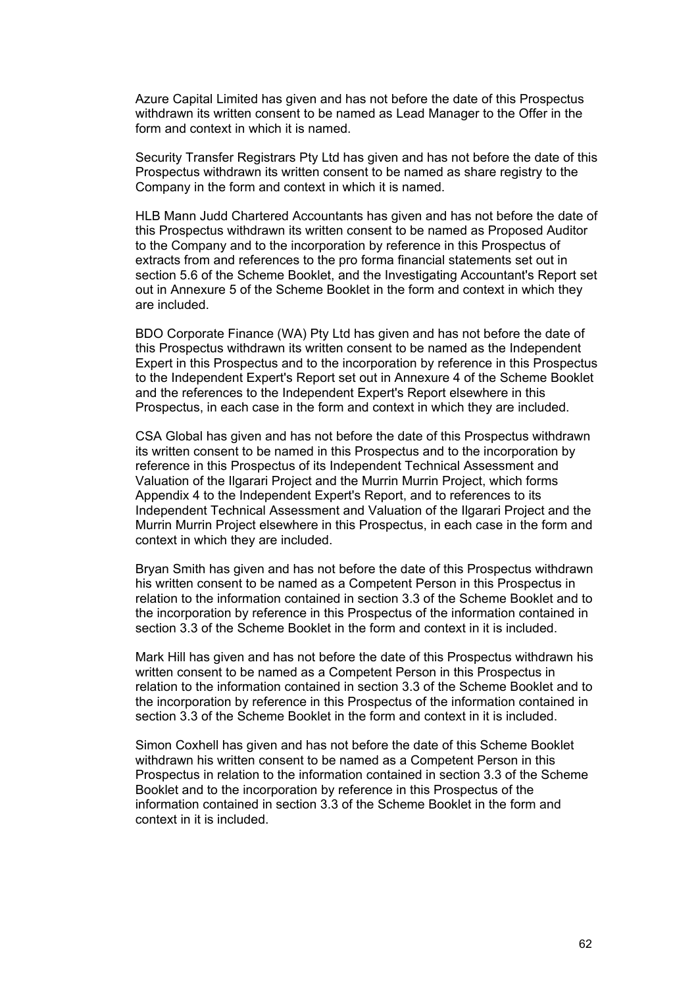Azure Capital Limited has given and has not before the date of this Prospectus withdrawn its written consent to be named as Lead Manager to the Offer in the form and context in which it is named.

Security Transfer Registrars Pty Ltd has given and has not before the date of this Prospectus withdrawn its written consent to be named as share registry to the Company in the form and context in which it is named.

HLB Mann Judd Chartered Accountants has given and has not before the date of this Prospectus withdrawn its written consent to be named as Proposed Auditor to the Company and to the incorporation by reference in this Prospectus of extracts from and references to the pro forma financial statements set out in section 5.6 of the Scheme Booklet, and the Investigating Accountant's Report set out in Annexure 5 of the Scheme Booklet in the form and context in which they are included.

BDO Corporate Finance (WA) Pty Ltd has given and has not before the date of this Prospectus withdrawn its written consent to be named as the Independent Expert in this Prospectus and to the incorporation by reference in this Prospectus to the Independent Expert's Report set out in Annexure 4 of the Scheme Booklet and the references to the Independent Expert's Report elsewhere in this Prospectus, in each case in the form and context in which they are included.

CSA Global has given and has not before the date of this Prospectus withdrawn its written consent to be named in this Prospectus and to the incorporation by reference in this Prospectus of its Independent Technical Assessment and Valuation of the Ilgarari Project and the Murrin Murrin Project, which forms Appendix 4 to the Independent Expert's Report, and to references to its Independent Technical Assessment and Valuation of the Ilgarari Project and the Murrin Murrin Project elsewhere in this Prospectus, in each case in the form and context in which they are included.

Bryan Smith has given and has not before the date of this Prospectus withdrawn his written consent to be named as a Competent Person in this Prospectus in relation to the information contained in section 3.3 of the Scheme Booklet and to the incorporation by reference in this Prospectus of the information contained in section 3.3 of the Scheme Booklet in the form and context in it is included.

Mark Hill has given and has not before the date of this Prospectus withdrawn his written consent to be named as a Competent Person in this Prospectus in relation to the information contained in section 3.3 of the Scheme Booklet and to the incorporation by reference in this Prospectus of the information contained in section 3.3 of the Scheme Booklet in the form and context in it is included.

Simon Coxhell has given and has not before the date of this Scheme Booklet withdrawn his written consent to be named as a Competent Person in this Prospectus in relation to the information contained in section 3.3 of the Scheme Booklet and to the incorporation by reference in this Prospectus of the information contained in section 3.3 of the Scheme Booklet in the form and context in it is included.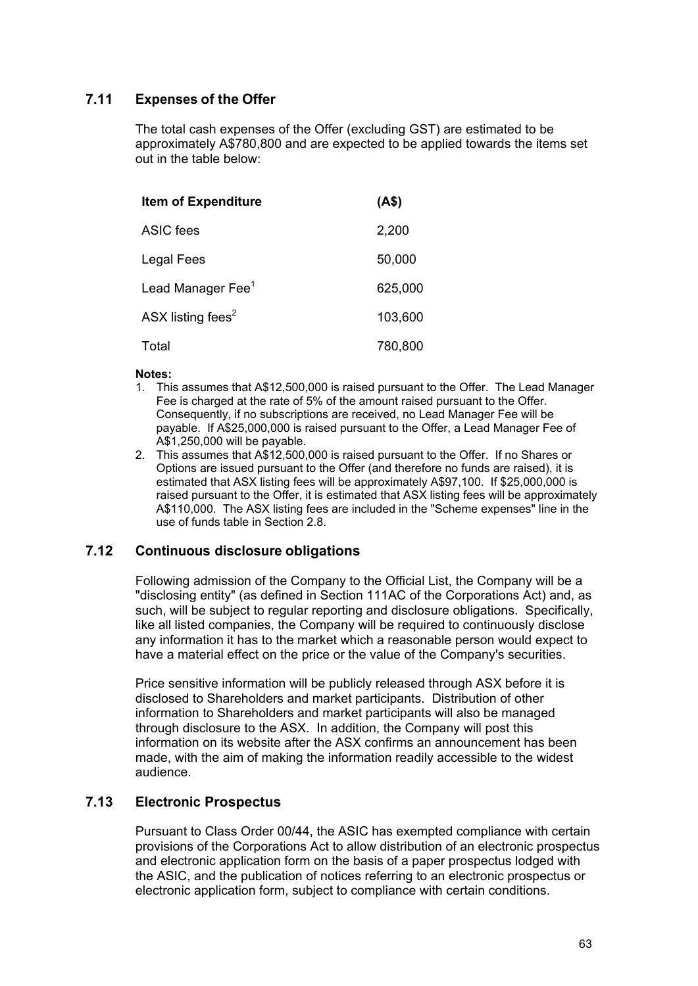# **7.11 Expenses of the Offer**

The total cash expenses of the Offer (excluding GST) are estimated to be approximately A\$780,800 and are expected to be applied towards the items set out in the table below:

| <b>Item of Expenditure</b>    | (AS)    |
|-------------------------------|---------|
| ASIC fees                     | 2,200   |
| Legal Fees                    | 50,000  |
| Lead Manager Fee <sup>1</sup> | 625,000 |
| ASX listing fees <sup>2</sup> | 103,600 |
| Total                         | 780,800 |

#### **Notes:**

- 1. This assumes that A\$12,500,000 is raised pursuant to the Offer. The Lead Manager Fee is charged at the rate of 5% of the amount raised pursuant to the Offer. Consequently, if no subscriptions are received, no Lead Manager Fee will be payable. If A\$25,000,000 is raised pursuant to the Offer, a Lead Manager Fee of A\$1,250,000 will be payable.
- 2. This assumes that A\$12,500,000 is raised pursuant to the Offer. If no Shares or Options are issued pursuant to the Offer (and therefore no funds are raised), it is estimated that ASX listing fees will be approximately A\$97,100. If \$25,000,000 is raised pursuant to the Offer, it is estimated that ASX listing fees will be approximately A\$110,000. The ASX listing fees are included in the "Scheme expenses" line in the use of funds table in Section 2.8.

### **7.12 Continuous disclosure obligations**

Following admission of the Company to the Official List, the Company will be a "disclosing entity" (as defined in Section 111AC of the Corporations Act) and, as such, will be subject to regular reporting and disclosure obligations. Specifically, like all listed companies, the Company will be required to continuously disclose any information it has to the market which a reasonable person would expect to have a material effect on the price or the value of the Company's securities.

Price sensitive information will be publicly released through ASX before it is disclosed to Shareholders and market participants. Distribution of other information to Shareholders and market participants will also be managed through disclosure to the ASX. In addition, the Company will post this information on its website after the ASX confirms an announcement has been made, with the aim of making the information readily accessible to the widest audience.

# **7.13 Electronic Prospectus**

Pursuant to Class Order 00/44, the ASIC has exempted compliance with certain provisions of the Corporations Act to allow distribution of an electronic prospectus and electronic application form on the basis of a paper prospectus lodged with the ASIC, and the publication of notices referring to an electronic prospectus or electronic application form, subject to compliance with certain conditions.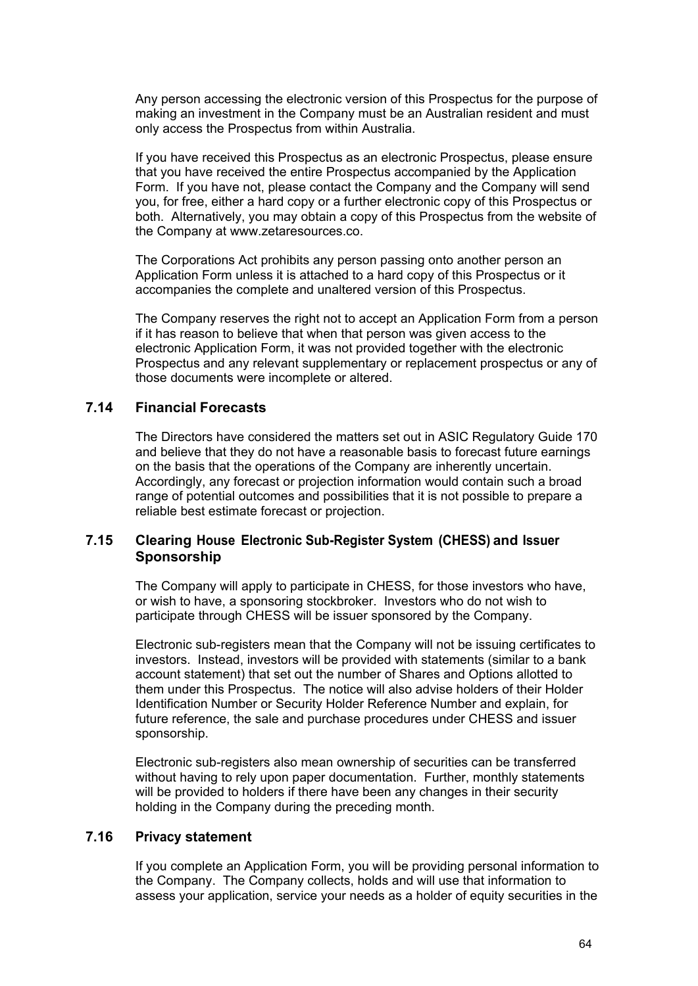Any person accessing the electronic version of this Prospectus for the purpose of making an investment in the Company must be an Australian resident and must only access the Prospectus from within Australia.

If you have received this Prospectus as an electronic Prospectus, please ensure that you have received the entire Prospectus accompanied by the Application Form. If you have not, please contact the Company and the Company will send you, for free, either a hard copy or a further electronic copy of this Prospectus or both. Alternatively, you may obtain a copy of this Prospectus from the website of the Company at www.zetaresources.co.

The Corporations Act prohibits any person passing onto another person an Application Form unless it is attached to a hard copy of this Prospectus or it accompanies the complete and unaltered version of this Prospectus.

The Company reserves the right not to accept an Application Form from a person if it has reason to believe that when that person was given access to the electronic Application Form, it was not provided together with the electronic Prospectus and any relevant supplementary or replacement prospectus or any of those documents were incomplete or altered.

# **7.14 Financial Forecasts**

The Directors have considered the matters set out in ASIC Regulatory Guide 170 and believe that they do not have a reasonable basis to forecast future earnings on the basis that the operations of the Company are inherently uncertain. Accordingly, any forecast or projection information would contain such a broad range of potential outcomes and possibilities that it is not possible to prepare a reliable best estimate forecast or projection.

# **7.15 Clearing House Electronic Sub-Register System (CHESS) and Issuer Sponsorship**

The Company will apply to participate in CHESS, for those investors who have, or wish to have, a sponsoring stockbroker. Investors who do not wish to participate through CHESS will be issuer sponsored by the Company.

Electronic sub-registers mean that the Company will not be issuing certificates to investors. Instead, investors will be provided with statements (similar to a bank account statement) that set out the number of Shares and Options allotted to them under this Prospectus. The notice will also advise holders of their Holder Identification Number or Security Holder Reference Number and explain, for future reference, the sale and purchase procedures under CHESS and issuer sponsorship.

Electronic sub-registers also mean ownership of securities can be transferred without having to rely upon paper documentation. Further, monthly statements will be provided to holders if there have been any changes in their security holding in the Company during the preceding month.

### **7.16 Privacy statement**

If you complete an Application Form, you will be providing personal information to the Company. The Company collects, holds and will use that information to assess your application, service your needs as a holder of equity securities in the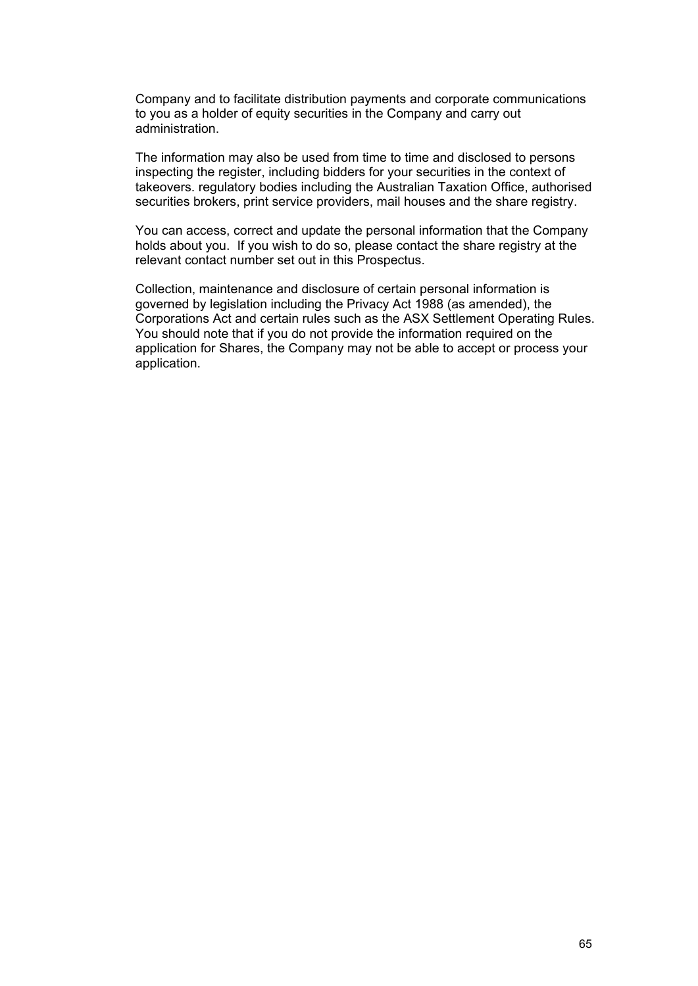Company and to facilitate distribution payments and corporate communications to you as a holder of equity securities in the Company and carry out administration.

The information may also be used from time to time and disclosed to persons inspecting the register, including bidders for your securities in the context of takeovers. regulatory bodies including the Australian Taxation Office, authorised securities brokers, print service providers, mail houses and the share registry.

You can access, correct and update the personal information that the Company holds about you. If you wish to do so, please contact the share registry at the relevant contact number set out in this Prospectus.

Collection, maintenance and disclosure of certain personal information is governed by legislation including the Privacy Act 1988 (as amended), the Corporations Act and certain rules such as the ASX Settlement Operating Rules. You should note that if you do not provide the information required on the application for Shares, the Company may not be able to accept or process your application.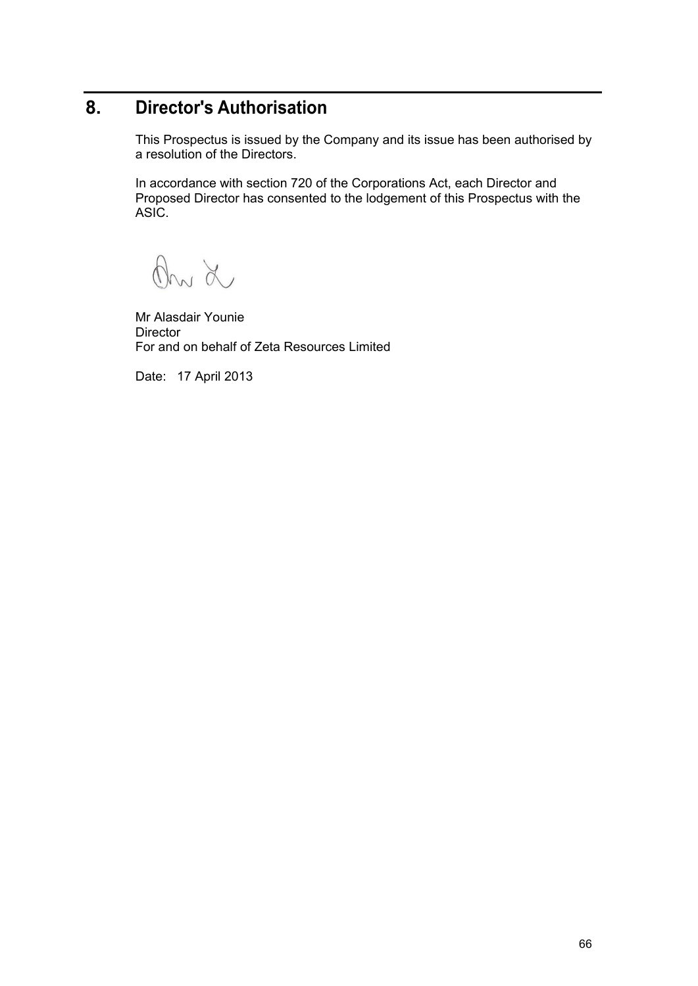# **8. Director's Authorisation**

This Prospectus is issued by the Company and its issue has been authorised by a resolution of the Directors.

In accordance with section 720 of the Corporations Act, each Director and Proposed Director has consented to the lodgement of this Prospectus with the ASIC.

On L

Mr Alasdair Younie **Director** For and on behalf of Zeta Resources Limited

Date: 17 April 2013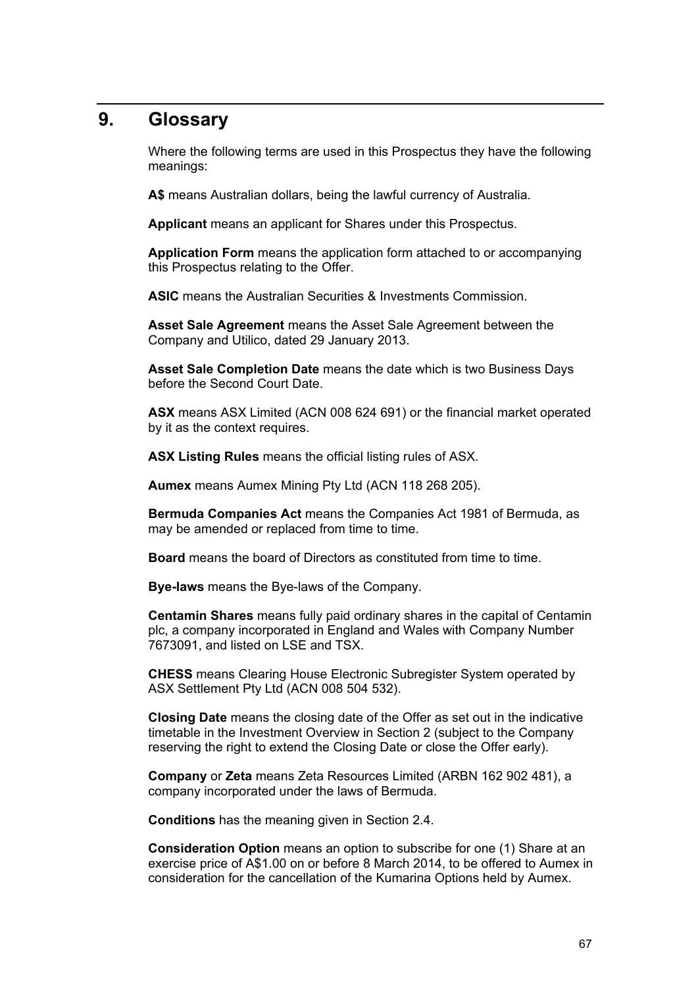# **9. Glossary**

Where the following terms are used in this Prospectus they have the following meanings:

**A\$** means Australian dollars, being the lawful currency of Australia.

**Applicant** means an applicant for Shares under this Prospectus.

**Application Form** means the application form attached to or accompanying this Prospectus relating to the Offer.

**ASIC** means the Australian Securities & Investments Commission.

**Asset Sale Agreement** means the Asset Sale Agreement between the Company and Utilico, dated 29 January 2013.

**Asset Sale Completion Date** means the date which is two Business Days before the Second Court Date.

**ASX** means ASX Limited (ACN 008 624 691) or the financial market operated by it as the context requires.

**ASX Listing Rules** means the official listing rules of ASX.

**Aumex** means Aumex Mining Pty Ltd (ACN 118 268 205).

**Bermuda Companies Act** means the Companies Act 1981 of Bermuda, as may be amended or replaced from time to time.

**Board** means the board of Directors as constituted from time to time.

**Bye-laws** means the Bye-laws of the Company.

**Centamin Shares** means fully paid ordinary shares in the capital of Centamin plc, a company incorporated in England and Wales with Company Number 7673091, and listed on LSE and TSX.

**CHESS** means Clearing House Electronic Subregister System operated by ASX Settlement Pty Ltd (ACN 008 504 532).

**Closing Date** means the closing date of the Offer as set out in the indicative timetable in the Investment Overview in Section 2 (subject to the Company reserving the right to extend the Closing Date or close the Offer early).

**Company** or **Zeta** means Zeta Resources Limited (ARBN 162 902 481), a company incorporated under the laws of Bermuda.

**Conditions** has the meaning given in Section 2.4.

**Consideration Option** means an option to subscribe for one (1) Share at an exercise price of A\$1.00 on or before 8 March 2014, to be offered to Aumex in consideration for the cancellation of the Kumarina Options held by Aumex.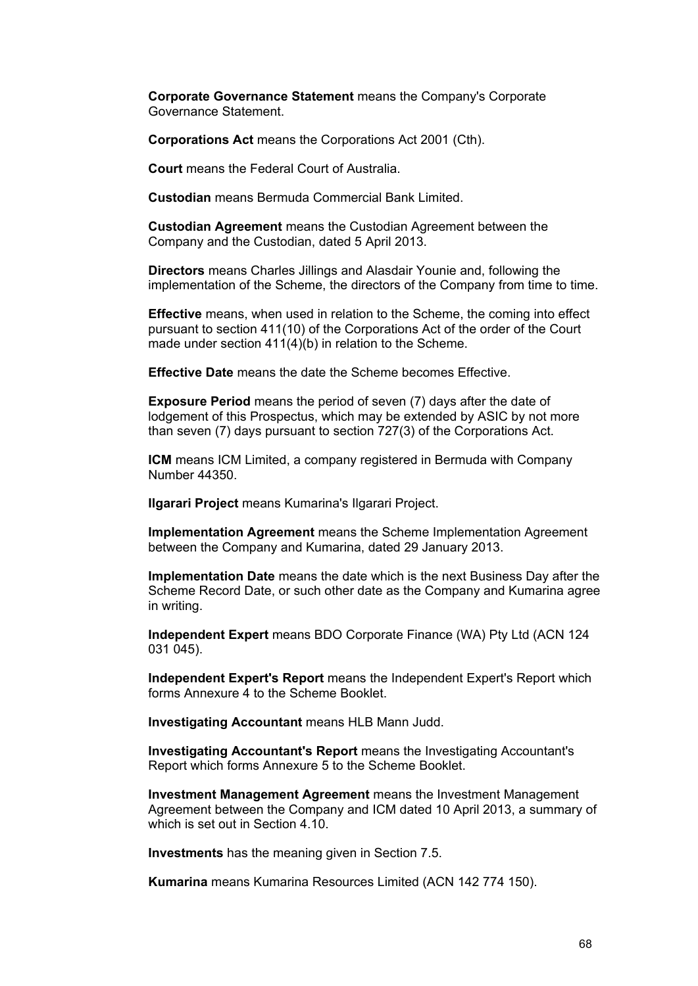**Corporate Governance Statement** means the Company's Corporate Governance Statement.

**Corporations Act** means the Corporations Act 2001 (Cth).

**Court** means the Federal Court of Australia.

**Custodian** means Bermuda Commercial Bank Limited.

**Custodian Agreement** means the Custodian Agreement between the Company and the Custodian, dated 5 April 2013.

**Directors** means Charles Jillings and Alasdair Younie and, following the implementation of the Scheme, the directors of the Company from time to time.

**Effective** means, when used in relation to the Scheme, the coming into effect pursuant to section 411(10) of the Corporations Act of the order of the Court made under section 411(4)(b) in relation to the Scheme.

**Effective Date** means the date the Scheme becomes Effective.

**Exposure Period** means the period of seven (7) days after the date of lodgement of this Prospectus, which may be extended by ASIC by not more than seven (7) days pursuant to section 727(3) of the Corporations Act.

**ICM** means ICM Limited, a company registered in Bermuda with Company Number 44350.

**Ilgarari Project** means Kumarina's Ilgarari Project.

**Implementation Agreement** means the Scheme Implementation Agreement between the Company and Kumarina, dated 29 January 2013.

**Implementation Date** means the date which is the next Business Day after the Scheme Record Date, or such other date as the Company and Kumarina agree in writing.

**Independent Expert** means BDO Corporate Finance (WA) Pty Ltd (ACN 124 031 045).

**Independent Expert's Report** means the Independent Expert's Report which forms Annexure 4 to the Scheme Booklet.

**Investigating Accountant** means HLB Mann Judd.

**Investigating Accountant's Report** means the Investigating Accountant's Report which forms Annexure 5 to the Scheme Booklet.

**Investment Management Agreement** means the Investment Management Agreement between the Company and ICM dated 10 April 2013, a summary of which is set out in Section 4.10.

**Investments** has the meaning given in Section 7.5.

**Kumarina** means Kumarina Resources Limited (ACN 142 774 150).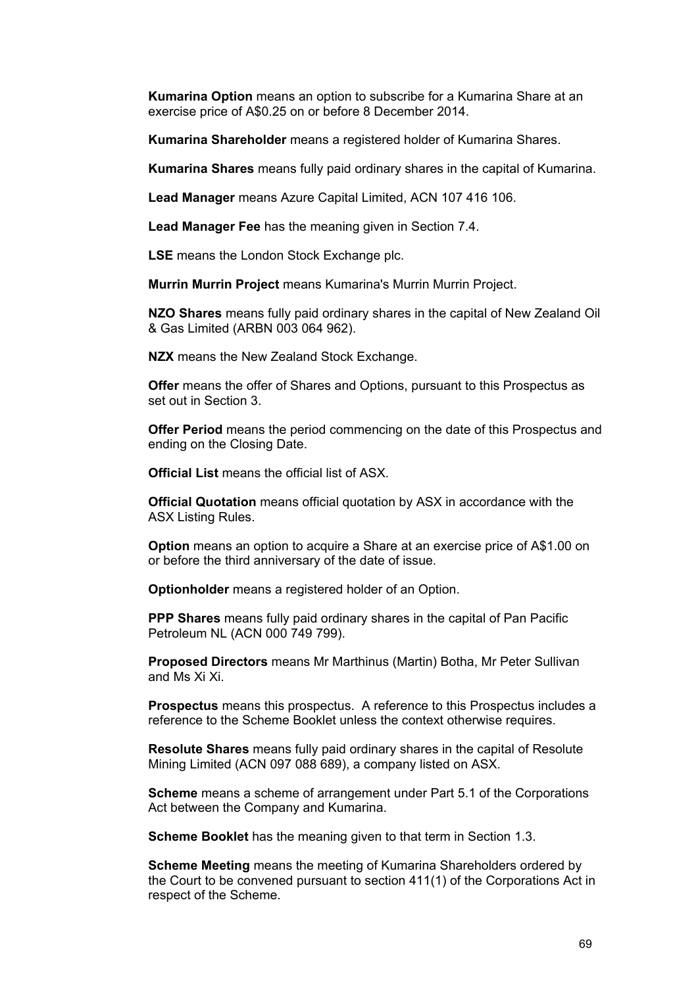**Kumarina Option** means an option to subscribe for a Kumarina Share at an exercise price of A\$0.25 on or before 8 December 2014.

**Kumarina Shareholder** means a registered holder of Kumarina Shares.

**Kumarina Shares** means fully paid ordinary shares in the capital of Kumarina.

**Lead Manager** means Azure Capital Limited, ACN 107 416 106.

**Lead Manager Fee** has the meaning given in Section 7.4.

**LSE** means the London Stock Exchange plc.

**Murrin Murrin Project** means Kumarina's Murrin Murrin Project.

**NZO Shares** means fully paid ordinary shares in the capital of New Zealand Oil & Gas Limited (ARBN 003 064 962).

**NZX** means the New Zealand Stock Exchange.

**Offer** means the offer of Shares and Options, pursuant to this Prospectus as set out in Section 3.

**Offer Period** means the period commencing on the date of this Prospectus and ending on the Closing Date.

**Official List** means the official list of ASX.

**Official Quotation** means official quotation by ASX in accordance with the ASX Listing Rules.

**Option** means an option to acquire a Share at an exercise price of A\$1.00 on or before the third anniversary of the date of issue.

**Optionholder** means a registered holder of an Option.

**PPP Shares** means fully paid ordinary shares in the capital of Pan Pacific Petroleum NL (ACN 000 749 799).

**Proposed Directors** means Mr Marthinus (Martin) Botha, Mr Peter Sullivan and Ms Xi Xi.

**Prospectus** means this prospectus. A reference to this Prospectus includes a reference to the Scheme Booklet unless the context otherwise requires.

**Resolute Shares** means fully paid ordinary shares in the capital of Resolute Mining Limited (ACN 097 088 689), a company listed on ASX.

**Scheme** means a scheme of arrangement under Part 5.1 of the Corporations Act between the Company and Kumarina.

**Scheme Booklet** has the meaning given to that term in Section 1.3.

**Scheme Meeting** means the meeting of Kumarina Shareholders ordered by the Court to be convened pursuant to section 411(1) of the Corporations Act in respect of the Scheme.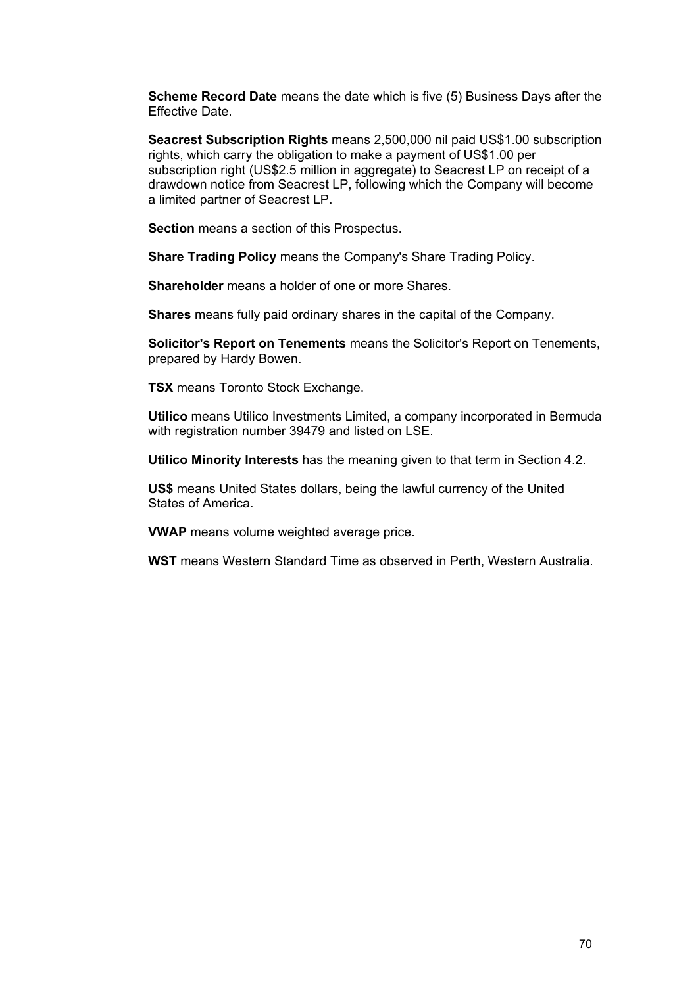**Scheme Record Date** means the date which is five (5) Business Days after the Effective Date.

**Seacrest Subscription Rights** means 2,500,000 nil paid US\$1.00 subscription rights, which carry the obligation to make a payment of US\$1.00 per subscription right (US\$2.5 million in aggregate) to Seacrest LP on receipt of a drawdown notice from Seacrest LP, following which the Company will become a limited partner of Seacrest LP.

**Section** means a section of this Prospectus.

**Share Trading Policy** means the Company's Share Trading Policy.

**Shareholder** means a holder of one or more Shares.

**Shares** means fully paid ordinary shares in the capital of the Company.

**Solicitor's Report on Tenements** means the Solicitor's Report on Tenements, prepared by Hardy Bowen.

**TSX** means Toronto Stock Exchange.

**Utilico** means Utilico Investments Limited, a company incorporated in Bermuda with registration number 39479 and listed on LSE.

**Utilico Minority Interests** has the meaning given to that term in Section 4.2.

**US\$** means United States dollars, being the lawful currency of the United States of America.

**VWAP** means volume weighted average price.

**WST** means Western Standard Time as observed in Perth, Western Australia.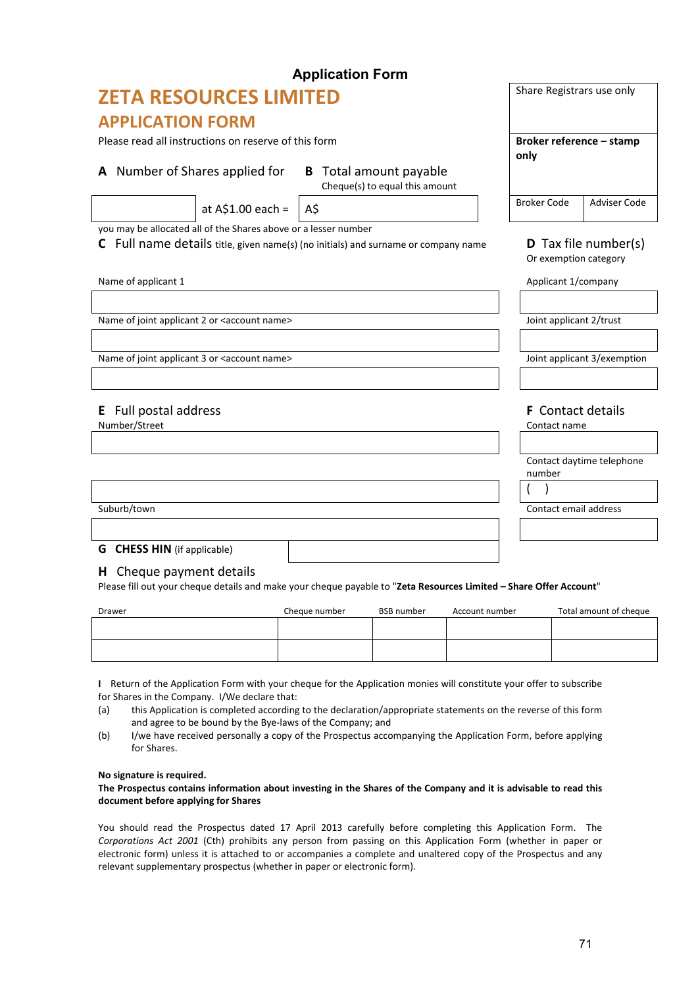|                                                                                    |                                                                 | <b>Application Form</b>                                         |                                          |                           |
|------------------------------------------------------------------------------------|-----------------------------------------------------------------|-----------------------------------------------------------------|------------------------------------------|---------------------------|
| <b>ZETA RESOURCES LIMITED</b>                                                      | Share Registrars use only                                       |                                                                 |                                          |                           |
| <b>APPLICATION FORM</b>                                                            |                                                                 |                                                                 |                                          |                           |
| Please read all instructions on reserve of this form                               | Broker reference - stamp<br>only                                |                                                                 |                                          |                           |
| A Number of Shares applied for                                                     |                                                                 | <b>B</b> Total amount payable<br>Cheque(s) to equal this amount |                                          |                           |
|                                                                                    | at $A$1.00 each =$                                              | A\$                                                             | <b>Broker Code</b>                       | <b>Adviser Code</b>       |
|                                                                                    | you may be allocated all of the Shares above or a lesser number |                                                                 |                                          |                           |
| C Full name details title, given name(s) (no initials) and surname or company name | <b>D</b> Tax file number(s)<br>Or exemption category            |                                                                 |                                          |                           |
| Name of applicant 1                                                                |                                                                 |                                                                 | Applicant 1/company                      |                           |
|                                                                                    |                                                                 |                                                                 |                                          |                           |
|                                                                                    | Name of joint applicant 2 or <account name=""></account>        |                                                                 | Joint applicant 2/trust                  |                           |
| Name of joint applicant 3 or <account name=""></account>                           |                                                                 |                                                                 | Joint applicant 3/exemption              |                           |
| Full postal address<br>E<br>Number/Street                                          |                                                                 |                                                                 | <b>F</b> Contact details<br>Contact name |                           |
|                                                                                    |                                                                 |                                                                 | number                                   | Contact daytime telephone |
|                                                                                    |                                                                 |                                                                 |                                          |                           |
| Suburb/town                                                                        |                                                                 |                                                                 | Contact email address                    |                           |
|                                                                                    |                                                                 |                                                                 |                                          |                           |

# **G CHESS HIN** (if applicable)

## **H** Cheque payment details

Please fill out your cheque details and make your cheque payable to "**Zeta Resources Limited – Share Offer Account**"

| <b>Drawer</b> | Cheque number | <b>BSB</b> number | Account number | Total amount of cheque |
|---------------|---------------|-------------------|----------------|------------------------|
|               |               |                   |                |                        |
|               |               |                   |                |                        |
|               |               |                   |                |                        |

**I** Return of the Application Form with your cheque for the Application monies will constitute your offer to subscribe for Shares in the Company. I/We declare that:

(a) this Application is completed according to the declaration/appropriate statements on the reverse of this form and agree to be bound by the Bye‐laws of the Company; and

(b) I/we have received personally a copy of the Prospectus accompanying the Application Form, before applying for Shares.

### **No signature is required.**

### The Prospectus contains information about investing in the Shares of the Company and it is advisable to read this **document before applying for Shares**

You should read the Prospectus dated 17 April 2013 carefully before completing this Application Form. The *Corporations Act 2001* (Cth) prohibits any person from passing on this Application Form (whether in paper or electronic form) unless it is attached to or accompanies a complete and unaltered copy of the Prospectus and any relevant supplementary prospectus (whether in paper or electronic form).